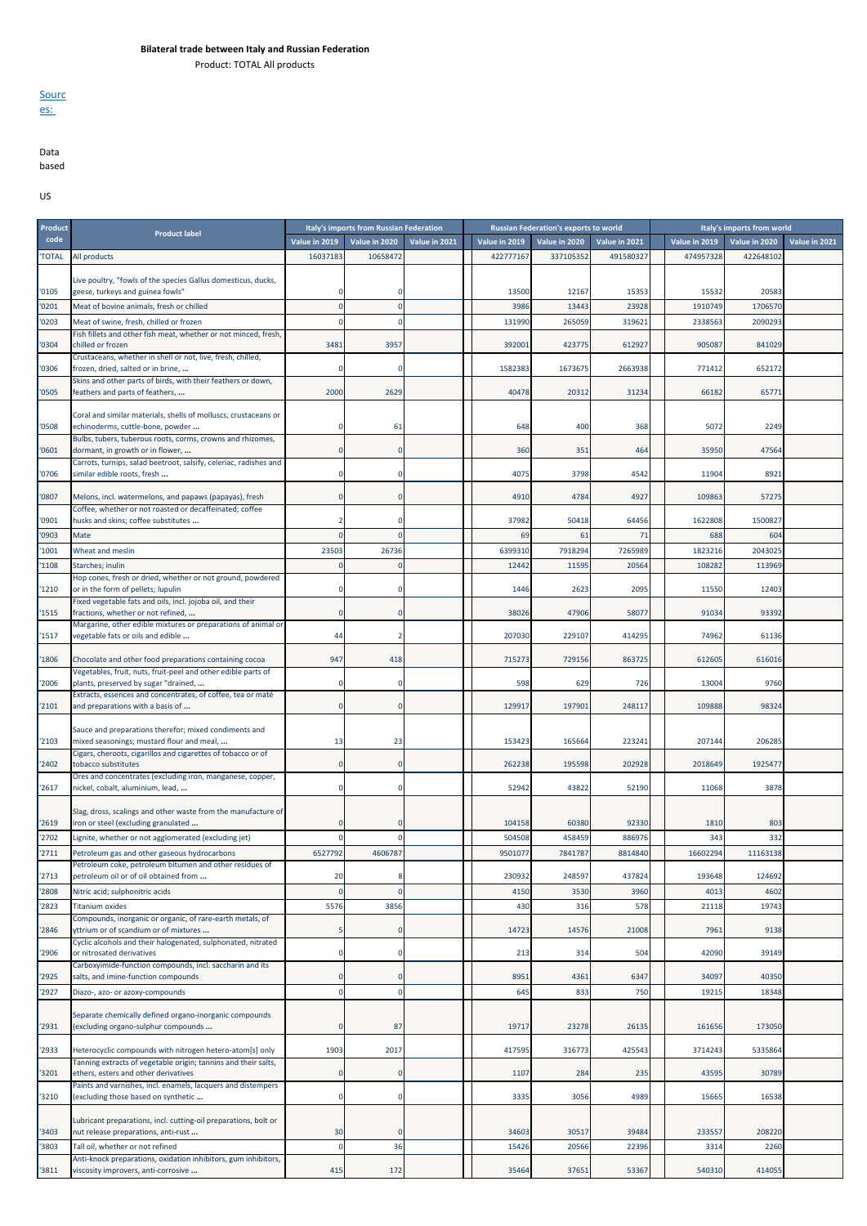Product: TOTAL All products



Data based

US

| Product      |                                                                                                                            |               | Italy's imports from Russian Federation |               |               | <b>Russian Federation's exports to world</b> |               |               | Italy's imports from world |               |
|--------------|----------------------------------------------------------------------------------------------------------------------------|---------------|-----------------------------------------|---------------|---------------|----------------------------------------------|---------------|---------------|----------------------------|---------------|
| code         | <b>Product label</b>                                                                                                       | Value in 2019 | Value in 2020                           | Value in 2021 | Value in 2019 | Value in 2020                                | Value in 2021 | Value in 2019 | Value in 2020              | Value in 2021 |
| <b>TOTAL</b> | All products                                                                                                               | 16037183      | 10658472                                |               | 422777167     | 337105352                                    | 491580327     | 474957328     | 422648102                  |               |
| '0105        | Live poultry, "fowls of the species Gallus domesticus, ducks,<br>geese, turkeys and guinea fowls"                          |               |                                         |               | 13500         | 12167                                        | 15353         | 15532         | 20583                      |               |
| '0201        | Meat of bovine animals, fresh or chilled                                                                                   |               |                                         |               | 3986          | 13443                                        | 23928         | 1910749       | 1706570                    |               |
| '0203        | Meat of swine, fresh, chilled or frozen                                                                                    |               |                                         |               | 131990        | 265059                                       | 319621        | 2338563       | 2090293                    |               |
|              | Fish fillets and other fish meat, whether or not minced, fresh,                                                            |               |                                         |               |               |                                              |               |               |                            |               |
| '0304        | chilled or frozen<br>Crustaceans, whether in shell or not, live, fresh, chilled,                                           | 3481          | 3957                                    |               | 392001        | 423775                                       | 612927        | 905087        | 841029                     |               |
| '0306        | frozen, dried, salted or in brine,                                                                                         |               | -C                                      |               | 1582383       | 1673675                                      | 2663938       | 771412        | 652172                     |               |
| '0505        | Skins and other parts of birds, with their feathers or down,<br>feathers and parts of feathers,                            | 2000          | 2629                                    |               | 40478         | 20312                                        | 31234         | 66182         | 65771                      |               |
| '0508        | Coral and similar materials, shells of molluscs, crustaceans or<br>echinoderms, cuttle-bone, powder                        |               | 61                                      |               | 648           | 400                                          | 368           | 5072          | 2249                       |               |
| '0601        | Bulbs, tubers, tuberous roots, corms, crowns and rhizomes,<br>dormant, in growth or in flower,                             |               |                                         |               | 360           | 351                                          | 464           | 35950         | 47564                      |               |
| '0706        | Carrots, turnips, salad beetroot, salsify, celeriac, radishes and<br>similar edible roots, fresh                           |               | -C                                      |               | 4075          | 3798                                         | 4542          | 11904         | 8921                       |               |
| '0807        | Melons, incl. watermelons, and papaws (papayas), fresh                                                                     |               |                                         |               | 4910          | 4784                                         | 4927          | 109863        | 57275                      |               |
| '0901        | Coffee, whether or not roasted or decaffeinated; coffee<br>husks and skins; coffee substitutes                             |               |                                         |               | 37982         | 50418                                        | 64456         | 1622808       | 1500827                    |               |
| '0903        | Mate                                                                                                                       | $\Omega$      |                                         |               | 69            | 61                                           | 71            | 688           | 604                        |               |
| '1001        | Wheat and meslin                                                                                                           | 23503         | 26736                                   |               | 6399310       | 7918294                                      | 7265989       | 1823216       | 2043025                    |               |
| '1108        | Starches; inulin<br>Hop cones, fresh or dried, whether or not ground, powdered                                             |               |                                         |               | 12442         | 11595                                        | 20564         | 108282        | 113969                     |               |
| '1210        | or in the form of pellets; lupulin<br>Fixed vegetable fats and oils, incl. jojoba oil, and their                           |               |                                         |               | 1446          | 2623                                         | 2095          | 11550         | 12403                      |               |
| '1515        | fractions, whether or not refined,<br>Margarine, other edible mixtures or preparations of animal or                        | $\Omega$      | <sup>-</sup>                            |               | 38026         | 47906                                        | 58077         | 91034         | 93392                      |               |
| '1517        | vegetable fats or oils and edible                                                                                          | 44            |                                         |               | 207030        | 229107                                       | 414295        | 74962         | 61136                      |               |
| '1806        | Chocolate and other food preparations containing cocoa                                                                     | 947           | 418                                     |               | 715273        | 729156                                       | 863725        | 612605        | 616016                     |               |
| '2006        | Vegetables, fruit, nuts, fruit-peel and other edible parts of<br>plants, preserved by sugar "drained,                      |               |                                         |               | 598           | 629                                          | 726           | 13004         | 9760                       |               |
| '2101        | Extracts, essences and concentrates, of coffee, tea or maté<br>and preparations with a basis of                            | $\Omega$      |                                         |               | 129917        | 197901                                       | 248117        | 109888        | 98324                      |               |
|              | Sauce and preparations therefor; mixed condiments and                                                                      |               |                                         |               |               |                                              |               |               |                            |               |
| '2103        | mixed seasonings; mustard flour and meal,<br>Cigars, cheroots, cigarillos and cigarettes of tobacco or of                  | 13            | 23                                      |               | 153423        | 165664                                       | 223241        | 207144        | 206285                     |               |
| '2402        | tobacco substitutes                                                                                                        |               |                                         |               | 262238        | 195598                                       | 202928        | 2018649       | 1925477                    |               |
| '2617        | Ores and concentrates (excluding iron, manganese, copper,<br>nickel, cobalt, aluminium, lead,                              |               | -C                                      |               | 52942         | 43822                                        | 52190         | 11068         | 3878                       |               |
| '2619        | Slag, dross, scalings and other waste from the manufacture of<br>iron or steel (excluding granulated                       |               |                                         |               | 104158        | 60380                                        | 92330         | 1810          | 803                        |               |
| '2702        | Lignite, whether or not agglomerated (excluding jet)                                                                       |               |                                         |               | 504508        | 458459                                       | 886976        | 343           | 332                        |               |
| '2711        | Petroleum gas and other gaseous hydrocarbons                                                                               | 6527792       | 4606787                                 |               | 9501077       | 7841787                                      | 8814840       | 16602294      | 11163138                   |               |
| '2713        | Petroleum coke, petroleum bitumen and other residues of<br>petroleum oil or of oil obtained from                           | 20            | 8                                       |               | 230932        | 248597                                       | 437824        | 193648        | 124692                     |               |
| '2808        | Nitric acid; sulphonitric acids                                                                                            | $\Omega$      | $\sqrt{ }$                              |               | 4150          | 3530                                         | 3960          | 4013          | 4602                       |               |
| '2823        | <b>Titanium oxides</b>                                                                                                     | 5576          | 3856                                    |               | 430           | 316                                          | 578           | 21118         | 19743                      |               |
| '2846        | Compounds, inorganic or organic, of rare-earth metals, of<br>yttrium or of scandium or of mixtures                         | 5             | $\epsilon$                              |               | 14723         | 14576                                        | 21008         | 7961          | 9138                       |               |
| '2906        | Cyclic alcohols and their halogenated, sulphonated, nitrated<br>or nitrosated derivatives                                  | 0             | C                                       |               | 213           | 314                                          | 504           | 42090         | 39149                      |               |
| '2925        | Carboxyimide-function compounds, incl. saccharin and its<br>salts, and imine-function compounds                            | $\mathbf 0$   |                                         |               | 8951          | 4361                                         | 6347          | 34097         | 40350                      |               |
| '2927        | Diazo-, azo- or azoxy-compounds                                                                                            | $\Omega$      | C                                       |               | 645           | 833                                          | 750           | 19215         | 18348                      |               |
|              | Separate chemically defined organo-inorganic compounds                                                                     |               |                                         |               |               |                                              |               |               |                            |               |
| '2931        | (excluding organo-sulphur compounds                                                                                        | $\Omega$      | 87                                      |               | 19717         | 23278                                        | 26135         | 161656        | 173050                     |               |
| '2933        | Heterocyclic compounds with nitrogen hetero-atom[s] only<br>Tanning extracts of vegetable origin; tannins and their salts, | 1903          | 2017                                    |               | 417595        | 316773                                       | 425543        | 3714243       | 5335864                    |               |
| 3201         | ethers, esters and other derivatives<br>Paints and varnishes, incl. enamels, lacquers and distempers                       | $\Omega$      | $\epsilon$                              |               | 1107          | 284                                          | 235           | 43595         | 30789                      |               |
| '3210        | (excluding those based on synthetic                                                                                        | $\Omega$      |                                         |               | 3335          | 3056                                         | 4989          | 15665         | 16538                      |               |
| '3403        | Lubricant preparations, incl. cutting-oil preparations, bolt or<br>nut release preparations, anti-rust                     | 30            |                                         |               | 34603         | 30517                                        | 39484         | 233557        | 208220                     |               |
| '3803        | Tall oil, whether or not refined                                                                                           | $\Omega$      | 36                                      |               | 15426         | 20566                                        | 22396         | 3314          | 2260                       |               |
| '3811        | Anti-knock preparations, oxidation inhibitors, gum inhibitors,<br>viscosity improvers, anti-corrosive                      | 415           | 172                                     |               | 35464         | 37651                                        | 53367         | 540310        | 414055                     |               |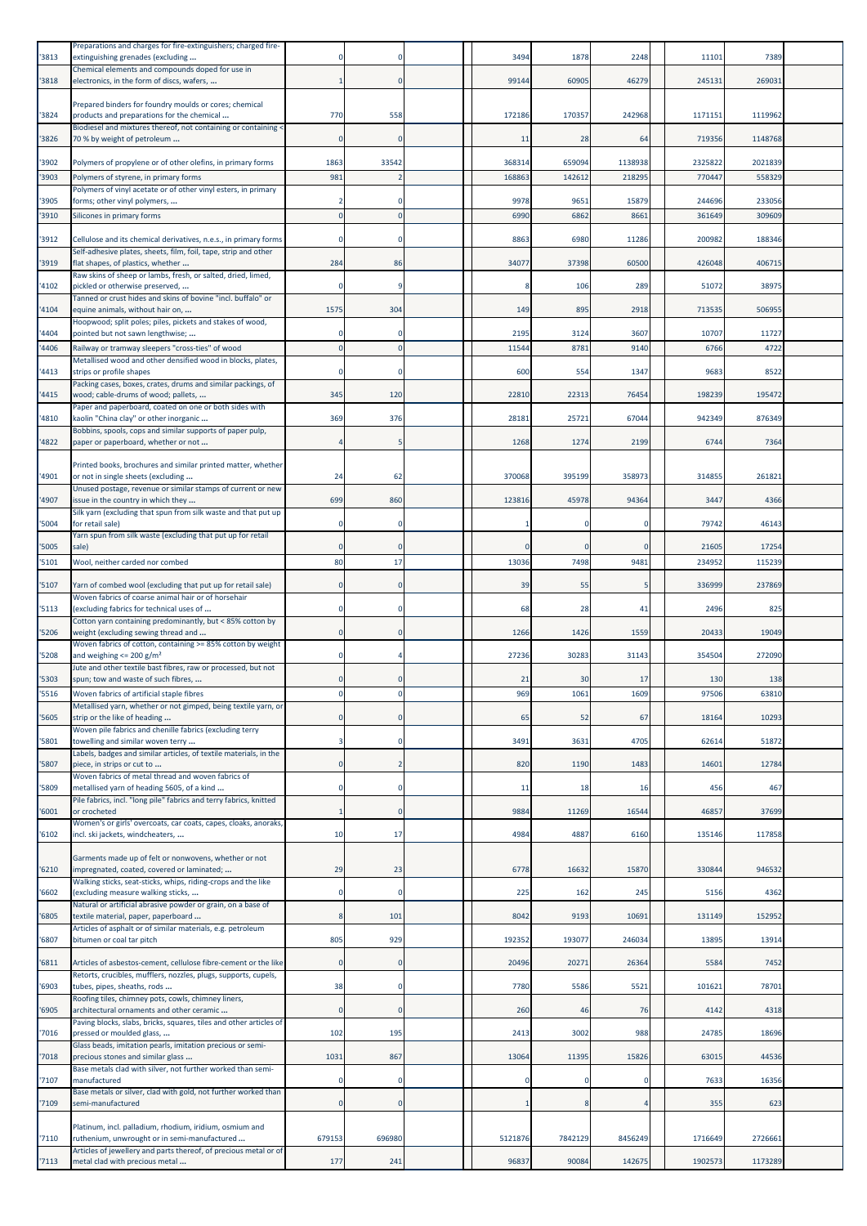| '3813          | Preparations and charges for fire-extinguishers; charged fire-<br>extinguishing grenades (excluding                                                                  |              |             | 3494       | 1878    | 2248     | 11101           | 7389            |  |
|----------------|----------------------------------------------------------------------------------------------------------------------------------------------------------------------|--------------|-------------|------------|---------|----------|-----------------|-----------------|--|
| '3818          | Chemical elements and compounds doped for use in<br>electronics, in the form of discs, wafers,                                                                       |              | 0           | 99144      | 60905   | 46279    | 24513           | 269031          |  |
| '3824          | Prepared binders for foundry moulds or cores; chemical<br>products and preparations for the chemical                                                                 | 770          | 558         | 172186     | 17035   | 242968   | 1171151         | 1119962         |  |
| '3826          | Biodiesel and mixtures thereof, not containing or containing <<br>70 % by weight of petroleum                                                                        | $\Omega$     | $\Omega$    | 11         | 28      | 64       | 719356          | 1148768         |  |
| '3902          | Polymers of propylene or of other olefins, in primary forms                                                                                                          | 1863         | 33542       | 368314     | 659094  | 1138938  | 2325822         | 2021839         |  |
| '3903          | Polymers of styrene, in primary forms                                                                                                                                | 981          |             | 168863     | 14261   | 218295   | 770447          | 558329          |  |
| '3905          | Polymers of vinyl acetate or of other vinyl esters, in primary<br>forms; other vinyl polymers,                                                                       |              |             | 9978       | 965     | 15879    | 244696          | 233056          |  |
| '3910          | Silicones in primary forms                                                                                                                                           | $\Omega$     |             | 6990       | 6862    | 8661     | 361649          | 309609          |  |
| '3912          | Cellulose and its chemical derivatives, n.e.s., in primary forms                                                                                                     |              |             | 8863       | 6980    | 11286    | 200982          | 188346          |  |
| '3919          | Self-adhesive plates, sheets, film, foil, tape, strip and other<br>flat shapes, of plastics, whether                                                                 | 284          | 86          | 34077      | 37398   | 60500    | 426048          | 406715          |  |
| '4102          | Raw skins of sheep or lambs, fresh, or salted, dried, limed,<br>pickled or otherwise preserved,                                                                      |              |             |            | 106     | 289      | 51072           | 38975           |  |
| '4104          | Tanned or crust hides and skins of bovine "incl. buffalo" or<br>equine animals, without hair on,                                                                     | 1575         | 304         | 149        | 895     | 2918     | 713535          | 506955          |  |
| '4404          | Hoopwood; split poles; piles, pickets and stakes of wood,<br>pointed but not sawn lengthwise;                                                                        | 0            | 0           | 2195       | 3124    | 3607     | 10707           | 11727           |  |
| '4406          | Railway or tramway sleepers "cross-ties" of wood                                                                                                                     | $\Omega$     | $\Omega$    | 11544      | 8781    | 9140     | 6766            | 4722            |  |
| '4413          | Metallised wood and other densified wood in blocks, plates,<br>strips or profile shapes                                                                              |              |             | <b>600</b> | 554     | 1347     | 9683            | 8522            |  |
| '4415          | Packing cases, boxes, crates, drums and similar packings, of<br>wood; cable-drums of wood; pallets,                                                                  | 345          | 120         | 22810      | 22313   | 76454    | 198239          | 195472          |  |
| '4810          | Paper and paperboard, coated on one or both sides with<br>kaolin "China clay" or other inorganic                                                                     | 369          | 376         | 28181      | 25721   | 67044    | 942349          | 876349          |  |
| '4822          | Bobbins, spools, cops and similar supports of paper pulp,<br>paper or paperboard, whether or not                                                                     |              | 5           | 1268       | 1274    | 2199     | 6744            | 7364            |  |
| '4901          | Printed books, brochures and similar printed matter, whether<br>or not in single sheets (excluding                                                                   | 24           | 62          | 370068     | 395199  | 358973   | 314855          | 261821          |  |
|                | Unused postage, revenue or similar stamps of current or new                                                                                                          |              |             |            |         |          |                 |                 |  |
| '4907          | issue in the country in which they<br>Silk yarn (excluding that spun from silk waste and that put up                                                                 | 699          | 860         | 123816     | 45978   | 94364    | 3447            | 4366            |  |
| '5004          | for retail sale)<br>Yarn spun from silk waste (excluding that put up for retail                                                                                      | $\Omega$     | $\Omega$    |            |         | $\Omega$ | 79742           | 46143           |  |
| '5005<br>'5101 | sale)<br>Wool, neither carded nor combed                                                                                                                             | 80           | 17          | 13036      | 7498    | 9481     | 21605<br>234952 | 17254<br>115239 |  |
|                |                                                                                                                                                                      |              |             |            |         |          |                 |                 |  |
| '5107          | Yarn of combed wool (excluding that put up for retail sale)<br>Woven fabrics of coarse animal hair or of horsehair                                                   |              |             | 39         | 55      |          | 336999          | 237869          |  |
| '5113          | (excluding fabrics for technical uses of<br>Cotton yarn containing predominantly, but < 85% cotton by                                                                | $\Omega$     |             | 68         | 28      | 41       | 2496            | 825             |  |
| '5206          | weight (excluding sewing thread and<br>Woven fabrics of cotton, containing >= 85% cotton by weight                                                                   |              |             | 1266       | 1426    | 1559     | 20433           | 19049           |  |
| '5208          | and weighing $<= 200 g/m^2$<br>Jute and other textile bast fibres, raw or processed, but not                                                                         |              |             | 27236      | 30283   | 31143    | 354504          | 272090          |  |
| '5303<br>'5516 | spun; tow and waste of such fibres,                                                                                                                                  |              |             | 21<br>969  | 30      | 17       | 130<br>97506    | 138             |  |
|                | Woven fabrics of artificial staple fibres<br>Metallised yarn, whether or not gimped, being textile yarn, or                                                          |              |             |            | 106     | 1609     |                 | 6381            |  |
| '5605          | strip or the like of heading<br>Woven pile fabrics and chenille fabrics (excluding terry                                                                             | 0            | 0           | 65         | 52      | 67       | 18164           | 10293           |  |
| '5801          | towelling and similar woven terry<br>Labels, badges and similar articles, of textile materials, in the                                                               | 3            | $\Omega$    | 3491       | 3631    | 4705     | 62614           | 51872           |  |
| '5807          | piece, in strips or cut to<br>Woven fabrics of metal thread and woven fabrics of                                                                                     |              |             | 820        | 1190    | 1483     | 14601           | 12784           |  |
| '5809          | metallised yarn of heading 5605, of a kind<br>Pile fabrics, incl. "long pile" fabrics and terry fabrics, knitted                                                     | 0            | $\mathbf 0$ | 11         | 18      | 16       | 456             | 467             |  |
| '6001          | or crocheted<br>Women's or girls' overcoats, car coats, capes, cloaks, anoraks,                                                                                      | $\mathbf{1}$ | $\Omega$    | 9884       | 11269   | 16544    | 46857           | 37699           |  |
| '6102          | incl. ski jackets, windcheaters,                                                                                                                                     | 10           | 17          | 4984       | 4887    | 6160     | 135146          | 117858          |  |
| '6210          | Garments made up of felt or nonwovens, whether or not<br>impregnated, coated, covered or laminated;<br>Walking sticks, seat-sticks, whips, riding-crops and the like | 29           | 23          | 6778       | 16632   | 15870    | 330844          | 946532          |  |
| '6602          | (excluding measure walking sticks,                                                                                                                                   | 0            | $\mathbf 0$ | 225        | 162     | 245      | 5156            | 4362            |  |
| '6805          | Natural or artificial abrasive powder or grain, on a base of<br>textile material, paper, paperboard                                                                  | 8            | 101         | 8042       | 9193    | 10691    | 131149          | 152952          |  |
| '6807          | Articles of asphalt or of similar materials, e.g. petroleum<br>bitumen or coal tar pitch                                                                             | 805          | 929         | 192352     | 193077  | 246034   | 13895           | 13914           |  |
| 16811          | Articles of asbestos-cement, cellulose fibre-cement or the like                                                                                                      | $\Omega$     | $\Omega$    | 20496      | 20271   | 26364    | 5584            | 7452            |  |
| '6903          | Retorts, crucibles, mufflers, nozzles, plugs, supports, cupels,<br>tubes, pipes, sheaths, rods                                                                       | 38           | $\Omega$    | 7780       | 5586    | 5521     | 101621          | 78701           |  |
| '6905          | Roofing tiles, chimney pots, cowls, chimney liners,<br>architectural ornaments and other ceramic                                                                     |              | $\Omega$    | 260        | 46      | 76       | 4142            | 4318            |  |
| '7016          | Paving blocks, slabs, bricks, squares, tiles and other articles of<br>pressed or moulded glass,                                                                      | 102          | 195         | 2413       | 3002    | 988      | 24785           | 18696           |  |
|                | Glass beads, imitation pearls, imitation precious or semi-                                                                                                           | 1031         |             |            |         | 15826    |                 |                 |  |
| 7018           | precious stones and similar glass<br>Base metals clad with silver, not further worked than semi-                                                                     |              | 867         | 13064      | 11395   |          | 63015           | 44536           |  |
| 7107           | manufactured<br>Base metals or silver, clad with gold, not further worked than                                                                                       | n            |             |            |         | $\Omega$ | 7633            | 16356           |  |
| '7109          | semi-manufactured                                                                                                                                                    | $\Omega$     | $\Omega$    |            |         |          | 355             | 623             |  |
| '7110          | Platinum, incl. palladium, rhodium, iridium, osmium and<br>ruthenium, unwrought or in semi-manufactured                                                              | 679153       | 696980      | 5121876    | 7842129 | 8456249  | 1716649         | 2726661         |  |
| 7113           | Articles of jewellery and parts thereof, of precious metal or of<br>metal clad with precious metal                                                                   | 177          | 241         | 96837      | 90084   | 142675   | 1902573         | 1173289         |  |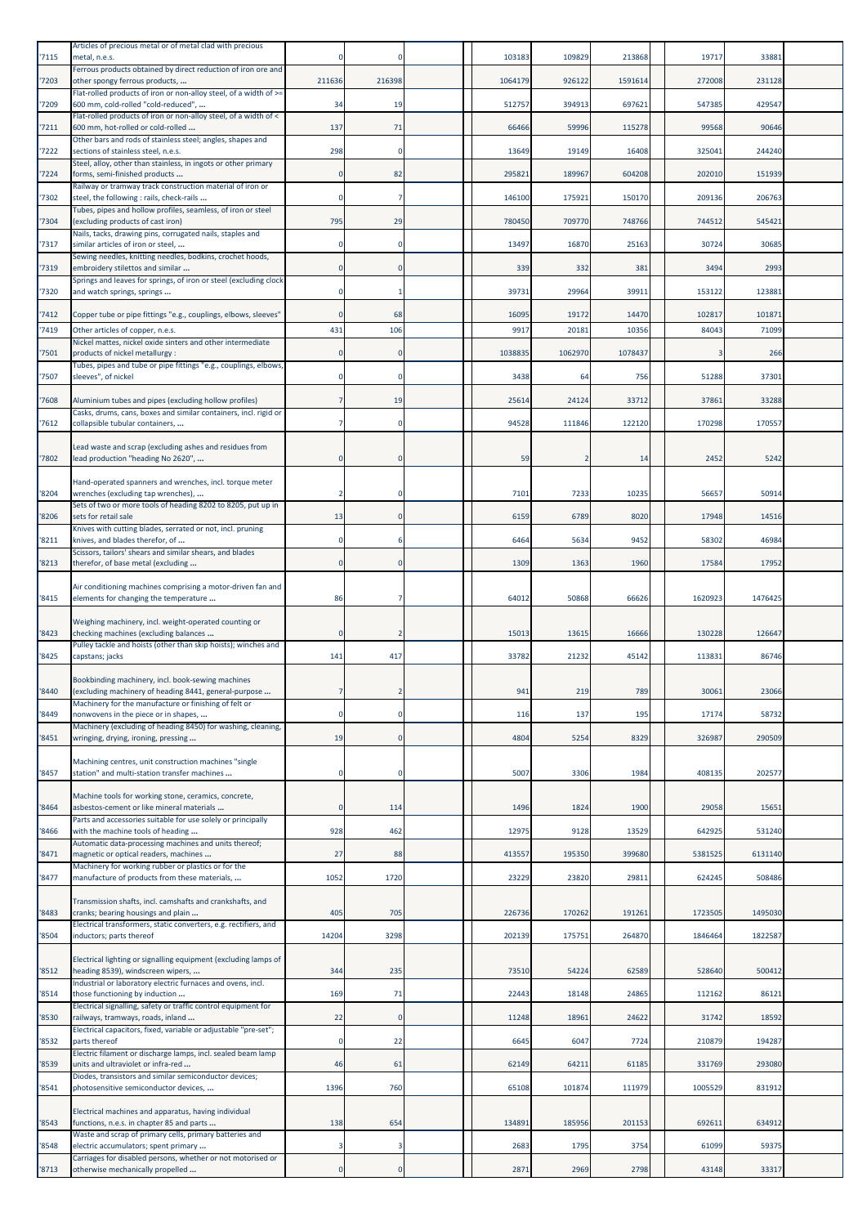| '7115 | Articles of precious metal or of metal clad with precious<br>metal, n.e.s.                                 |          |                | 103183  | 109829  | 213868  | 19717   | 33881   |  |
|-------|------------------------------------------------------------------------------------------------------------|----------|----------------|---------|---------|---------|---------|---------|--|
| '7203 | Ferrous products obtained by direct reduction of iron ore and<br>other spongy ferrous products,            | 211636   | 216398         | 1064179 | 926122  | 1591614 | 272008  | 231128  |  |
| '7209 | Flat-rolled products of iron or non-alloy steel, of a width of >=<br>600 mm, cold-rolled "cold-reduced",   | 34       | 19             | 512757  | 394913  | 697621  | 547385  | 429547  |  |
| 7211  | Flat-rolled products of iron or non-alloy steel, of a width of <<br>600 mm, hot-rolled or cold-rolled      | 137      | 71             | 66466   | 59996   | 115278  | 99568   | 90646   |  |
| '7222 | Other bars and rods of stainless steel; angles, shapes and<br>sections of stainless steel, n.e.s.          | 298      | $\Omega$       | 13649   | 19149   | 16408   | 325041  | 244240  |  |
| 7224  | Steel, alloy, other than stainless, in ingots or other primary<br>forms, semi-finished products            |          | 82             | 295821  | 189967  | 604208  | 202010  | 151939  |  |
| '7302 | Railway or tramway track construction material of iron or<br>steel, the following : rails, check-rails     |          | 7              | 146100  | 175921  | 150170  | 209136  | 206763  |  |
| '7304 | Tubes, pipes and hollow profiles, seamless, of iron or steel<br>(excluding products of cast iron)          | 795      | 29             | 780450  | 709770  | 748766  | 744512  | 545421  |  |
| '7317 | Nails, tacks, drawing pins, corrugated nails, staples and<br>similar articles of iron or steel,            |          |                | 13497   | 16870   | 25163   | 30724   | 30685   |  |
| 7319  | Sewing needles, knitting needles, bodkins, crochet hoods,<br>embroidery stilettos and similar              |          | $\Omega$       | 339     | 332     | 381     | 3494    | 2993    |  |
| '7320 | Springs and leaves for springs, of iron or steel (excluding clock<br>and watch springs, springs            |          |                | 39731   | 29964   | 39911   | 153122  | 123881  |  |
| 7412  | Copper tube or pipe fittings "e.g., couplings, elbows, sleeves"                                            |          | 68             | 16095   | 19172   | 14470   | 102817  | 101871  |  |
| '7419 | Other articles of copper, n.e.s.<br>Nickel mattes, nickel oxide sinters and other intermediate             | 431      | 106            | 9917    | 20181   | 10356   | 84043   | 71099   |  |
| 7501  | products of nickel metallurgy :<br>Tubes, pipes and tube or pipe fittings "e.g., couplings, elbows,        |          |                | 1038835 | 1062970 | 1078437 |         | 266     |  |
| '7507 | sleeves", of nickel                                                                                        |          | $\mathbf 0$    | 3438    | 64      | 756     | 51288   | 37301   |  |
| '7608 | Aluminium tubes and pipes (excluding hollow profiles)                                                      |          | 19             | 25614   | 24124   | 33712   | 37861   | 33288   |  |
| 7612  | Casks, drums, cans, boxes and similar containers, incl. rigid or<br>collapsible tubular containers,        |          |                | 94528   | 111846  | 122120  | 170298  | 170557  |  |
| '7802 | Lead waste and scrap (excluding ashes and residues from<br>lead production "heading No 2620",              |          |                | 59      |         | 14      | 2452    | 5242    |  |
|       | Hand-operated spanners and wrenches, incl. torque meter                                                    |          |                |         |         |         |         |         |  |
| '8204 | wrenches (excluding tap wrenches),<br>Sets of two or more tools of heading 8202 to 8205, put up in         |          |                | 7101    | 7233    | 10235   | 56657   | 50914   |  |
| '8206 | sets for retail sale<br>Knives with cutting blades, serrated or not, incl. pruning                         | 13       | 0              | 6159    | 6789    | 8020    | 17948   | 14516   |  |
| '8211 | knives, and blades therefor, of<br>Scissors, tailors' shears and similar shears, and blades                | n        |                | 6464    | 5634    | 9452    | 58302   | 46984   |  |
| '8213 | therefor, of base metal (excluding                                                                         |          |                | 1309    | 1363    | 1960    | 17584   | 17952   |  |
| '8415 | Air conditioning machines comprising a motor-driven fan and<br>elements for changing the temperature       | 86       |                | 64012   | 50868   | 66626   | 1620923 | 1476425 |  |
| '8423 | Weighing machinery, incl. weight-operated counting or<br>checking machines (excluding balances             |          |                | 15013   | 13615   | 16666   | 130228  | 126647  |  |
| '8425 | Pulley tackle and hoists (other than skip hoists); winches and<br>capstans; jacks                          | 141      | 417            | 33782   | 21232   | 45142   | 113831  | 86746   |  |
| '8440 | Bookbinding machinery, incl. book-sewing machines<br>(excluding machinery of heading 8441, general-purpose | 7        | $\overline{2}$ | 941     | 219     | 789     | 30061   | 23066   |  |
| '8449 | Machinery for the manufacture or finishing of felt or<br>nonwovens in the piece or in shapes,              |          |                | 116     | 137     | 195     | 17174   | 58732   |  |
| '8451 | Machinery (excluding of heading 8450) for washing, cleaning,<br>wringing, drying, ironing, pressing        | 19       |                | 4804    | 5254    | 8329    | 326987  | 290509  |  |
| '8457 | Machining centres, unit construction machines "single<br>station" and multi-station transfer machines      |          |                | 5007    | 3306    | 1984    | 408135  | 202577  |  |
|       | Machine tools for working stone, ceramics, concrete,                                                       |          |                |         |         |         |         |         |  |
| '8464 | asbestos-cement or like mineral materials<br>Parts and accessories suitable for use solely or principally  |          | 114            | 1496    | 1824    | 1900    | 29058   | 15651   |  |
| '8466 | with the machine tools of heading<br>Automatic data-processing machines and units thereof;                 | 928      | 462            | 12975   | 9128    | 13529   | 642925  | 531240  |  |
| '8471 | magnetic or optical readers, machines<br>Machinery for working rubber or plastics or for the               | 27       | 88             | 413557  | 195350  | 399680  | 5381525 | 6131140 |  |
| '8477 | manufacture of products from these materials,                                                              | 1052     | 1720           | 23229   | 23820   | 29811   | 624245  | 508486  |  |
| '8483 | Transmission shafts, incl. camshafts and crankshafts, and<br>cranks; bearing housings and plain            | 405      | 705            | 226736  | 170262  | 191261  | 1723505 | 1495030 |  |
| '8504 | Electrical transformers, static converters, e.g. rectifiers, and<br>inductors; parts thereof               | 14204    | 3298           | 202139  | 175751  | 264870  | 1846464 | 1822587 |  |
| '8512 | Electrical lighting or signalling equipment (excluding lamps of<br>heading 8539), windscreen wipers,       | 344      | 235            | 73510   | 54224   | 62589   | 528640  | 500412  |  |
| '8514 | Industrial or laboratory electric furnaces and ovens, incl.<br>those functioning by induction              | 169      | 71             | 22443   | 18148   | 24865   | 112162  | 86121   |  |
| '8530 | Electrical signalling, safety or traffic control equipment for<br>railways, tramways, roads, inland        | 22       |                | 11248   | 18961   | 24622   | 31742   | 18592   |  |
| '8532 | Electrical capacitors, fixed, variable or adjustable "pre-set";<br>parts thereof                           | $\Omega$ | 22             | 6645    | 6047    | 7724    | 210879  | 194287  |  |
| '8539 | Electric filament or discharge lamps, incl. sealed beam lamp<br>units and ultraviolet or infra-red         | 46       | 61             | 62149   | 64211   | 61185   | 331769  | 293080  |  |
| '8541 | Diodes, transistors and similar semiconductor devices;<br>photosensitive semiconductor devices,            | 1396     | 760            | 65108   | 101874  | 111979  | 1005529 | 831912  |  |
|       | Electrical machines and apparatus, having individual                                                       |          |                |         |         |         |         |         |  |
| '8543 | functions, n.e.s. in chapter 85 and parts<br>Waste and scrap of primary cells, primary batteries and       | 138      | 654            | 134891  | 185956  | 201153  | 692611  | 634912  |  |
| '8548 | electric accumulators; spent primary<br>Carriages for disabled persons, whether or not motorised or        |          | 3              | 2683    | 1795    | 3754    | 61099   | 59375   |  |
| '8713 | otherwise mechanically propelled                                                                           | $\Omega$ | $\Omega$       | 2871    | 2969    | 2798    | 43148   | 33317   |  |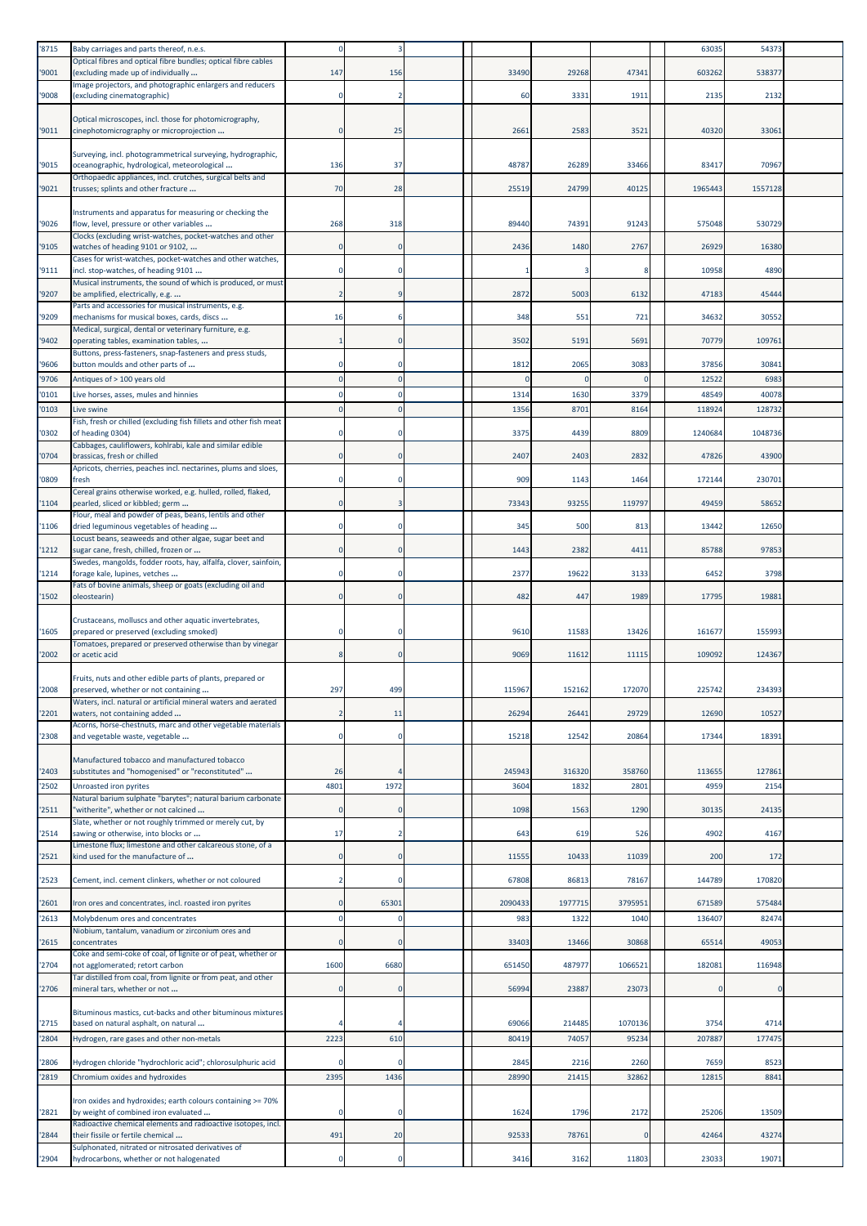| '8715 | Baby carriages and parts thereof, n.e.s.                                                                                                                          |                |                |         |         |          | 63035   | 54373   |  |
|-------|-------------------------------------------------------------------------------------------------------------------------------------------------------------------|----------------|----------------|---------|---------|----------|---------|---------|--|
| '9001 | Optical fibres and optical fibre bundles; optical fibre cables<br>(excluding made up of individually                                                              | 147            | 156            | 33490   | 29268   | 47341    | 603262  | 538377  |  |
|       | Image projectors, and photographic enlargers and reducers                                                                                                         |                |                |         |         |          |         |         |  |
| '9008 | (excluding cinematographic)                                                                                                                                       |                | $\overline{2}$ | 60      | 3331    | 1911     | 2135    | 2132    |  |
| '9011 | Optical microscopes, incl. those for photomicrography,<br>cinephotomicrography or microprojection                                                                 | $\mathbf 0$    | 25             | 266     | 2583    | 3521     | 40320   | 3306    |  |
| '9015 | Surveying, incl. photogrammetrical surveying, hydrographic,<br>oceanographic, hydrological, meteorological                                                        | 136            | 37             | 48787   | 26289   | 33466    | 83417   | 70967   |  |
| '9021 | Orthopaedic appliances, incl. crutches, surgical belts and<br>trusses; splints and other fracture                                                                 | 70             | 28             | 25519   | 24799   | 40125    | 1965443 | 1557128 |  |
|       |                                                                                                                                                                   |                |                |         |         |          |         |         |  |
| '9026 | Instruments and apparatus for measuring or checking the<br>flow, level, pressure or other variables<br>Clocks (excluding wrist-watches, pocket-watches and other  | 268            | 318            | 89440   | 74391   | 91243    | 575048  | 530729  |  |
| '9105 | watches of heading 9101 or 9102,                                                                                                                                  | $\mathbf 0$    | $\Omega$       | 2436    | 1480    | 2767     | 26929   | 16380   |  |
| '9111 | Cases for wrist-watches, pocket-watches and other watches,<br>incl. stop-watches, of heading 9101<br>Musical instruments, the sound of which is produced, or must | $\mathbf 0$    |                |         |         |          | 10958   | 4890    |  |
| '9207 | be amplified, electrically, e.g.                                                                                                                                  | $\overline{2}$ | <sub>9</sub>   | 2872    | 5003    | 6132     | 47183   | 45444   |  |
| '9209 | Parts and accessories for musical instruments, e.g.<br>mechanisms for musical boxes, cards, discs                                                                 | 16             |                | 348     | 551     | 721      | 34632   | 30552   |  |
| '9402 | Medical, surgical, dental or veterinary furniture, e.g.<br>operating tables, examination tables,                                                                  |                | $\mathbf 0$    | 3502    | 5191    | 5691     | 70779   | 10976:  |  |
| '9606 | Buttons, press-fasteners, snap-fasteners and press studs,<br>button moulds and other parts of                                                                     | $\mathbf 0$    | $\Omega$       | 1812    | 2065    | 3083     | 37856   | 3084    |  |
| '9706 | Antiques of > 100 years old                                                                                                                                       | $\Omega$       |                |         |         | $\Omega$ | 12522   | 6983    |  |
| '0101 | Live horses, asses, mules and hinnies                                                                                                                             | $\Omega$       | $\Omega$       | 131     | 1630    | 3379     | 48549   | 40078   |  |
| '0103 | Live swine<br>Fish, fresh or chilled (excluding fish fillets and other fish meat                                                                                  |                |                | 1356    | 8701    | 8164     | 118924  | 128732  |  |
| '0302 | of heading 0304)<br>Cabbages, cauliflowers, kohlrabi, kale and similar edible                                                                                     | 0              |                | 3375    | 4439    | 8809     | 1240684 | 1048736 |  |
| '0704 | brassicas, fresh or chilled<br>Apricots, cherries, peaches incl. nectarines, plums and sloes,                                                                     | $\mathbf 0$    | $\mathbf 0$    | 2407    | 2403    | 2832     | 47826   | 43900   |  |
| '0809 | fresh<br>Cereal grains otherwise worked, e.g. hulled, rolled, flaked,                                                                                             | $\mathbf 0$    | $\Omega$       | 909     | 1143    | 1464     | 172144  | 230701  |  |
| '1104 | pearled, sliced or kibbled; germ<br>Flour, meal and powder of peas, beans, lentils and other                                                                      | $\mathbf 0$    | 3              | 73343   | 93255   | 119797   | 49459   | 58652   |  |
| '1106 | dried leguminous vegetables of heading<br>Locust beans, seaweeds and other algae, sugar beet and                                                                  | $\mathbf 0$    | $\Omega$       | 345     | 500     | 813      | 13442   | 12650   |  |
| '1212 | sugar cane, fresh, chilled, frozen or<br>Swedes, mangolds, fodder roots, hay, alfalfa, clover, sainfoin,                                                          | $\mathbf 0$    | $\mathbf 0$    | 1443    | 2382    | 4411     | 85788   | 97853   |  |
| '1214 | forage kale, lupines, vetches                                                                                                                                     | $\mathbf 0$    | $\Omega$       | 2377    | 19622   | 3133     | 6452    | 3798    |  |
| '1502 | Fats of bovine animals, sheep or goats (excluding oil and<br>oleostearin)                                                                                         | $\Omega$       | $\Omega$       | 482     | 447     | 1989     | 17795   | 19881   |  |
| '1605 | Crustaceans, molluscs and other aquatic invertebrates,<br>prepared or preserved (excluding smoked)                                                                | $\mathbf 0$    | $^{\circ}$     | 9610    | 11583   | 13426    | 161677  | 155993  |  |
| '2002 | Tomatoes, prepared or preserved otherwise than by vinegar<br>or acetic acid                                                                                       | 8              | $\mathbf 0$    | 9069    | 11612   | 11115    | 109092  | 124367  |  |
|       | Fruits, nuts and other edible parts of plants, prepared or                                                                                                        |                |                |         |         |          |         |         |  |
| '2008 | preserved, whether or not containing<br>Waters, incl. natural or artificial mineral waters and aerated                                                            | 297            | 499            | 115967  | 152162  | 172070   | 225742  | 234393  |  |
| '2201 | waters, not containing added<br>Acorns, horse-chestnuts, marc and other vegetable materials                                                                       | 2              | 11             | 26294   | 26441   | 29729    | 12690   | 10527   |  |
| '2308 | and vegetable waste, vegetable                                                                                                                                    | $\Omega$       | $\Omega$       | 15218   | 12542   | 20864    | 17344   | 18391   |  |
| '2403 | Manufactured tobacco and manufactured tobacco<br>substitutes and "homogenised" or "reconstituted"                                                                 | 26             |                | 245943  | 316320  | 358760   | 113655  | 127861  |  |
| '2502 | Unroasted iron pyrites                                                                                                                                            | 4801           | 1972           | 360     | 1832    | 2801     | 4959    | 2154    |  |
| '2511 | Natural barium sulphate "barytes"; natural barium carbonate<br>'witherite", whether or not calcined<br>Slate, whether or not roughly trimmed or merely cut, by    | $\mathbf 0$    | $\mathbf 0$    | 1098    | 1563    | 1290     | 30135   | 24135   |  |
| '2514 | sawing or otherwise, into blocks or<br>Limestone flux; limestone and other calcareous stone, of a                                                                 | 17             | 2              | 643     | 619     | 526      | 4902    | 4167    |  |
| '2521 | kind used for the manufacture of                                                                                                                                  | $\mathbf 0$    | $\Omega$       | 11555   | 10433   | 11039    | 200     | 172     |  |
| '2523 | Cement, incl. cement clinkers, whether or not coloured                                                                                                            | $\overline{2}$ | $\Omega$       | 67808   | 86813   | 78167    | 144789  | 170820  |  |
| '2601 | Iron ores and concentrates, incl. roasted iron pyrites                                                                                                            | $\Omega$       | 65301          | 2090433 | 1977715 | 3795951  | 671589  | 575484  |  |
| '2613 | Molybdenum ores and concentrates<br>Niobium, tantalum, vanadium or zirconium ores and                                                                             | $\mathbf 0$    | $\Omega$       | 983     | 1322    | 1040     | 136407  | 82474   |  |
| '2615 | concentrates<br>Coke and semi-coke of coal, of lignite or of peat, whether or                                                                                     | $\mathbf 0$    | $\Omega$       | 33403   | 13466   | 30868    | 65514   | 49053   |  |
| '2704 | not agglomerated; retort carbon<br>Tar distilled from coal, from lignite or from peat, and other                                                                  | 1600           | 6680           | 651450  | 487977  | 1066521  | 182081  | 116948  |  |
| '2706 | mineral tars, whether or not                                                                                                                                      | $\mathbf 0$    | $\Omega$       | 56994   | 23887   | 23073    |         |         |  |
| '2715 | Bituminous mastics, cut-backs and other bituminous mixtures<br>based on natural asphalt, on natural                                                               |                | 4              | 69066   | 214485  | 1070136  | 3754    | 4714    |  |
| '2804 | Hydrogen, rare gases and other non-metals                                                                                                                         | 2223           | 610            | 80419   | 74057   | 95234    | 207887  | 177475  |  |
| '2806 | Hydrogen chloride "hydrochloric acid"; chlorosulphuric acid                                                                                                       | $\Omega$       |                | 2845    | 2216    | 2260     | 7659    | 8523    |  |
| '2819 | Chromium oxides and hydroxides                                                                                                                                    | 2395           | 1436           | 28990   | 21415   | 32862    | 12815   | 884     |  |
| '2821 | Iron oxides and hydroxides; earth colours containing >= 70%<br>by weight of combined iron evaluated                                                               | $\Omega$       | $\Omega$       | 1624    | 1796    | 2172     | 25206   | 13509   |  |
|       | Radioactive chemical elements and radioactive isotopes, incl.                                                                                                     |                |                |         |         | O        |         |         |  |
| '2844 | their fissile or fertile chemical<br>Sulphonated, nitrated or nitrosated derivatives of                                                                           | 491            | 20             | 92533   | 78761   |          | 42464   | 43274   |  |
| '2904 | hydrocarbons, whether or not halogenated                                                                                                                          | $\mathbf 0$    | $\Omega$       | 3416    | 3162    | 11803    | 23033   | 19071   |  |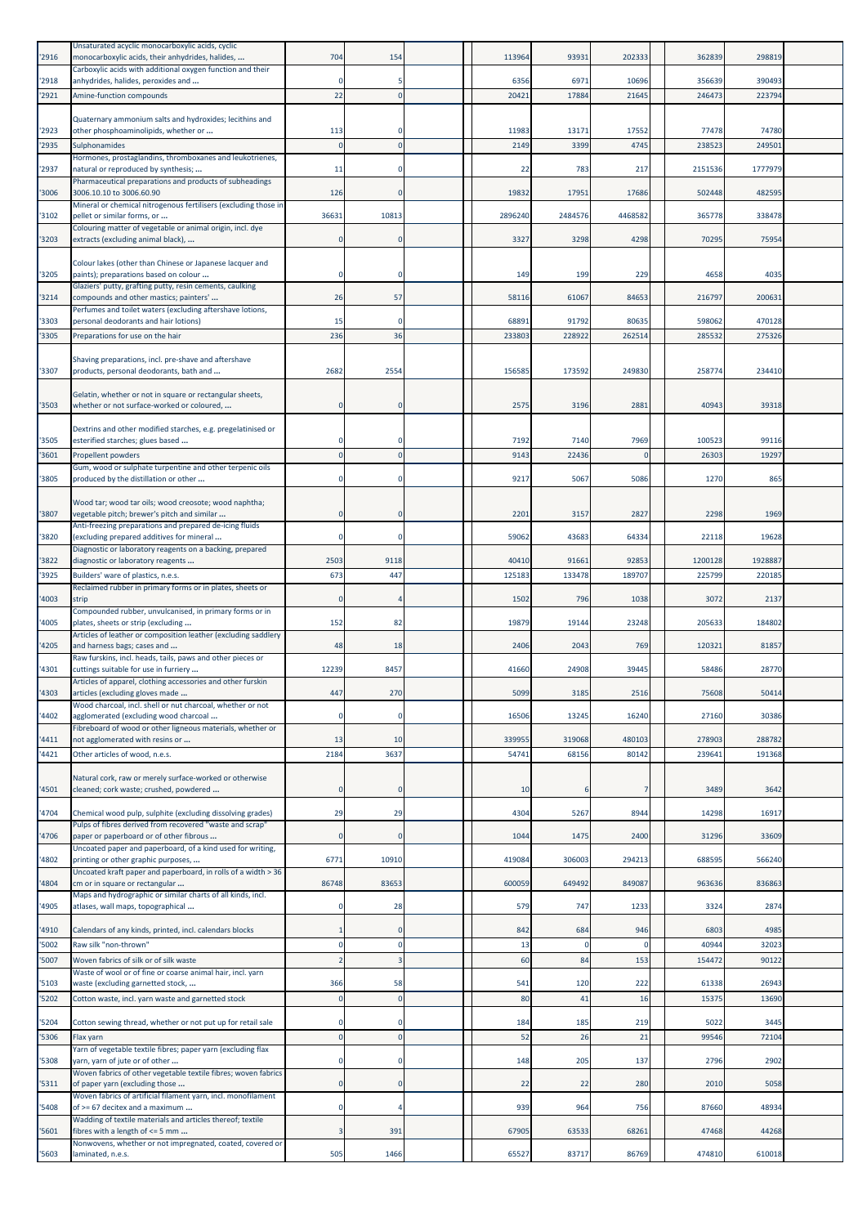| '2916         | Unsaturated acyclic monocarboxylic acids, cyclic<br>monocarboxylic acids, their anhydrides, halides,   | 704        | 154         | 113964          | 93931          | 202333          | 362839           | 298819           |  |
|---------------|--------------------------------------------------------------------------------------------------------|------------|-------------|-----------------|----------------|-----------------|------------------|------------------|--|
| '2918         | Carboxylic acids with additional oxygen function and their<br>anhydrides, halides, peroxides and       |            | 5           | 6356            | 6971           | 10696           | 356639           | 390493           |  |
| '2921         | Amine-function compounds                                                                               | 22         | $\Omega$    | 20421           | 1788           | 21645           | 246473           | 223794           |  |
|               | Quaternary ammonium salts and hydroxides; lecithins and                                                |            |             |                 |                |                 |                  |                  |  |
| '2923         | other phosphoaminolipids, whether or                                                                   | 113        |             | 11983           | 13171          | 17552           | 77478            | 74780            |  |
| '2935         | Sulphonamides<br>Hormones, prostaglandins, thromboxanes and leukotrienes,                              |            |             | 2149            | 3399           | 4745            | 238523           | 249501           |  |
| '2937         | natural or reproduced by synthesis;                                                                    | 11         | $\mathbf 0$ | 22              | 783            | 217             | 2151536          | 1777979          |  |
| '3006         | Pharmaceutical preparations and products of subheadings<br>3006.10.10 to 3006.60.90                    | 126        | $\Omega$    | 19832           | 17951          | 17686           | 502448           | 482595           |  |
| '3102         | Mineral or chemical nitrogenous fertilisers (excluding those in<br>pellet or similar forms, or         | 36631      | 10813       | 2896240         | 2484576        | 4468582         | 365778           | 338478           |  |
|               | Colouring matter of vegetable or animal origin, incl. dye                                              |            |             |                 |                |                 |                  |                  |  |
| '3203         | extracts (excluding animal black),                                                                     |            | $\Omega$    | 3327            | 3298           | 4298            | 70295            | 75954            |  |
| '3205         | Colour lakes (other than Chinese or Japanese lacquer and<br>paints); preparations based on colour      | $\Omega$   |             | 149             | 199            | 229             | 4658             | 4035             |  |
|               | Glaziers' putty, grafting putty, resin cements, caulking                                               |            |             |                 |                |                 |                  |                  |  |
| 3214          | compounds and other mastics; painters'<br>Perfumes and toilet waters (excluding aftershave lotions,    | 26         | 57          | 58116           | 61067          | 84653           | 216797           | 200631           |  |
| '3303         | personal deodorants and hair lotions)                                                                  | 15         |             | 68891           | 91792          | 80635           | 598062           | 470128           |  |
| '3305         | Preparations for use on the hair                                                                       | 236        | 36          | 233803          | 228922         | 262514          | 285532           | 275326           |  |
| '3307         | Shaving preparations, incl. pre-shave and aftershave<br>products, personal deodorants, bath and        | 2682       | 2554        | 156585          | 173592         | 249830          | 258774           | 234410           |  |
|               |                                                                                                        |            |             |                 |                |                 |                  |                  |  |
| '3503         | Gelatin, whether or not in square or rectangular sheets,<br>whether or not surface-worked or coloured, |            | $\Omega$    | 2575            | 3196           | 2881            | 40943            | 39318            |  |
|               |                                                                                                        |            |             |                 |                |                 |                  |                  |  |
| '3505         | Dextrins and other modified starches, e.g. pregelatinised or<br>esterified starches; glues based       |            |             | 7192            | 7140           | 7969            | 100523           | 99116            |  |
| '3601         | Propellent powders                                                                                     |            |             | 9143            | 22436          |                 | 26303            | 19297            |  |
| '3805         | Gum, wood or sulphate turpentine and other terpenic oils<br>produced by the distillation or other      | $\Omega$   |             | 9217            | 5067           | 5086            | 1270             | 865              |  |
|               | Wood tar; wood tar oils; wood creosote; wood naphtha;                                                  |            |             |                 |                |                 |                  |                  |  |
| '3807         | vegetable pitch; brewer's pitch and similar                                                            | $\Omega$   | $\Omega$    | 220:            | 3157           | 2827            | 2298             | 1969             |  |
| '3820         | Anti-freezing preparations and prepared de-icing fluids<br>(excluding prepared additives for mineral   | $\Omega$   | $\Omega$    | 59062           | 43683          | 64334           | 22118            | 19628            |  |
| '3822         | Diagnostic or laboratory reagents on a backing, prepared<br>diagnostic or laboratory reagents          | 2503       | 9118        | 40410           | 91661          | 92853           | 1200128          | 1928887          |  |
| '3925         | Builders' ware of plastics, n.e.s.                                                                     | 673        | 447         | 125183          | 133478         | 189707          | 225799           | 220185           |  |
| '4003         | Reclaimed rubber in primary forms or in plates, sheets or<br>strip                                     |            |             | 1502            | 796            | 1038            | 3072             | 2137             |  |
|               | Compounded rubber, unvulcanised, in primary forms or in                                                |            |             |                 |                |                 |                  |                  |  |
| '4005         | plates, sheets or strip (excluding<br>Articles of leather or composition leather (excluding saddlery   | 152        | 82          | 19879           | 19144          | 23248           | 205633           | 184802           |  |
| '4205         | and harness bags; cases and<br>Raw furskins, incl. heads, tails, paws and other pieces or              | 48         | 18          | 2406            | 2043           | 769             | 120321           | 81857            |  |
| '4301         | cuttings suitable for use in furriery                                                                  | 12239      | 8457        | 41660           | 24908          | 39445           | 58486            | 28770            |  |
| '4303         | Articles of apparel, clothing accessories and other furskin<br>articles (excluding gloves made         | 447        | 270         | 5099            | 3185           | 2516            | 75608            | 50414            |  |
| '4402         | Wood charcoal, incl. shell or nut charcoal, whether or not<br>agglomerated (excluding wood charcoal    | $\Omega$   | $\Omega$    | 16506           | 13245          | 16240           | 27160            | 30386            |  |
|               | Fibreboard of wood or other ligneous materials, whether or                                             |            |             |                 |                |                 |                  |                  |  |
| 4411<br>'4421 | not agglomerated with resins or<br>Other articles of wood, n.e.s.                                      | 13<br>2184 | 10<br>3637  | 339955<br>54741 | 319068<br>6815 | 480103<br>80142 | 278903<br>239641 | 288782<br>191368 |  |
|               |                                                                                                        |            |             |                 |                |                 |                  |                  |  |
| '4501         | Natural cork, raw or merely surface-worked or otherwise<br>cleaned; cork waste; crushed, powdered      | $\Omega$   | $\Omega$    | 10              | 6              | 7               | 3489             | 3642             |  |
| '4704         | Chemical wood pulp, sulphite (excluding dissolving grades)                                             | 29         | 29          | 4304            | 5267           | 8944            | 14298            | 16917            |  |
|               | Pulps of fibres derived from recovered "waste and scrap"                                               |            |             |                 |                |                 |                  |                  |  |
| '4706         | paper or paperboard or of other fibrous<br>Uncoated paper and paperboard, of a kind used for writing,  |            | $\Omega$    | 1044            | 1475           | 2400            | 31296            | 33609            |  |
| '4802         | printing or other graphic purposes,<br>Uncoated kraft paper and paperboard, in rolls of a width > 36   | 6771       | 10910       | 419084          | 306003         | 294213          | 688595           | 566240           |  |
| 4804          | cm or in square or rectangular                                                                         | 86748      | 83653       | 600059          | 649492         | 849087          | 963636           | 836863           |  |
| '4905         | Maps and hydrographic or similar charts of all kinds, incl.<br>atlases, wall maps, topographical       | 0          | 28          | 579             | 747            | 1233            | 3324             | 2874             |  |
| '4910         | Calendars of any kinds, printed, incl. calendars blocks                                                |            | $\Omega$    | 842             | 684            | 946             | 6803             | 4985             |  |
| '5002         | Raw silk "non-thrown"                                                                                  | $\Omega$   | $\Omega$    | 13              |                | $\Omega$        | 40944            | 32023            |  |
| '5007         | Woven fabrics of silk or of silk waste                                                                 |            |             | 60              | 84             | 153             | 154472           | 90122            |  |
| '5103         | Waste of wool or of fine or coarse animal hair, incl. yarn<br>waste (excluding garnetted stock,        | 366        | 58          | 541             | 120            | 222             | 61338            | 26943            |  |
| '5202         | Cotton waste, incl. yarn waste and garnetted stock                                                     | $\Omega$   | $\Omega$    | 80              | 41             | 16              | 15375            | 13690            |  |
| '5204         | Cotton sewing thread, whether or not put up for retail sale                                            | $\Omega$   | n           | 184             | 185            | 219             | 5022             | 3445             |  |
| '5306         | Flax yarn                                                                                              | $\Omega$   | n           | 52              | 26             | 21              | 99546            | 72104            |  |
| '5308         | Yarn of vegetable textile fibres; paper yarn (excluding flax<br>yarn, yarn of jute or of other         | $\Omega$   | $\Omega$    | 148             | 205            | 137             | 2796             | 2902             |  |
|               | Woven fabrics of other vegetable textile fibres; woven fabrics                                         | O          | $\Omega$    |                 |                |                 |                  |                  |  |
| '5311         | of paper yarn (excluding those<br>Woven fabrics of artificial filament yarn, incl. monofilament        |            |             | 22              | 22             | 280             | 2010             | 5058             |  |
| 5408          | of >= 67 decitex and a maximum<br>Wadding of textile materials and articles thereof; textile           | 0          |             | 939             | 964            | 756             | 87660            | 48934            |  |
| '5601         | fibres with a length of <= 5 mm                                                                        | 3          | 391         | 67905           | 63533          | 68261           | 47468            | 44268            |  |
| '5603         | Nonwovens, whether or not impregnated, coated, covered or<br>laminated, n.e.s.                         | 505        | 1466        | 65527           | 83717          | 86769           | 474810           | 610018           |  |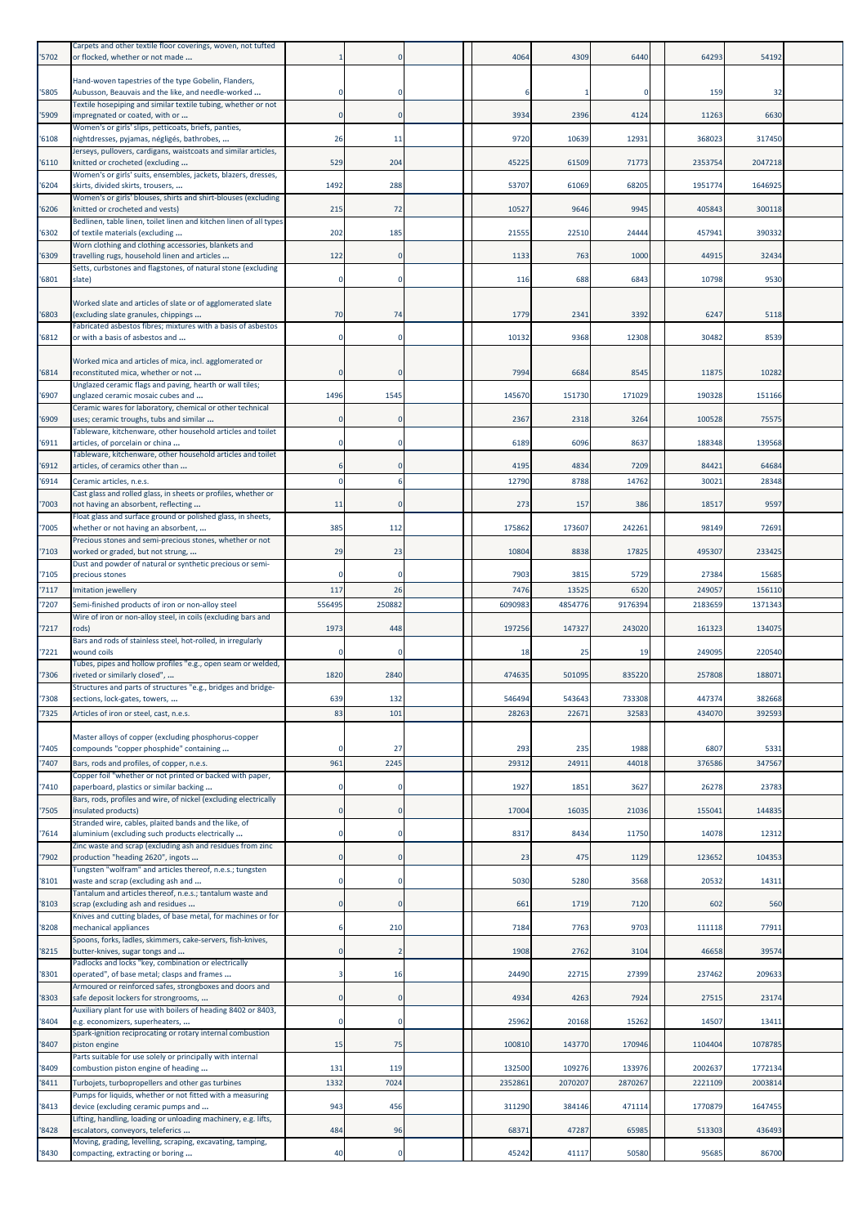| '5702          | Carpets and other textile floor coverings, woven, not tufted<br>or flocked, whether or not made            |           |                | 4064            | 4309           | 6440            | 64293            | 54192            |  |
|----------------|------------------------------------------------------------------------------------------------------------|-----------|----------------|-----------------|----------------|-----------------|------------------|------------------|--|
| '5805          | Hand-woven tapestries of the type Gobelin, Flanders,<br>Aubusson, Beauvais and the like, and needle-worked |           |                |                 |                | n               | 159              | 32               |  |
| '5909          | Textile hosepiping and similar textile tubing, whether or not<br>impregnated or coated, with or            | $\Omega$  | $\mathbf 0$    | 3934            | 2396           | 4124            | 11263            | 6630             |  |
| '6108          | Women's or girls' slips, petticoats, briefs, panties,<br>nightdresses, pyjamas, négligés, bathrobes,       | 26        | 11             | 9720            | 10639          | 12931           | 368023           | 317450           |  |
| '6110          | Jerseys, pullovers, cardigans, waistcoats and similar articles,<br>knitted or crocheted (excluding         | 529       | 204            | 45225           | 61509          | 71773           | 2353754          | 2047218          |  |
|                | Women's or girls' suits, ensembles, jackets, blazers, dresses,                                             |           |                |                 |                |                 |                  |                  |  |
| '6204          | skirts, divided skirts, trousers,<br>Women's or girls' blouses, shirts and shirt-blouses (excluding        | 1492      | 288            | 53707           | 61069          | 68205           | 1951774          | 1646925          |  |
| '6206          | knitted or crocheted and vests)<br>Bedlinen, table linen, toilet linen and kitchen linen of all types      | 215       | 72             | 10527           | 9646           | 9945            | 405843           | 300118           |  |
| '6302          | of textile materials (excluding<br>Worn clothing and clothing accessories, blankets and                    | 202       | 185            | 21555           | 22510          | 24444           | 457941           | 390332           |  |
| '6309          | travelling rugs, household linen and articles                                                              | 122       | $\Omega$       | 1133            | 763            | 1000            | 44915            | 32434            |  |
| '6801          | Setts, curbstones and flagstones, of natural stone (excluding<br>slate)                                    | $\Omega$  | $\Omega$       | 116             | 688            | 6843            | 10798            | 9530             |  |
| '6803          | Worked slate and articles of slate or of agglomerated slate<br>(excluding slate granules, chippings        | 70        | 74             | 1779            | 2341           | 3392            | 6247             | 5118             |  |
| 16812          | Fabricated asbestos fibres; mixtures with a basis of asbestos<br>or with a basis of asbestos and           |           |                | 10132           | 9368           | 12308           | 30482            | 8539             |  |
| 16814          | Worked mica and articles of mica, incl. agglomerated or<br>reconstituted mica, whether or not              |           |                | 7994            | 6684           | 8545            | 11875            | 10282            |  |
| '6907          | Unglazed ceramic flags and paving, hearth or wall tiles;<br>unglazed ceramic mosaic cubes and              | 1496      | 1545           | 145670          | 151730         | 171029          | 190328           | 151166           |  |
| '6909          | Ceramic wares for laboratory, chemical or other technical<br>uses; ceramic troughs, tubs and similar       |           | $\Omega$       | 2367            | 2318           | 3264            | 100528           | 75575            |  |
| '6911          | Tableware, kitchenware, other household articles and toilet<br>articles, of porcelain or china             |           |                | 6189            | 6096           | 8637            | 188348           | 139568           |  |
| '6912          | Tableware, kitchenware, other household articles and toilet<br>articles, of ceramics other than            |           |                | 4195            | 4834           | 7209            | 84421            | 64684            |  |
| '6914          | Ceramic articles, n.e.s.                                                                                   |           |                | 12790           | 8788           | 14762           | 30021            | 28348            |  |
| 7003           | Cast glass and rolled glass, in sheets or profiles, whether or<br>not having an absorbent, reflecting      | 11        | $\Omega$       | 273             | 157            | 386             | 18517            | 9597             |  |
| '7005          | Float glass and surface ground or polished glass, in sheets,<br>whether or not having an absorbent,        | 385       | 112            | 175862          | 173607         | 242261          | 98149            | 72691            |  |
|                | Precious stones and semi-precious stones, whether or not                                                   | 29        |                |                 |                | 17825           |                  | 233425           |  |
| 7103           | worked or graded, but not strung,<br>Dust and powder of natural or synthetic precious or semi-             |           | 23             | 10804           | 8838           |                 | 495307           |                  |  |
| '7105<br>'7117 | precious stones<br>Imitation jewellery                                                                     | 117       | 26             | 7903<br>7476    | 3815<br>13525  | 5729<br>6520    | 27384<br>249057  | 15685<br>156110  |  |
| 7207           | Semi-finished products of iron or non-alloy steel                                                          | 556495    | 250882         | 6090983         | 4854776        | 9176394         | 2183659          | 1371343          |  |
| '7217          | Wire of iron or non-alloy steel, in coils (excluding bars and<br>rods)                                     | 1973      | 448            | 197256          | 147327         | 243020          | 161323           | 134075           |  |
| '7221          | Bars and rods of stainless steel, hot-rolled, in irregularly<br>wound coils                                |           |                | 18              | 25             | 19              | 249095           | 220540           |  |
| '7306          | Tubes, pipes and hollow profiles "e.g., open seam or welded,<br>riveted or similarly closed",              | 1820      | 2840           | 474635          | 501095         | 835220          | 257808           | 188071           |  |
|                | Structures and parts of structures "e.g., bridges and bridge-                                              |           |                |                 |                |                 |                  |                  |  |
| '7308<br>'7325 | sections, lock-gates, towers,<br>Articles of iron or steel, cast, n.e.s.                                   | 639<br>83 | 132<br>101     | 546494<br>28263 | 543643<br>2267 | 733308<br>32583 | 447374<br>434070 | 382668<br>392593 |  |
|                | Master alloys of copper (excluding phosphorus-copper                                                       |           |                |                 |                |                 |                  |                  |  |
| '7405          | compounds "copper phosphide" containing                                                                    |           | 27             | 293             | 235            | 1988            | 6807             | 5331             |  |
| '7407          | Bars, rods and profiles, of copper, n.e.s.<br>Copper foil "whether or not printed or backed with paper,    | 961       | 2245           | 29312           | 2491           | 44018           | 376586           | 347567           |  |
| 7410           | paperboard, plastics or similar backing                                                                    |           | $\Omega$       | 1927            | 185            | 3627            | 26278            | 23783            |  |
| '7505          | Bars, rods, profiles and wire, of nickel (excluding electrically<br>insulated products)                    | 0         | $\mathbf 0$    | 17004           | 16035          | 21036           | 155041           | 144835           |  |
| '7614          | Stranded wire, cables, plaited bands and the like, of<br>aluminium (excluding such products electrically   | $\Omega$  | $\Omega$       | 8317            | 8434           | 11750           | 14078            | 12312            |  |
| 7902           | Zinc waste and scrap (excluding ash and residues from zinc<br>production "heading 2620", ingots            | $\Omega$  | $\mathbf 0$    | 23              | 475            | 1129            | 123652           | 104353           |  |
| '8101          | Tungsten "wolfram" and articles thereof, n.e.s.; tungsten<br>waste and scrap (excluding ash and            | 0         | $\mathbf 0$    | 5030            | 5280           | 3568            | 20532            | 14311            |  |
|                | Tantalum and articles thereof, n.e.s.; tantalum waste and                                                  |           |                |                 |                |                 |                  |                  |  |
| '8103          | scrap (excluding ash and residues<br>Knives and cutting blades, of base metal, for machines or for         |           | $\Omega$       | 661             | 1719           | 7120            | 602              | 560              |  |
| '8208          | mechanical appliances<br>Spoons, forks, ladles, skimmers, cake-servers, fish-knives,                       | 6         | 210            | 7184            | 7763           | 9703            | 111118           | 77911            |  |
| '8215          | butter-knives, sugar tongs and<br>Padlocks and locks "key, combination or electrically                     | $\Omega$  | $\overline{2}$ | 1908            | 2762           | 3104            | 46658            | 39574            |  |
| '8301          | operated", of base metal; clasps and frames<br>Armoured or reinforced safes, strongboxes and doors and     |           | 16             | 24490           | 22715          | 27399           | 237462           | 209633           |  |
| '8303          | safe deposit lockers for strongrooms,                                                                      | 0         | $\mathbf 0$    | 4934            | 4263           | 7924            | 27515            | 23174            |  |
| '8404          | Auxiliary plant for use with boilers of heading 8402 or 8403,<br>e.g. economizers, superheaters,           | $\Omega$  | $\mathbf 0$    | 25962           | 20168          | 15262           | 14507            | 13411            |  |
| '8407          | Spark-ignition reciprocating or rotary internal combustion<br>piston engine                                | 15        | 75             | 100810          | 143770         | 170946          | 1104404          | 1078785          |  |
| '8409          | Parts suitable for use solely or principally with internal<br>combustion piston engine of heading          | 131       | 119            | 132500          | 109276         | 133976          | 2002637          | 1772134          |  |
| '8411          | Turbojets, turbopropellers and other gas turbines                                                          | 1332      | 7024           | 2352861         | 207020         | 2870267         | 2221109          | 2003814          |  |
| '8413          | Pumps for liquids, whether or not fitted with a measuring<br>device (excluding ceramic pumps and           | 943       | 456            | 311290          | 384146         | 471114          | 1770879          | 1647455          |  |
|                | Lifting, handling, loading or unloading machinery, e.g. lifts,                                             | 484       | 96             | 68371           | 4728           | 65985           | 513303           | 436493           |  |
| '8428          | escalators, conveyors, teleferics<br>Moving, grading, levelling, scraping, excavating, tamping,            |           |                |                 |                |                 |                  |                  |  |
| '8430          | compacting, extracting or boring                                                                           | 40        | $\mathbf 0$    | 45242           | 41117          | 50580           | 95685            | 86700            |  |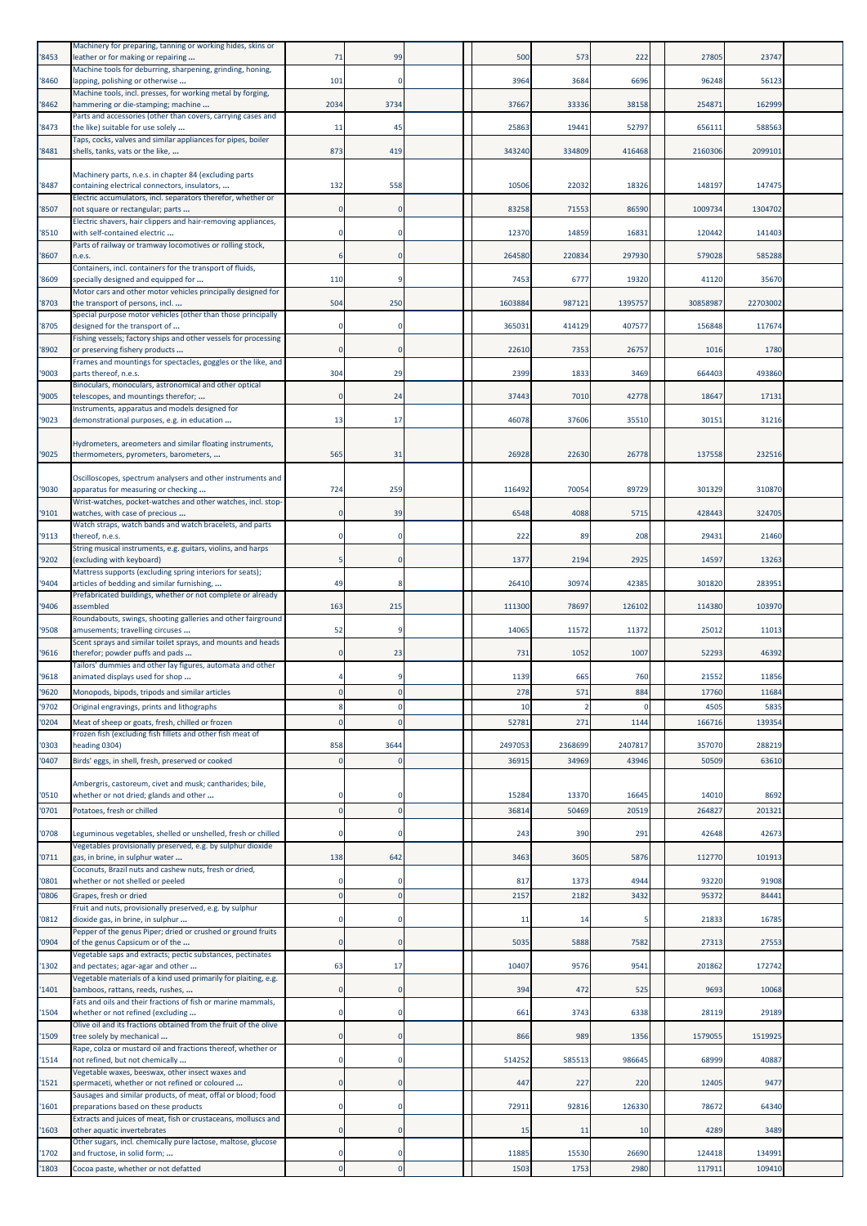| '8453          | Machinery for preparing, tanning or working hides, skins or<br>leather or for making or repairing                            | 71       | 99          | 500       | 573           | 222           | 27805            | 23747         |  |
|----------------|------------------------------------------------------------------------------------------------------------------------------|----------|-------------|-----------|---------------|---------------|------------------|---------------|--|
|                | Machine tools for deburring, sharpening, grinding, honing,                                                                   | 101      | $\mathbf 0$ | 3964      | 3684          | 6696          | 96248            | 56123         |  |
| '8460          | lapping, polishing or otherwise<br>Machine tools, incl. presses, for working metal by forging,                               |          |             |           |               |               |                  |               |  |
| '8462          | hammering or die-stamping; machine<br>Parts and accessories (other than covers, carrying cases and                           | 2034     | 3734        | 37667     | 33336         | 38158         | 254871           | 162999        |  |
| '8473          | the like) suitable for use solely<br>Taps, cocks, valves and similar appliances for pipes, boiler                            | 11       | 45          | 25863     | 19441         | 52797         | 656111           | 588563        |  |
| '8481          | shells, tanks, vats or the like,                                                                                             | 873      | 419         | 343240    | 334809        | 416468        | 2160306          | 2099101       |  |
| '8487          | Machinery parts, n.e.s. in chapter 84 (excluding parts<br>containing electrical connectors, insulators,                      | 132      | 558         | 10506     | 22032         | 18326         | 148197           | 147475        |  |
| '8507          | Electric accumulators, incl. separators therefor, whether or<br>not square or rectangular; parts                             |          | $\Omega$    | 83258     | 71553         | 86590         | 1009734          | 1304702       |  |
| '8510          | Electric shavers, hair clippers and hair-removing appliances,<br>with self-contained electric                                |          |             | 12370     | 14859         | 16831         | 120442           | 141403        |  |
| '8607          | Parts of railway or tramway locomotives or rolling stock,<br>n.e.s.                                                          |          | 0           | 264580    | 220834        | 297930        | 579028           | 585288        |  |
|                | Containers, incl. containers for the transport of fluids,                                                                    |          |             |           |               |               |                  |               |  |
| '8609          | specially designed and equipped for<br>Motor cars and other motor vehicles principally designed for                          | 110      |             | 7453      | 6777          | 19320         | 41120            | 35670         |  |
| '8703          | the transport of persons, incl<br>Special purpose motor vehicles (other than those principally                               | 504      | 250         | 1603884   | 987121        | 1395757       | 30858987         | 22703002      |  |
| '8705          | designed for the transport of<br>Fishing vessels; factory ships and other vessels for processing                             |          |             | 365031    | 414129        | 407577        | 156848           | 117674        |  |
| '8902          | or preserving fishery products                                                                                               |          |             | 22610     | 7353          | 26757         | 1016             | 1780          |  |
| '9003          | Frames and mountings for spectacles, goggles or the like, and<br>parts thereof, n.e.s.                                       | 304      | 29          | 2399      | 1833          | 3469          | 664403           | 493860        |  |
| '9005          | Binoculars, monoculars, astronomical and other optical<br>telescopes, and mountings therefor;                                |          | 24          | 37443     | 7010          | 42778         | 18647            | 17131         |  |
| '9023          | Instruments, apparatus and models designed for<br>demonstrational purposes, e.g. in education                                | 13       | 17          | 46078     | 37606         | 35510         | 30151            | 31216         |  |
|                | Hydrometers, areometers and similar floating instruments,                                                                    |          |             |           |               |               |                  |               |  |
| '9025          | thermometers, pyrometers, barometers,                                                                                        | 565      | 31          | 26928     | 22630         | 26778         | 137558           | 232516        |  |
| '9030          | Oscilloscopes, spectrum analysers and other instruments and<br>apparatus for measuring or checking                           | 724      | 259         | 116492    | 70054         | 89729         | 301329           | 310870        |  |
| '9101          | Wrist-watches, pocket-watches and other watches, incl. stop-<br>watches, with case of precious                               |          | 39          | 6548      | 4088          | 5715          | 428443           | 324705        |  |
| '9113          | Watch straps, watch bands and watch bracelets, and parts<br>thereof, n.e.s.                                                  |          | 0           | 222       | 89            | 208           | 29431            | 21460         |  |
| '9202          | String musical instruments, e.g. guitars, violins, and harps<br>(excluding with keyboard)                                    |          |             | 1377      | 2194          | 2925          | 14597            | 13263         |  |
|                | Mattress supports (excluding spring interiors for seats);                                                                    |          |             |           |               |               |                  |               |  |
| '9404          | articles of bedding and similar furnishing,<br>Prefabricated buildings, whether or not complete or already                   | 49       |             | 26410     | 30974         | 42385         | 301820           | 283951        |  |
| '9406          | assembled<br>Roundabouts, swings, shooting galleries and other fairground                                                    | 163      | 215         | 111300    | 78697         | 126102        | 114380           | 103970        |  |
| '9508          | amusements; travelling circuses<br>Scent sprays and similar toilet sprays, and mounts and heads                              | 52       |             | 14065     | 11572         | 11372         | 25012            | 11013         |  |
| '9616          | therefor; powder puffs and pads<br>Tailors' dummies and other lay figures, automata and other                                |          | 23          | 731       | 1052          | 1007          | 52293            | 46392         |  |
| '9618          | animated displays used for shop                                                                                              |          |             | 1139      | 665           | 760           | 21552            | 11856         |  |
| '9620<br>'9702 | Monopods, bipods, tripods and similar articles<br>Original engravings, prints and lithographs                                |          | 0<br>0      | 278<br>10 | 571           | 884           | 17760<br>4505    | 11684<br>5835 |  |
| '0204          | Meat of sheep or goats, fresh, chilled or frozen                                                                             |          |             | 52781     | 271           | 1144          | 166716           | 139354        |  |
| '0303          | Frozen fish (excluding fish fillets and other fish meat of<br>heading 0304)                                                  | 858      | 3644        | 2497053   | 2368699       | 2407817       | 357070           | 288219        |  |
| '0407          | Birds' eggs, in shell, fresh, preserved or cooked                                                                            |          | $\Omega$    | 36915     | 34969         | 43946         | 50509            | 63610         |  |
| '0510          | Ambergris, castoreum, civet and musk; cantharides; bile,<br>whether or not dried; glands and other                           |          |             | 15284     | 13370         | 16645         | 14010            | 8692          |  |
| '0701          | Potatoes, fresh or chilled                                                                                                   | $\Omega$ | $\Omega$    | 36814     | 50469         | 20519         | 264827           | 201321        |  |
| '0708          | Leguminous vegetables, shelled or unshelled, fresh or chilled<br>Vegetables provisionally preserved, e.g. by sulphur dioxide |          |             | 243       | 390           | 291           | 42648            | 42673         |  |
| '0711          | gas, in brine, in sulphur water                                                                                              | 138      | 642         | 3463      | 3605          | 5876          | 112770           | 101913        |  |
| '0801          | Coconuts, Brazil nuts and cashew nuts, fresh or dried,<br>whether or not shelled or peeled                                   |          | $\Omega$    | 817       | 1373          | 4944          | 93220            | 91908         |  |
| '0806          | Grapes, fresh or dried<br>Fruit and nuts, provisionally preserved, e.g. by sulphur                                           |          |             | 2157      | 2182          | 3432          | 95372            | 84441         |  |
| '0812          | dioxide gas, in brine, in sulphur<br>Pepper of the genus Piper; dried or crushed or ground fruits                            | 0        | 0           | 11        | 14            | 5             | 21833            | 16785         |  |
| '0904          | of the genus Capsicum or of the                                                                                              | $\Omega$ | $\Omega$    | 5035      | 5888          | 7582          | 27313            | 27553         |  |
| '1302          | Vegetable saps and extracts; pectic substances, pectinates<br>and pectates; agar-agar and other                              | 63       | 17          | 10407     | 9576          | 9541          | 201862           | 172742        |  |
| '1401          | Vegetable materials of a kind used primarily for plaiting, e.g.<br>bamboos, rattans, reeds, rushes,                          | 0        | 0           | 394       | 472           | 525           | 9693             | 10068         |  |
| '1504          | Fats and oils and their fractions of fish or marine mammals,<br>whether or not refined (excluding                            | n        | 0           | 661       | 3743          | 6338          | 28119            | 29189         |  |
| '1509          | Olive oil and its fractions obtained from the fruit of the olive<br>tree solely by mechanical                                | 0        |             | 866       | 989           | 1356          | 1579055          | 1519925       |  |
| '1514          | Rape, colza or mustard oil and fractions thereof, whether or<br>not refined, but not chemically                              |          |             | 514252    | 585513        | 986645        | 68999            | 40887         |  |
|                | Vegetable waxes, beeswax, other insect waxes and                                                                             |          |             |           |               |               |                  |               |  |
| 1521           | spermaceti, whether or not refined or coloured<br>Sausages and similar products, of meat, offal or blood; food               |          |             | 447       | 227           | 220           | 12405            | 9477          |  |
| '1601          | preparations based on these products<br>Extracts and juices of meat, fish or crustaceans, molluscs and                       | n        | $\Omega$    | 72911     | 92816         | 126330        | 78672            | 64340         |  |
| '1603          | other aquatic invertebrates<br>Other sugars, incl. chemically pure lactose, maltose, glucose                                 |          |             | 15        | 11            | 10            | 4289             | 3489          |  |
| 1702           | and fructose, in solid form;                                                                                                 | $\Omega$ | $\Omega$    | 11885     | 15530<br>1753 | 26690<br>2980 | 124418<br>117911 | 134991        |  |
| '1803          | Cocoa paste, whether or not defatted                                                                                         |          |             | 1503      |               |               |                  | 109410        |  |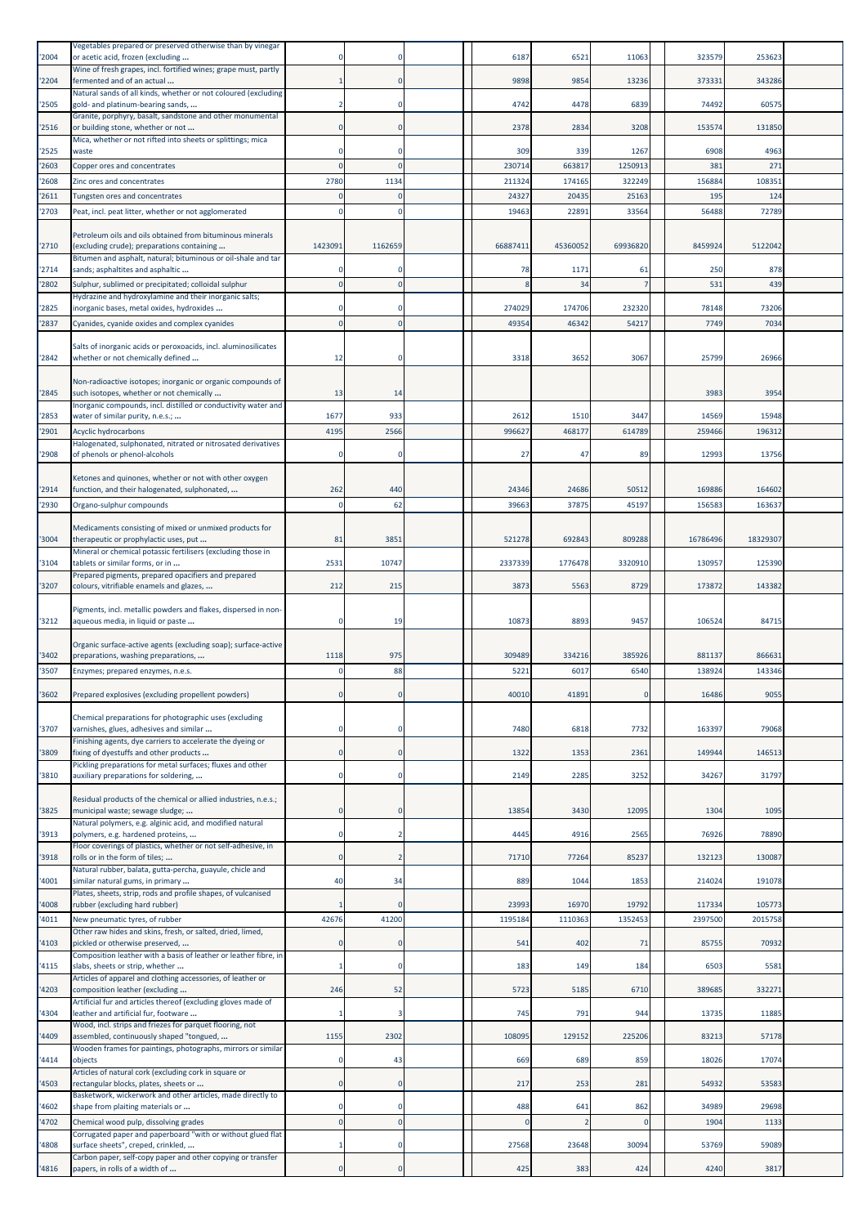| '2004          | Vegetables prepared or preserved otherwise than by vinegar<br>or acetic acid, frozen (excluding                                                                           |             |                  | 6187            | 6521            | 11063           | 323579        | 253623        |  |
|----------------|---------------------------------------------------------------------------------------------------------------------------------------------------------------------------|-------------|------------------|-----------------|-----------------|-----------------|---------------|---------------|--|
| '2204          | Wine of fresh grapes, incl. fortified wines; grape must, partly<br>fermented and of an actual                                                                             |             | 0                | 9898            | 9854            | 13236           | 373331        | 343286        |  |
| '2505          | Natural sands of all kinds, whether or not coloured (excluding<br>gold- and platinum-bearing sands,                                                                       |             | 0                | 4742            | 4478            | 6839            | 74492         | 60575         |  |
| '2516          | Granite, porphyry, basalt, sandstone and other monumental<br>or building stone, whether or not                                                                            |             |                  | 2378            | 2834            | 3208            | 153574        | 131850        |  |
| '2525          | Mica, whether or not rifted into sheets or splittings; mica<br>waste                                                                                                      |             | 0                | 309             | 339             | 1267            | 6908          | 4963          |  |
| '2603          | Copper ores and concentrates                                                                                                                                              |             |                  | 230714          | 663817          | 1250913         | 381           | 271           |  |
| '2608<br>'2611 | Zinc ores and concentrates                                                                                                                                                | 2780        | 1134<br>$\Omega$ | 211324<br>24327 | 174165<br>20435 | 322249<br>25163 | 156884<br>195 | 108351<br>124 |  |
| '2703          | Tungsten ores and concentrates<br>Peat, incl. peat litter, whether or not agglomerated                                                                                    | n           | $\Omega$         | 19463           | 22891           | 33564           | 56488         | 72789         |  |
|                | Petroleum oils and oils obtained from bituminous minerals                                                                                                                 |             |                  |                 |                 |                 |               |               |  |
| '2710          | (excluding crude); preparations containing<br>Bitumen and asphalt, natural; bituminous or oil-shale and tar                                                               | 1423091     | 1162659          | 66887411        | 45360052        | 69936820        | 8459924       | 5122042       |  |
| '2714          | sands; asphaltites and asphaltic                                                                                                                                          |             |                  | 78              | 1171<br>34      | 61              | 250<br>531    | 878<br>439    |  |
| '2802          | Sulphur, sublimed or precipitated; colloidal sulphur<br>Hydrazine and hydroxylamine and their inorganic salts;                                                            |             |                  |                 |                 |                 |               |               |  |
| '2825          | inorganic bases, metal oxides, hydroxides                                                                                                                                 |             |                  | 274029          | 174706          | 232320          | 78148         | 73206         |  |
| '2837          | Cyanides, cyanide oxides and complex cyanides                                                                                                                             |             |                  | 49354           | 46342           | 54217           | <b>7749</b>   | 7034          |  |
| '2842          | Salts of inorganic acids or peroxoacids, incl. aluminosilicates<br>whether or not chemically defined                                                                      | 12          | 0                | 3318            | 3652            | 3067            | 25799         | 26966         |  |
| '2845          | Non-radioactive isotopes; inorganic or organic compounds of<br>such isotopes, whether or not chemically<br>Inorganic compounds, incl. distilled or conductivity water and | 13          | 14               |                 |                 |                 | 3983          | 3954          |  |
| '2853          | water of similar purity, n.e.s.;                                                                                                                                          | 1677        | 933              | 2612            | 1510            | 3447            | 14569         | 15948         |  |
| '2901          | Acyclic hydrocarbons                                                                                                                                                      | 4195        | 2566             | 996627          | 468177          | 614789          | 259466        | 196312        |  |
| '2908          | Halogenated, sulphonated, nitrated or nitrosated derivatives<br>of phenols or phenol-alcohols                                                                             |             |                  | 27              | 47              | 89              | 12993         | 13756         |  |
| '2914          | Ketones and quinones, whether or not with other oxygen<br>function, and their halogenated, sulphonated,                                                                   | 262         | 440              | 24346           | 24686           | 50512           | 169886        | 164602        |  |
| '2930          | Organo-sulphur compounds                                                                                                                                                  | n           | 62               | 39663           | 37875           | 45197           | 156583        | 163637        |  |
| '3004          | Medicaments consisting of mixed or unmixed products for<br>therapeutic or prophylactic uses, put                                                                          | 81          | 3851             | 521278          | 692843          | 809288          | 16786496      | 18329307      |  |
| '3104          | Mineral or chemical potassic fertilisers (excluding those in<br>tablets or similar forms, or in                                                                           | 2531        | 10747            | 2337339         | 1776478         | 3320910         | 130957        | 125390        |  |
|                | Prepared pigments, prepared opacifiers and prepared                                                                                                                       |             |                  |                 |                 |                 |               |               |  |
| '3207          | colours, vitrifiable enamels and glazes,                                                                                                                                  | 212         | 215              | 3873            | 5563            | 8729            | 173872        | 143382        |  |
| '3212          | Pigments, incl. metallic powders and flakes, dispersed in non-<br>aqueous media, in liquid or paste                                                                       |             | 19               | 10873           | 8893            | 945             | 106524        | 84715         |  |
| '3402          | Organic surface-active agents (excluding soap); surface-active<br>preparations, washing preparations,                                                                     | 1118        | 975              | 309489          | 334216          | 385926          | 881137        | 866631        |  |
| '3507          | Enzymes; prepared enzymes, n.e.s.                                                                                                                                         |             | 88               | 5221            | 6017            | 6540            | 138924        | 143346        |  |
| 3602           | Prepared explosives (excluding propellent powders)                                                                                                                        |             |                  | 40010           | 41891           |                 | 16486         | 905           |  |
| '3707          | Chemical preparations for photographic uses (excluding<br>varnishes, glues, adhesives and similar                                                                         |             |                  | 7480            | 6818            | 7732            | 163397        | 79068         |  |
|                | Finishing agents, dye carriers to accelerate the dyeing or                                                                                                                |             |                  |                 |                 |                 |               |               |  |
| '3809          | fixing of dyestuffs and other products<br>Pickling preparations for metal surfaces; fluxes and other                                                                      | $\Omega$    | $\Omega$         | 1322            | 1353            | 2361            | 149944        | 146513        |  |
| '3810          | auxiliary preparations for soldering,                                                                                                                                     |             | $\Omega$         | 2149            | 2285            | 3252            | 34267         | 31797         |  |
| '3825          | Residual products of the chemical or allied industries, n.e.s.;<br>municipal waste; sewage sludge;                                                                        |             | $\Omega$         | 13854           | 3430            | 12095           | 1304          | 1095          |  |
| '3913          | Natural polymers, e.g. alginic acid, and modified natural<br>polymers, e.g. hardened proteins,                                                                            |             | $\overline{2}$   | 4445            | 4916            | 2565            | 76926         | 78890         |  |
| 3918           | Floor coverings of plastics, whether or not self-adhesive, in<br>rolls or in the form of tiles;                                                                           | $\Omega$    | 2                | 71710           | 77264           | 85237           | 132123        | 130087        |  |
| '4001          | Natural rubber, balata, gutta-percha, guayule, chicle and<br>similar natural gums, in primary                                                                             | 40          | 34               | 889             | 1044            | 1853            | 214024        | 191078        |  |
| '4008          | Plates, sheets, strip, rods and profile shapes, of vulcanised<br>rubber (excluding hard rubber)                                                                           |             |                  | 23993           | 16970           | 19792           | 117334        | 105773        |  |
| '4011          | New pneumatic tyres, of rubber                                                                                                                                            | 42676       | 41200            | 1195184         | 1110363         | 1352453         | 2397500       | 2015758       |  |
| '4103          | Other raw hides and skins, fresh, or salted, dried, limed,<br>pickled or otherwise preserved,                                                                             |             | $\Omega$         | 541             | 402             | 71              | 85755         | 70932         |  |
| '4115          | Composition leather with a basis of leather or leather fibre, in                                                                                                          |             | 0                | 183             | 149             | 184             | 6503          | 5581          |  |
| '4203          | slabs, sheets or strip, whether<br>Articles of apparel and clothing accessories, of leather or                                                                            | 246         | 52               | 5723            | 5185            | 6710            | 389685        | 332271        |  |
|                | composition leather (excluding<br>Artificial fur and articles thereof (excluding gloves made of                                                                           |             |                  |                 |                 |                 |               |               |  |
| '4304          | leather and artificial fur, footware<br>Wood, incl. strips and friezes for parquet flooring, not                                                                          |             | 3                | 745             | 791             | 944             | 13735         | 11885         |  |
| 4409           | assembled, continuously shaped "tongued,<br>Wooden frames for paintings, photographs, mirrors or similar                                                                  | 1155        | 2302             | 108095          | 129152          | 225206          | 83213         | 57178         |  |
| '4414          | objects<br>Articles of natural cork (excluding cork in square or                                                                                                          |             | 43               | 669             | 689             | 859             | 18026         | 17074         |  |
| 4503           | rectangular blocks, plates, sheets or<br>Basketwork, wickerwork and other articles, made directly to                                                                      |             |                  | 217             | 253             | 281             | 54932         | 53583         |  |
| '4602          | shape from plaiting materials or                                                                                                                                          |             | $\Omega$         | 488             | 641             | 862             | 34989         | 29698         |  |
| '4702          | Chemical wood pulp, dissolving grades<br>Corrugated paper and paperboard "with or without glued flat                                                                      | $\Omega$    | $\Omega$         |                 |                 | $\Omega$        | 1904          | 1133          |  |
| '4808          | surface sheets", creped, crinkled,<br>Carbon paper, self-copy paper and other copying or transfer                                                                         |             | 0                | 27568           | 23648           | 30094           | 53769         | 59089         |  |
| '4816          | papers, in rolls of a width of                                                                                                                                            | $\mathbf 0$ | $\mathbf{0}$     | 425             | 383             | 424             | 4240          | 3817          |  |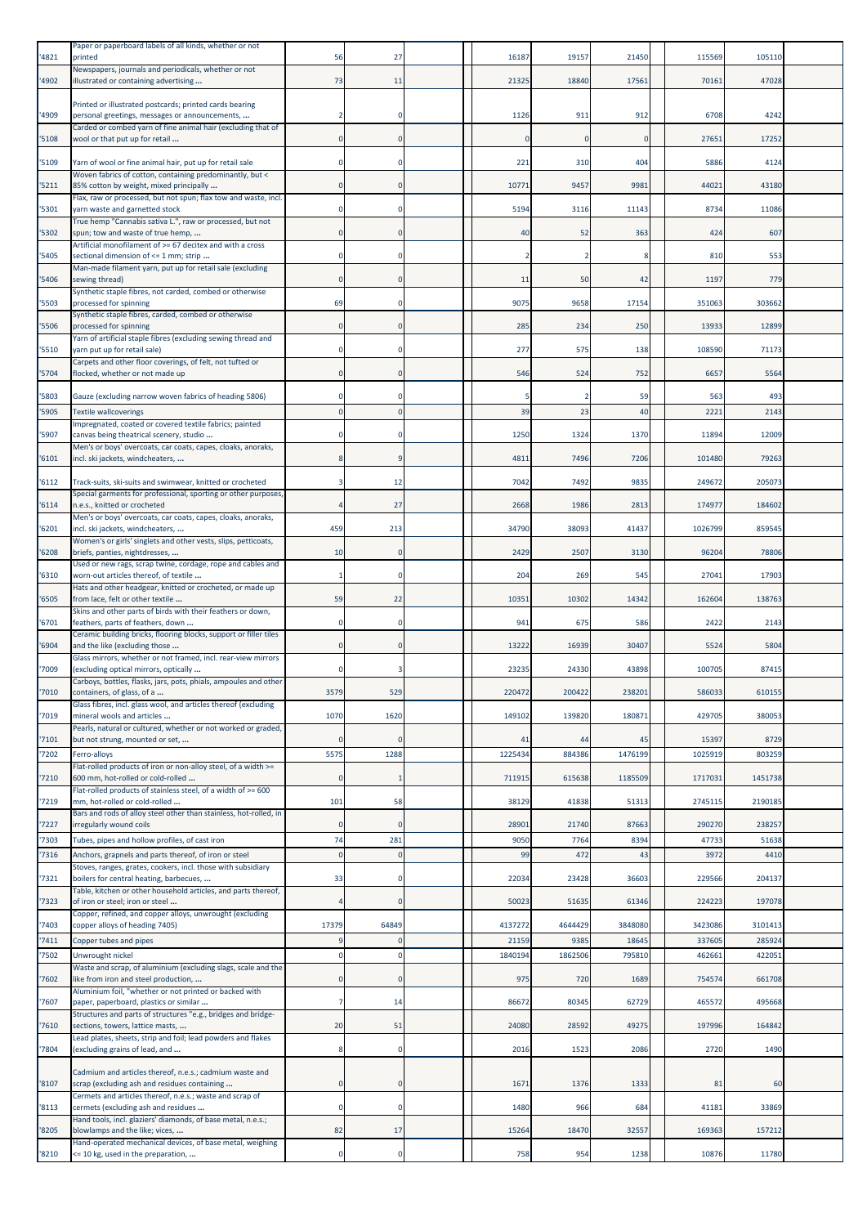| 4821           | Paper or paperboard labels of all kinds, whether or not<br>printed                                                          | 56          | 27                    | 16187            | 19157           | 21450            | 115569            | 105110            |  |
|----------------|-----------------------------------------------------------------------------------------------------------------------------|-------------|-----------------------|------------------|-----------------|------------------|-------------------|-------------------|--|
|                | Newspapers, journals and periodicals, whether or not                                                                        |             |                       |                  |                 |                  |                   |                   |  |
| 4902           | illustrated or containing advertising                                                                                       | 73          | 11                    | 21325            | 18840           | 17561            | 70161             | 47028             |  |
|                | Printed or illustrated postcards; printed cards bearing                                                                     |             |                       |                  |                 |                  |                   |                   |  |
| 4909           | personal greetings, messages or announcements,<br>Carded or combed yarn of fine animal hair (excluding that of              |             | 0                     | 1126             | 911             | 912              | 6708              | 4242              |  |
| '5108          | wool or that put up for retail                                                                                              | $\Omega$    | $\Omega$              | $\Omega$         |                 | $\mathbf 0$      | 27651             | 17252             |  |
| '5109          | Yarn of wool or fine animal hair, put up for retail sale                                                                    |             | 0                     | 221              | 310             | 404              | 5886              | 4124              |  |
|                | Woven fabrics of cotton, containing predominantly, but <                                                                    |             |                       |                  |                 |                  |                   |                   |  |
| 5211           | 85% cotton by weight, mixed principally<br>Flax, raw or processed, but not spun; flax tow and waste, incl.                  |             | 0                     | 10771            | 9457            | 9981             | 44021             | 43180             |  |
| '5301          | yarn waste and garnetted stock                                                                                              |             | $\Omega$              | 5194             | 3116            | 11143            | 8734              | 11086             |  |
| 5302           | True hemp "Cannabis sativa L.", raw or processed, but not<br>spun; tow and waste of true hemp,                              |             | 0                     | 40               | 52              | 363              | 424               | 607               |  |
| '5405          | Artificial monofilament of >= 67 decitex and with a cross<br>sectional dimension of <= 1 mm; strip                          |             | 0                     |                  |                 | 8                | 810               | 553               |  |
|                | Man-made filament yarn, put up for retail sale (excluding                                                                   |             |                       |                  |                 |                  |                   |                   |  |
| '5406          | sewing thread)<br>Synthetic staple fibres, not carded, combed or otherwise                                                  |             | $\Omega$              | 11               | 50              | 42               | 1197              | 779               |  |
| 5503           | processed for spinning                                                                                                      | 69          | $\Omega$              | 9075             | 9658            | 17154            | 351063            | 303662            |  |
| '5506          | Synthetic staple fibres, carded, combed or otherwise<br>processed for spinning                                              |             | $\mathbf 0$           | 285              | 234             | 250              | 13933             | 12899             |  |
|                | Yarn of artificial staple fibres (excluding sewing thread and                                                               |             |                       |                  |                 |                  |                   |                   |  |
| '5510          | yarn put up for retail sale)<br>Carpets and other floor coverings, of felt, not tufted or                                   |             | 0                     | 277              | 575             | 138              | 108590            | 7117              |  |
| 5704           | flocked, whether or not made up                                                                                             |             | $\mathbf 0$           | 546              | 524             | 752              | 6657              | 5564              |  |
| '5803          | Gauze (excluding narrow woven fabrics of heading 5806)                                                                      |             | $\Omega$              |                  |                 | 59               | 563               | 493               |  |
| '5905          | <b>Textile wallcoverings</b>                                                                                                |             | $\mathbf 0$           | 39               | 23              | 40               | 222               | 2143              |  |
| 5907           | Impregnated, coated or covered textile fabrics; painted<br>canvas being theatrical scenery, studio                          |             | 0                     | 1250             | 1324            | 1370             | 11894             | 12009             |  |
| '6101          | Men's or boys' overcoats, car coats, capes, cloaks, anoraks,<br>incl. ski jackets, windcheaters,                            |             |                       | 4811             | 7496            | 7206             | 101480            | 79263             |  |
|                |                                                                                                                             |             |                       |                  |                 |                  |                   |                   |  |
| 6112           | Track-suits, ski-suits and swimwear, knitted or crocheted<br>Special garments for professional, sporting or other purposes, |             | 12                    | 7042             | 7492            | 9835             | 249672            | 205073            |  |
| '6114          | n.e.s., knitted or crocheted                                                                                                |             | 27                    | 2668             | 1986            | 2813             | 174977            | 184602            |  |
| 6201           | Men's or boys' overcoats, car coats, capes, cloaks, anoraks,<br>incl. ski jackets, windcheaters,                            | 459         | 213                   | 34790            | 38093           | 41437            | 1026799           | 85954             |  |
|                | Women's or girls' singlets and other vests, slips, petticoats,                                                              | 10          | $\mathbf 0$           | 2429             | 2507            | 3130             | 96204             | 78806             |  |
| 6208           | briefs, panties, nightdresses,<br>Used or new rags, scrap twine, cordage, rope and cables and                               |             |                       |                  |                 |                  |                   |                   |  |
| '6310          | worn-out articles thereof, of textile<br>Hats and other headgear, knitted or crocheted, or made up                          |             | $\Omega$              | 204              | 269             | 545              | 27041             | 17903             |  |
| 6505           | from lace, felt or other textile                                                                                            | 59          | 22                    | 10351            | 10302           | 14342            | 162604            | 138763            |  |
| '6701          | Skins and other parts of birds with their feathers or down,<br>feathers, parts of feathers, down                            |             | $\mathbf 0$           | 941              | 675             | 586              | 2422              | 2143              |  |
|                | Ceramic building bricks, flooring blocks, support or filler tiles                                                           |             | $\Omega$              |                  |                 |                  |                   |                   |  |
| '6904          | and the like (excluding those<br>Glass mirrors, whether or not framed, incl. rear-view mirrors                              |             |                       | 13222            | 16939           | 30407            | 5524              | 5804              |  |
| '7009          | (excluding optical mirrors, optically<br>Carboys, bottles, flasks, jars, pots, phials, ampoules and other                   |             |                       | 23235            | 24330           | 43898            | 100705            | 87415             |  |
| '7010          | containers, of glass, of a                                                                                                  | 3579        | 529                   | 220472           | 200422          | 238201           | 586033            | 610155            |  |
| '7019          | Glass fibres, incl. glass wool, and articles thereof (excluding<br>mineral wools and articles                               | 1070        | 1620                  | 149102           | 139820          | 180871           | 429705            | 380053            |  |
|                | Pearls, natural or cultured, whether or not worked or graded,                                                               |             |                       |                  |                 |                  |                   |                   |  |
| 7101<br>'7202  | but not strung, mounted or set,<br>Ferro-alloys                                                                             | 5575        | $\Omega$<br>1288      | 41<br>1225434    | 44<br>884386    | 45<br>1476199    | 15397<br>1025919  | 8729<br>803259    |  |
|                | Flat-rolled products of iron or non-alloy steel, of a width >=                                                              |             |                       |                  |                 |                  |                   |                   |  |
| 7210           | 600 mm, hot-rolled or cold-rolled<br>Flat-rolled products of stainless steel, of a width of >= 600                          |             | 1                     | 711915           | 615638          | 1185509          | 1717031           | 1451738           |  |
| 7219           | mm, hot-rolled or cold-rolled                                                                                               | 101         | 58                    | 38129            | 41838           | 51313            | 2745115           | 2190185           |  |
| '7227          | Bars and rods of alloy steel other than stainless, hot-rolled, in<br>irregularly wound coils                                | $\Omega$    | $\Omega$              | 28901            | 21740           | 87663            | 290270            | 238257            |  |
| 7303           | Tubes, pipes and hollow profiles, of cast iron                                                                              | 74          | 281                   | 9050             | 7764            | 8394             | 47733             | 51638             |  |
| '7316          | Anchors, grapnels and parts thereof, of iron or steel<br>Stoves, ranges, grates, cookers, incl. those with subsidiary       | $\Omega$    | $\mathbf 0$           | 99               | 472             | 43               | 3972              | 4410              |  |
| 7321           | boilers for central heating, barbecues,                                                                                     | 33          | $\mathbf 0$           | 22034            | 23428           | 36603            | 229566            | 204137            |  |
| 7323           | Table, kitchen or other household articles, and parts thereof,<br>of iron or steel; iron or steel                           |             | $\mathbf 0$           | 50023            | 51635           | 61346            | 224223            | 197078            |  |
|                | Copper, refined, and copper alloys, unwrought (excluding                                                                    |             |                       |                  |                 |                  |                   |                   |  |
| '7403<br>'7411 | copper alloys of heading 7405)<br>Copper tubes and pipes                                                                    | 17379       | 64849<br>$\mathbf{0}$ | 4137272<br>21159 | 4644429<br>9385 | 3848080<br>18645 | 3423086<br>337605 | 3101413<br>285924 |  |
| '7502          | Unwrought nickel                                                                                                            |             | $\Omega$              | 1840194          | 1862506         | 795810           | 462661            | 42205             |  |
| 7602           | Waste and scrap, of aluminium (excluding slags, scale and the<br>like from iron and steel production,                       |             | $\mathbf 0$           | 975              | 720             | 1689             | 754574            | 661708            |  |
|                | Aluminium foil, "whether or not printed or backed with                                                                      |             |                       |                  |                 |                  |                   |                   |  |
| 7607           | paper, paperboard, plastics or similar<br>Structures and parts of structures "e.g., bridges and bridge-                     | 7           | 14                    | 86672            | 80345           | 62729            | 465572            | 495668            |  |
| '7610          | sections, towers, lattice masts,                                                                                            | 20          | 51                    | 24080            | 28592           | 49275            | 197996            | 164842            |  |
| 7804           | Lead plates, sheets, strip and foil; lead powders and flakes<br>(excluding grains of lead, and                              |             | $\mathbf 0$           | 2016             | 1523            | 2086             | 2720              | 1490              |  |
|                |                                                                                                                             |             |                       |                  |                 |                  |                   |                   |  |
| '8107          | Cadmium and articles thereof, n.e.s.; cadmium waste and<br>scrap (excluding ash and residues containing                     | $\Omega$    | $\mathbf 0$           | 1671             | 1376            | 1333             | 81                | 60                |  |
| 8113           | Cermets and articles thereof, n.e.s.; waste and scrap of<br>cermets (excluding ash and residues                             | $\mathbf 0$ | 0                     | 1480             | 966             | 684              | 41181             | 33869             |  |
|                | Hand tools, incl. glaziers' diamonds, of base metal, n.e.s.;                                                                |             |                       |                  |                 |                  |                   |                   |  |
| '8205          | blowlamps and the like; vices,<br>Hand-operated mechanical devices, of base metal, weighing                                 | 82          | 17                    | 15264            | 18470           | 32557            | 169363            | 157212            |  |
| 8210           | <= 10 kg, used in the preparation,                                                                                          |             | $\mathbf 0$           | 758              | 954             | 1238             | 10876             | 11780             |  |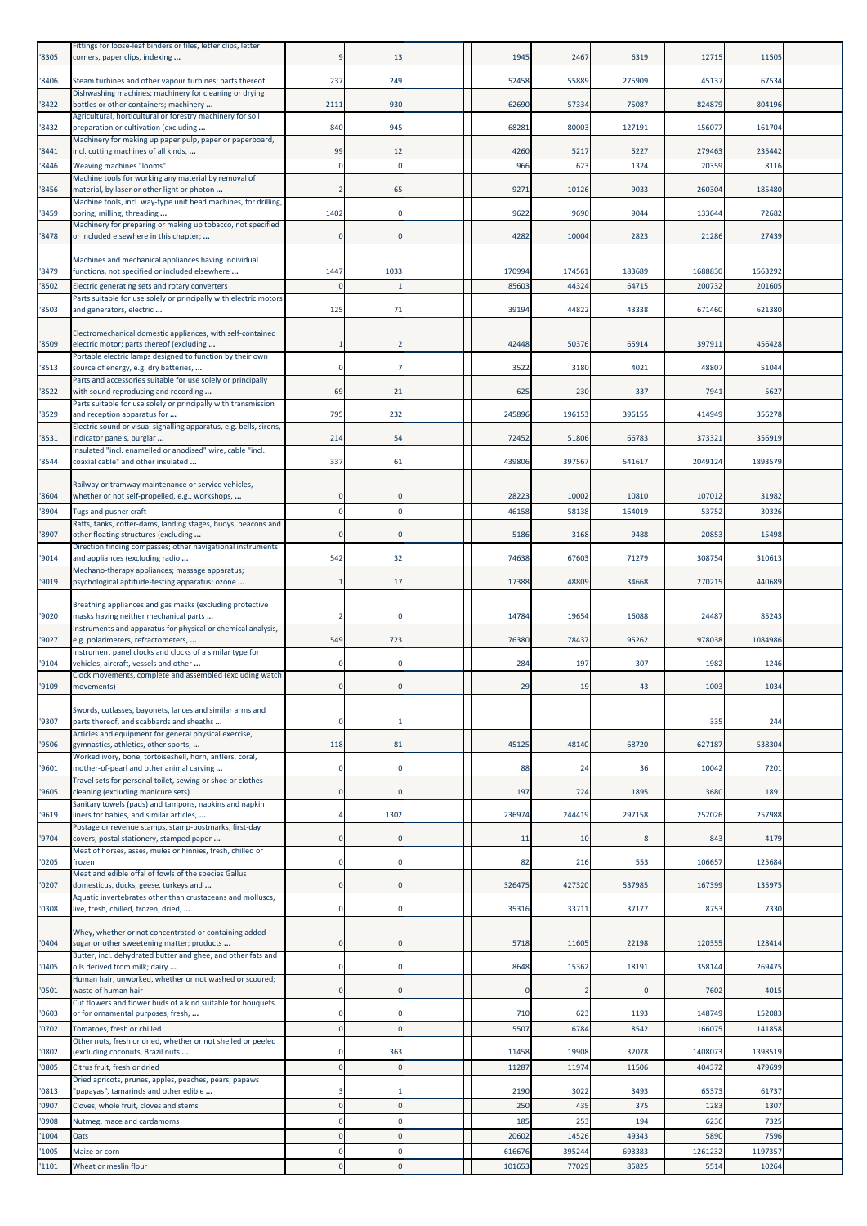| '8305          | Fittings for loose-leaf binders or files, letter clips, letter<br>corners, paper clips, indexing                                                              |             | 13           | 1945            | 2467            | 6319            | 12715           | 11505           |  |
|----------------|---------------------------------------------------------------------------------------------------------------------------------------------------------------|-------------|--------------|-----------------|-----------------|-----------------|-----------------|-----------------|--|
| '8406          | Steam turbines and other vapour turbines; parts thereof                                                                                                       | 237         | 249          | 52458           | 55889           | 275909          | 45137           | 67534           |  |
| '8422          | Dishwashing machines; machinery for cleaning or drying<br>bottles or other containers; machinery                                                              | 2111        | 930          | 62690           | 57334           | 75087           | 824879          | 804196          |  |
| '8432          | Agricultural, horticultural or forestry machinery for soil<br>preparation or cultivation (excluding                                                           | 840         | 945          | 68281           | 80003           | 127191          | 156077          | 161704          |  |
| '8441          | Machinery for making up paper pulp, paper or paperboard,<br>incl. cutting machines of all kinds,                                                              | 99          | 12           | 4260            | 5217            | 5227            | 279463          | 235442          |  |
| '8446          | Weaving machines "looms"<br>Machine tools for working any material by removal of                                                                              |             | $\Omega$     | 966             | 623             | 1324            | 20359           | 8116            |  |
| '8456          | material, by laser or other light or photon<br>Machine tools, incl. way-type unit head machines, for drilling,                                                | 2           | 65           | 927             | 10126           | 9033            | 260304          | 185480          |  |
| '8459          | boring, milling, threading                                                                                                                                    | 1402        | $\mathbf 0$  | 9622            | 9690            | 9044            | 133644          | 72682           |  |
| '8478          | Machinery for preparing or making up tobacco, not specified<br>or included elsewhere in this chapter;                                                         |             | 0            | 4282            | 10004           | 2823            | 21286           | 27439           |  |
| '8479          | Machines and mechanical appliances having individual<br>functions, not specified or included elsewhere                                                        | 1447        | 1033         | 170994          | 17456           | 183689          | 1688830         | 1563292         |  |
| '8502          | Electric generating sets and rotary converters<br>Parts suitable for use solely or principally with electric motors                                           | n           |              | 85603           | 44324           | 64715           | 200732          | 201605          |  |
| '8503          | and generators, electric                                                                                                                                      | 125         | 71           | 39194           | 44822           | 43338           | 671460          | 621380          |  |
| '8509          | Electromechanical domestic appliances, with self-contained<br>electric motor; parts thereof (excluding                                                        |             |              | 42448           | 50376           | 65914           | 397911          | 456428          |  |
| '8513          | Portable electric lamps designed to function by their own<br>source of energy, e.g. dry batteries,                                                            | $\Omega$    |              | 3522            | 3180            | 4021            | 48807           | 51044           |  |
| '8522          | Parts and accessories suitable for use solely or principally<br>with sound reproducing and recording                                                          | 69          | 21           | 625             | 230             | 337             | 7941            | 5627            |  |
| '8529          | Parts suitable for use solely or principally with transmission<br>and reception apparatus for                                                                 | 795         | 232          | 245896          | 196153          | 396155          | 414949          | 356278          |  |
| '8531          | Electric sound or visual signalling apparatus, e.g. bells, sirens,<br>indicator panels, burglar                                                               | 214         | 54           | 72452           | 51806           | 66783           | 373321          | 356919          |  |
| '8544          | Insulated "incl. enamelled or anodised" wire, cable "incl.<br>coaxial cable" and other insulated                                                              | 337         | 61           | 439806          | 397567          | 541617          | 2049124         | 1893579         |  |
|                | Railway or tramway maintenance or service vehicles,                                                                                                           |             |              |                 |                 |                 |                 |                 |  |
| '8604<br>'8904 | whether or not self-propelled, e.g., workshops,<br>Tugs and pusher craft                                                                                      |             |              | 28223<br>46158  | 10002<br>58138  | 10810<br>164019 | 107012<br>53752 | 31982<br>30326  |  |
| '8907          | Rafts, tanks, coffer-dams, landing stages, buoys, beacons and<br>other floating structures (excluding                                                         | $\Omega$    | 0            | 5186            | 3168            | 9488            | 20853           | 15498           |  |
| '9014          | Direction finding compasses; other navigational instruments<br>and appliances (excluding radio                                                                | 542         | 32           | 74638           | 67603           | 71279           | 308754          | 310613          |  |
| '9019          | Mechano-therapy appliances; massage apparatus;<br>psychological aptitude-testing apparatus; ozone                                                             |             | 17           | 17388           | 48809           | 34668           | 270215          | 440689          |  |
|                | Breathing appliances and gas masks (excluding protective                                                                                                      |             |              |                 |                 |                 |                 |                 |  |
| '9020          | masks having neither mechanical parts<br>Instruments and apparatus for physical or chemical analysis,                                                         |             |              | 14784           | 19654           | 16088           | 24487           | 85243           |  |
| '9027          | e.g. polarimeters, refractometers,<br>Instrument panel clocks and clocks of a similar type for                                                                | 549         | 723          | 76380           | 78437           | 95262           | 978038          | 1084986         |  |
| '9104          | vehicles, aircraft, vessels and other<br>Clock movements, complete and assembled (excluding watch                                                             |             | $\Omega$     | 284             | 197             | 307             | 1982            | 1246            |  |
| '9109          | movements)                                                                                                                                                    |             | 0            | 29              | 19              | 43              | 1003            | 1034            |  |
| '9307          | Swords, cutlasses, bayonets, lances and similar arms and<br>parts thereof, and scabbards and sheaths<br>Articles and equipment for general physical exercise, | 0           | $\mathbf{1}$ |                 |                 |                 | 335             | 244             |  |
| '9506          | gymnastics, athletics, other sports,<br>Worked ivory, bone, tortoiseshell, horn, antlers, coral,                                                              | 118         | 81           | 45125           | 48140           | 68720           | 627187          | 538304          |  |
| '9601          | mother-of-pearl and other animal carving<br>Travel sets for personal toilet, sewing or shoe or clothes                                                        | $\Omega$    | $\Omega$     | 88              | 24              | 36              | 10042           | 7201            |  |
| '9605          | cleaning (excluding manicure sets)<br>Sanitary towels (pads) and tampons, napkins and napkin                                                                  | 0           | $\Omega$     | 197             | 724             | 1895            | 3680            | 1891            |  |
| '9619          | liners for babies, and similar articles,<br>Postage or revenue stamps, stamp-postmarks, first-day                                                             |             | 1302         | 236974          | 244419          | 297158          | 252026          | 257988          |  |
| '9704          | covers, postal stationery, stamped paper<br>Meat of horses, asses, mules or hinnies, fresh, chilled or                                                        | $\Omega$    | $\Omega$     | 11              | 10              | 8               | 843             | 4179            |  |
| '0205          | frozen                                                                                                                                                        | 0           | 0            | 82              | 216             | 553             | 106657          | 125684          |  |
| '0207          | Meat and edible offal of fowls of the species Gallus<br>domesticus, ducks, geese, turkeys and<br>Aquatic invertebrates other than crustaceans and molluscs,   | $\Omega$    | $\Omega$     | 326475          | 427320          | 537985          | 167399          | 135975          |  |
| '0308          | live, fresh, chilled, frozen, dried,                                                                                                                          |             | $\Omega$     | 35316           | 3371:           | 37177           | 8753            | 7330            |  |
| '0404          | Whey, whether or not concentrated or containing added<br>sugar or other sweetening matter; products                                                           |             |              | 5718            | 11605           | 22198           | 120355          | 128414          |  |
| '0405          | Butter, incl. dehydrated butter and ghee, and other fats and<br>oils derived from milk; dairy                                                                 | $\mathbf 0$ | 0            | 8648            | 15362           | 18191           | 358144          | 269475          |  |
| '0501          | Human hair, unworked, whether or not washed or scoured;<br>waste of human hair                                                                                |             | $\Omega$     |                 |                 | $\mathbf 0$     | 7602            | 4015            |  |
| '0603          | Cut flowers and flower buds of a kind suitable for bouquets<br>or for ornamental purposes, fresh,                                                             |             | $\Omega$     | 710             | 623             | 1193            | 148749          | 152083          |  |
| '0702          | Tomatoes, fresh or chilled<br>Other nuts, fresh or dried, whether or not shelled or peeled                                                                    | $\Omega$    | $\Omega$     | 5507            | 6784            | 8542            | 166075          | 141858          |  |
| '0802          | (excluding coconuts, Brazil nuts                                                                                                                              |             | 363          | 11458           | 19908           | 32078           | 1408073         | 1398519         |  |
| '0805          | Citrus fruit, fresh or dried<br>Dried apricots, prunes, apples, peaches, pears, papaws                                                                        | $\mathbf 0$ | 0            | 11287           | 11974           | 11506           | 404372          | 479699          |  |
| '0813<br>'0907 | "papayas", tamarinds and other edible<br>Cloves, whole fruit, cloves and stems                                                                                | 3           | $\Omega$     | 2190<br>250     | 3022<br>435     | 3493<br>375     | 65373<br>1283   | 61737<br>1307   |  |
| '0908          | Nutmeg, mace and cardamoms                                                                                                                                    | $\Omega$    |              | 185             | 253             | 194             | 6236            | 7325            |  |
| '1004<br>'1005 | Oats<br>Maize or corn                                                                                                                                         | $\Omega$    |              | 20602<br>616676 | 14526<br>395244 | 49343<br>693383 | 5890<br>1261232 | 7596<br>1197357 |  |
| '1101          | Wheat or meslin flour                                                                                                                                         |             |              | 101653          | 77029           | 85825           | 5514            | 10264           |  |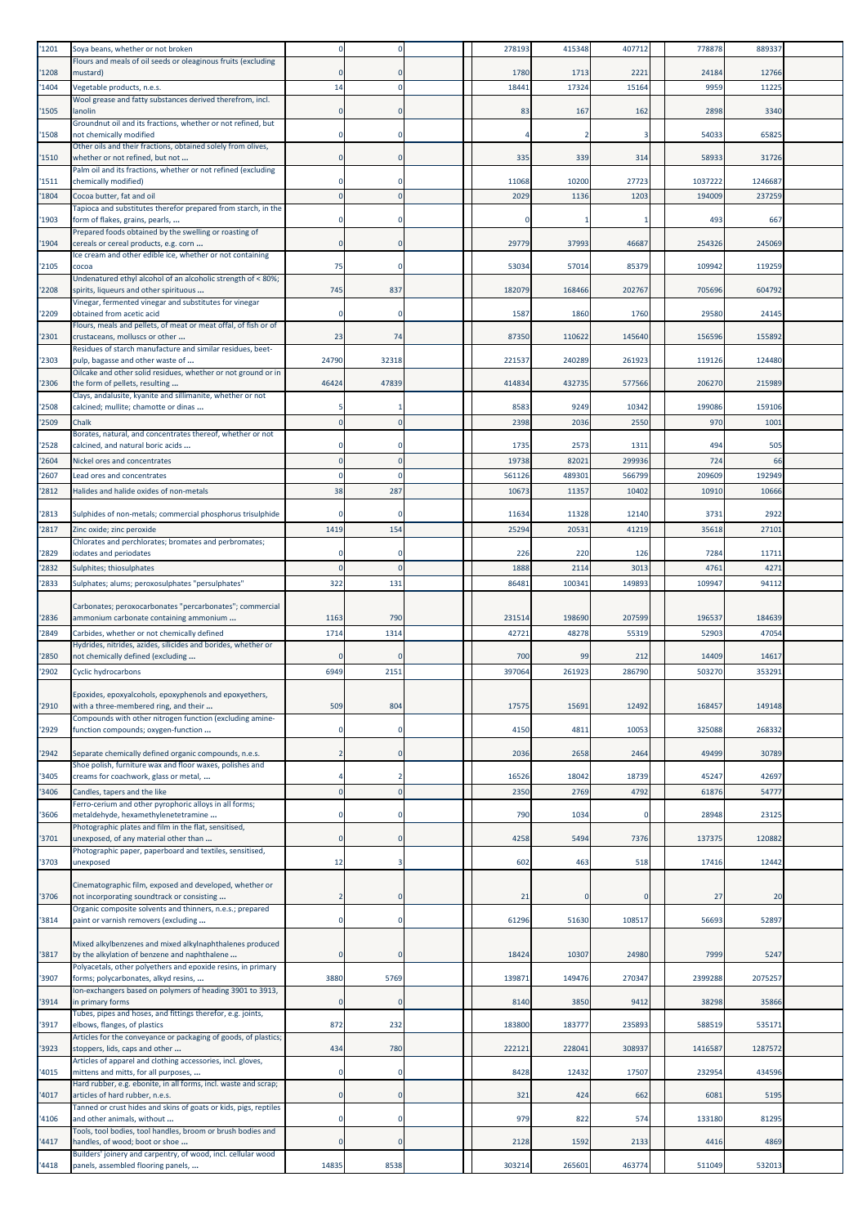| '1201 | Soya beans, whether or not broken                                                                            |             |              | 278193 | 415348 | 407712      | 778878  | 889337  |  |
|-------|--------------------------------------------------------------------------------------------------------------|-------------|--------------|--------|--------|-------------|---------|---------|--|
| 1208  | Flours and meals of oil seeds or oleaginous fruits (excluding<br>mustard)                                    |             | $\Omega$     | 1780   | 1713   | 2221        | 24184   | 12766   |  |
| '1404 | Vegetable products, n.e.s.                                                                                   | 14          | $\Omega$     | 18441  | 17324  | 15164       | 9959    | 1122    |  |
| 1505  | Wool grease and fatty substances derived therefrom, incl.<br>lanolin                                         |             | $\mathbf 0$  | 83     | 167    | 162         | 2898    | 3340    |  |
| '1508 | Groundnut oil and its fractions, whether or not refined, but<br>not chemically modified                      |             | 0            |        |        | 3           | 54033   | 6582    |  |
| '1510 | Other oils and their fractions, obtained solely from olives,<br>whether or not refined, but not              | $\Omega$    | $\Omega$     | 335    | 339    | 314         | 58933   | 31726   |  |
| '1511 | Palm oil and its fractions, whether or not refined (excluding<br>chemically modified)                        |             | 0            | 11068  | 10200  | 27723       | 1037222 | 124668  |  |
| 1804  | Cocoa butter, fat and oil                                                                                    |             | $\mathbf{0}$ | 2029   | 1136   | 1203        | 194009  | 23725   |  |
| 1903  | Tapioca and substitutes therefor prepared from starch, in the<br>form of flakes, grains, pearls,             |             |              |        |        |             | 493     | 66      |  |
| 1904  | Prepared foods obtained by the swelling or roasting of<br>cereals or cereal products, e.g. corn              | $\Omega$    | $\mathbf 0$  | 29779  | 37993  | 46687       | 254326  | 245069  |  |
| '2105 | Ice cream and other edible ice, whether or not containing<br>cocoa                                           | 75          | $\Omega$     | 53034  | 57014  | 85379       | 109942  | 119259  |  |
| 2208  | Undenatured ethyl alcohol of an alcoholic strength of < 80%;<br>spirits, liqueurs and other spirituous       | 745         | 837          | 182079 | 168466 | 202767      | 705696  | 604792  |  |
| 2209  | Vinegar, fermented vinegar and substitutes for vinegar<br>obtained from acetic acid                          |             | $\mathbf 0$  | 1587   | 1860   | 1760        | 29580   | 24145   |  |
| '2301 | Flours, meals and pellets, of meat or meat offal, of fish or of<br>crustaceans, molluscs or other            | 23          | 74           | 87350  | 110622 | 145640      | 156596  | 155892  |  |
| '2303 | Residues of starch manufacture and similar residues, beet-<br>pulp, bagasse and other waste of               | 24790       | 32318        | 221537 | 240289 | 261923      | 119126  | 124480  |  |
| 2306  | Oilcake and other solid residues, whether or not ground or in<br>the form of pellets, resulting              | 46424       | 47839        | 414834 | 432735 | 577566      | 206270  | 21598   |  |
| '2508 | Clays, andalusite, kyanite and sillimanite, whether or not<br>calcined; mullite; chamotte or dinas           |             |              | 8583   | 9249   | 10342       | 199086  | 159106  |  |
| '2509 | Chalk                                                                                                        |             | $\mathbf 0$  | 2398   | 2036   | 2550        | 970     | 100     |  |
| '2528 | Borates, natural, and concentrates thereof, whether or not<br>calcined, and natural boric acids              |             | $\Omega$     | 1735   | 2573   | 1311        | 494     | 505     |  |
| '2604 | Nickel ores and concentrates                                                                                 |             | $\mathbf{0}$ | 19738  | 8202   | 299936      | 724     | 66      |  |
| 2607  | Lead ores and concentrates                                                                                   |             | $\Omega$     | 561126 | 48930: | 566799      | 209609  | 192949  |  |
| 2812  | Halides and halide oxides of non-metals                                                                      | 38          | 287          | 10673  | 1135   | 10402       | 10910   | 10666   |  |
| '2813 | Sulphides of non-metals; commercial phosphorus trisulphide                                                   |             |              | 11634  | 11328  | 12140       | 373     | 292     |  |
| '2817 | Zinc oxide; zinc peroxide                                                                                    | 1419        | 154          | 25294  | 20531  | 41219       | 35618   | 27101   |  |
| 2829  | Chlorates and perchlorates; bromates and perbromates;<br>iodates and periodates                              |             | $\Omega$     | 226    | 220    | 126         | 7284    | 11711   |  |
| '2832 | Sulphites; thiosulphates                                                                                     |             | $\Omega$     | 1888   | 2114   | 3013        | 4761    | 427     |  |
| 2833  | Sulphates; alums; peroxosulphates "persulphates"                                                             | 322         | 131          | 86481  | 100341 | 149893      | 109947  | 94112   |  |
|       | Carbonates; peroxocarbonates "percarbonates"; commercial                                                     |             |              |        |        |             |         |         |  |
| '2836 | ammonium carbonate containing ammonium                                                                       | 1163        | 790          | 231514 | 198690 | 207599      | 19653   | 184639  |  |
| '2849 | Carbides, whether or not chemically defined<br>Hydrides, nitrides, azides, silicides and borides, whether or | 1714        | 1314         | 42721  | 48278  | 55319       | 52903   | 4705    |  |
| 2850  | not chemically defined (excluding                                                                            |             |              | 700    | 99     | 212         | 14409   | 1461    |  |
| '2902 | <b>Cyclic hydrocarbons</b>                                                                                   | 6949        | 2151         | 397064 | 261923 | 286790      | 503270  | 35329   |  |
| '2910 | Epoxides, epoxyalcohols, epoxyphenols and epoxyethers,<br>with a three-membered ring, and their              | 509         | 804          | 17575  | 15691  | 12492       | 168457  | 149148  |  |
| '2929 | Compounds with other nitrogen function (excluding amine-<br>function compounds; oxygen-function              |             | $\Omega$     | 4150   | 4811   | 10053       | 325088  | 268332  |  |
| '2942 | Separate chemically defined organic compounds, n.e.s.                                                        |             | $\mathbf 0$  | 2036   | 2658   | 2464        | 49499   | 30789   |  |
| 3405  | Shoe polish, furniture wax and floor waxes, polishes and<br>creams for coachwork, glass or metal,            |             | 2            | 16526  | 18042  | 18739       | 45247   | 4269    |  |
| '3406 | Candles, tapers and the like                                                                                 |             | $\mathbf{0}$ | 2350   | 2769   | 4792        | 61876   | 5477    |  |
| 3606  | Ferro-cerium and other pyrophoric alloys in all forms;<br>metaldehyde, hexamethylenetetramine                | 0           | $\mathbf 0$  | 790    | 1034   | $\mathbf 0$ | 28948   | 23125   |  |
| 3701  | Photographic plates and film in the flat, sensitised,<br>unexposed, of any material other than               | $\Omega$    | $\mathbf{0}$ | 4258   | 5494   | 7376        | 137375  | 120882  |  |
| '3703 | Photographic paper, paperboard and textiles, sensitised,<br>unexposed                                        | 12          | 3            | 602    | 463    | 518         | 17416   | 12442   |  |
| '3706 | Cinematographic film, exposed and developed, whether or<br>not incorporating soundtrack or consisting        |             | $\mathbf 0$  | 21     |        | $\mathbf 0$ | 27      | 20      |  |
| 3814  | Organic composite solvents and thinners, n.e.s.; prepared<br>paint or varnish removers (excluding            | $\mathbf 0$ | $\mathbf 0$  | 61296  | 51630  | 108517      | 56693   | 52897   |  |
| '3817 | Mixed alkylbenzenes and mixed alkylnaphthalenes produced<br>by the alkylation of benzene and naphthalene     | 0           | $\bf{0}$     | 18424  | 10307  | 24980       | 7999    | 5247    |  |
| '3907 | Polyacetals, other polyethers and epoxide resins, in primary<br>forms; polycarbonates, alkyd resins,         | 3880        | 5769         | 139871 | 149476 | 270347      | 2399288 | 2075257 |  |
| '3914 | Ion-exchangers based on polymers of heading 3901 to 3913,<br>in primary forms                                |             | $\mathbf 0$  | 8140   | 3850   | 9412        | 38298   | 35866   |  |
| 3917  | Tubes, pipes and hoses, and fittings therefor, e.g. joints,<br>elbows, flanges, of plastics                  | 872         | 232          | 183800 | 183777 | 235893      | 588519  | 535171  |  |
| '3923 | Articles for the conveyance or packaging of goods, of plastics;<br>stoppers, lids, caps and other            | 434         | 780          | 222121 | 228041 | 308937      | 1416587 | 1287572 |  |
| 4015  | Articles of apparel and clothing accessories, incl. gloves,<br>mittens and mitts, for all purposes,          |             | $\mathbf 0$  | 8428   | 12432  | 17507       | 232954  | 434596  |  |
| 4017  | Hard rubber, e.g. ebonite, in all forms, incl. waste and scrap;<br>articles of hard rubber, n.e.s.           | $\mathbf 0$ | $\mathbf 0$  | 321    | 424    | 662         | 6081    | 5195    |  |
| 4106  | Tanned or crust hides and skins of goats or kids, pigs, reptiles<br>and other animals, without               | $\Omega$    | $\mathbf 0$  | 979    | 822    | 574         | 133180  | 81295   |  |
| 4417  | Tools, tool bodies, tool handles, broom or brush bodies and<br>handles, of wood; boot or shoe                |             | $\mathbf 0$  | 2128   | 1592   | 2133        | 4416    | 4869    |  |
| 4418  | Builders' joinery and carpentry, of wood, incl. cellular wood<br>panels, assembled flooring panels,          | 14835       | 8538         | 303214 | 265601 | 463774      | 511049  | 532013  |  |
|       |                                                                                                              |             |              |        |        |             |         |         |  |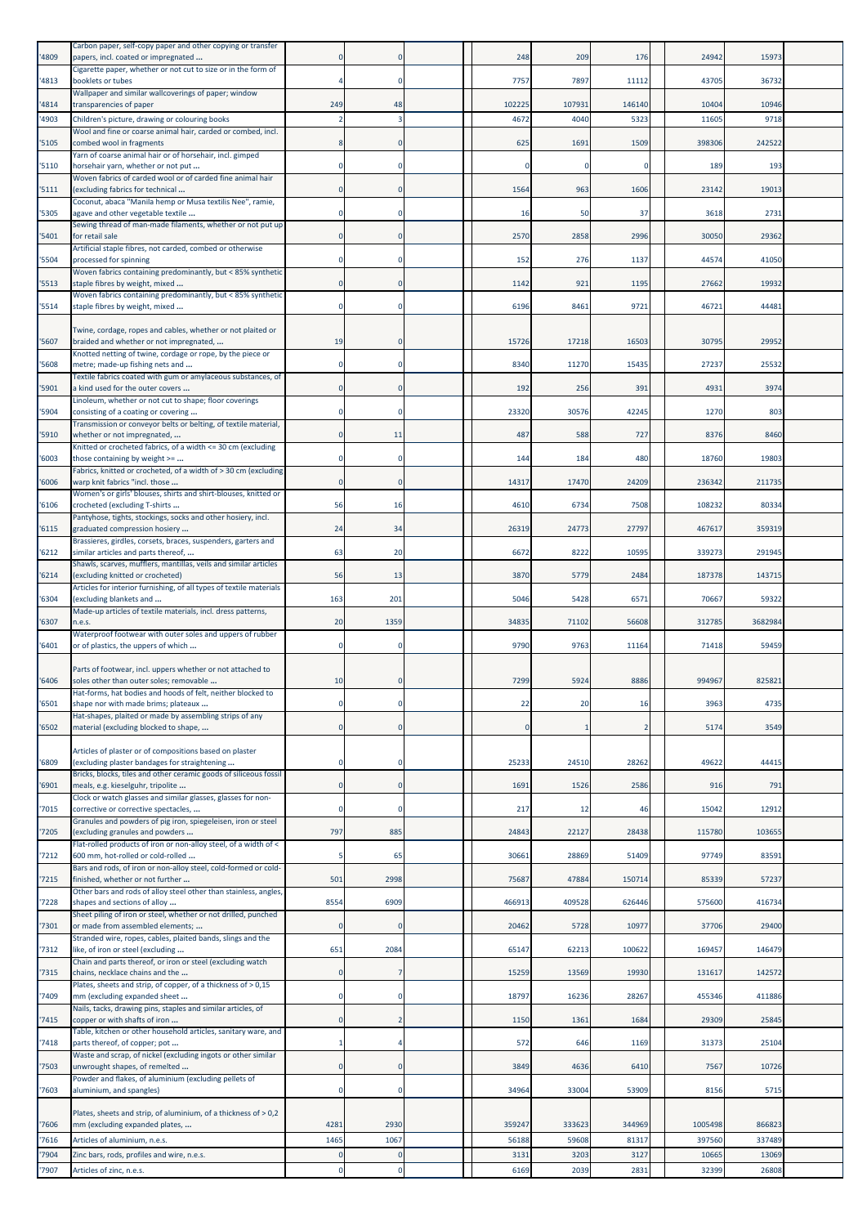| '4809          | Carbon paper, self-copy paper and other copying or transfer<br>papers, incl. coated or impregnated             |          |                          | 248          | 209          | 176            | 24942          | 15973          |  |
|----------------|----------------------------------------------------------------------------------------------------------------|----------|--------------------------|--------------|--------------|----------------|----------------|----------------|--|
| '4813          | Cigarette paper, whether or not cut to size or in the form of<br>booklets or tubes                             |          |                          | 7757         | 7897         | 11112          | 43705          | 36732          |  |
| '4814          | Wallpaper and similar wallcoverings of paper; window<br>transparencies of paper                                | 249      | 48                       | 102225       | 107931       | 146140         | 10404          | 10946          |  |
| '4903          | Children's picture, drawing or colouring books<br>Wool and fine or coarse animal hair, carded or combed, incl. |          | 3                        | 4672         | 4040         | 5323           | 11605          | 9718           |  |
| '5105          | combed wool in fragments                                                                                       |          |                          | 625          | 1691         | 1509           | 398306         | 242522         |  |
| '5110          | Yarn of coarse animal hair or of horsehair, incl. gimped<br>horsehair yarn, whether or not put                 |          | 0                        | $\Omega$     |              |                | 189            | 193            |  |
| '5111          | Woven fabrics of carded wool or of carded fine animal hair<br>(excluding fabrics for technical                 |          |                          | 1564         | 963          | 1606           | 23142          | 19013          |  |
| '5305          | Coconut, abaca "Manila hemp or Musa textilis Nee", ramie,<br>agave and other vegetable textile                 |          |                          | 16           | 50           | 37             | 3618           | 273            |  |
| 5401           | Sewing thread of man-made filaments, whether or not put up<br>for retail sale                                  |          | $\Omega$                 | 2570         | 2858         | 2996           | 30050          | 29362          |  |
| '5504          | Artificial staple fibres, not carded, combed or otherwise<br>processed for spinning                            |          | $\Omega$                 | 152          | 276          | 1137           | 44574          | 41050          |  |
| '5513          | Woven fabrics containing predominantly, but < 85% synthetic<br>staple fibres by weight, mixed                  |          |                          | 1142         | 921          | 1195           | 27662          | 19932          |  |
| '5514          | Woven fabrics containing predominantly, but < 85% synthetic<br>staple fibres by weight, mixed                  | 0        | 0                        | 6196         | 8461         | 9721           | 46721          | 44481          |  |
|                | Twine, cordage, ropes and cables, whether or not plaited or                                                    |          |                          |              |              |                |                |                |  |
| '5607          | braided and whether or not impregnated,                                                                        | 19       | $\Omega$                 | 15726        | 17218        | 16503          | 30795          | 29952          |  |
| '5608          | Knotted netting of twine, cordage or rope, by the piece or<br>metre; made-up fishing nets and                  |          | $\Omega$                 | 8340         | 11270        | 15435          | 27237          | 25532          |  |
| '5901          | Textile fabrics coated with gum or amylaceous substances, of<br>a kind used for the outer covers               |          |                          | 192          | 256          | 391            | 4931           | 3974           |  |
| '5904          | Linoleum, whether or not cut to shape; floor coverings<br>consisting of a coating or covering                  | 0        | 0                        | 23320        | 30576        | 42245          | 1270           | 803            |  |
| '5910          | Transmission or conveyor belts or belting, of textile material,<br>whether or not impregnated,                 |          | 11                       | 487          | 588          | 727            | 8376           | 8460           |  |
| '6003          | Knitted or crocheted fabrics, of a width <= 30 cm (excluding<br>those containing by weight >=                  |          |                          | 144          | 184          | 480            | 18760          | 19803          |  |
| '6006          | Fabrics, knitted or crocheted, of a width of > 30 cm (excluding<br>warp knit fabrics "incl. those              |          | $\Omega$                 | 14317        | 17470        | 24209          | 236342         | 211735         |  |
| '6106          | Women's or girls' blouses, shirts and shirt-blouses, knitted or<br>crocheted (excluding T-shirts               | 56       | 16                       | 4610         | 6734         | 7508           | 108232         | 80334          |  |
| '6115          | Pantyhose, tights, stockings, socks and other hosiery, incl.<br>graduated compression hosiery                  | 24       | 34                       | 26319        | 24773        | 27797          | 467617         | 359319         |  |
| '6212          | Brassieres, girdles, corsets, braces, suspenders, garters and<br>similar articles and parts thereof,           | 63       | 20                       | 6672         | 8222         | 10595          | 339273         | 291945         |  |
| 6214           | Shawls, scarves, mufflers, mantillas, veils and similar articles<br>(excluding knitted or crocheted)           | 56       | 13                       | 3870         | 5779         | 2484           | 187378         | 143715         |  |
| '6304          | Articles for interior furnishing, of all types of textile materials<br>(excluding blankets and                 | 163      | 201                      | 5046         | 5428         | 6571           | 70667          | 59322          |  |
| '6307          | Made-up articles of textile materials, incl. dress patterns,<br>n.e.s.                                         | 20       | 1359                     | 34835        | 71102        | 56608          | 312785         | 3682984        |  |
| '6401          | Waterproof footwear with outer soles and uppers of rubber<br>or of plastics, the uppers of which               |          |                          | 9790         | 9763         | 11164          | 71418          | 59459          |  |
|                | Parts of footwear, incl. uppers whether or not attached to                                                     |          |                          |              |              |                |                |                |  |
| '6406          | soles other than outer soles; removable<br>Hat-forms, hat bodies and hoods of felt,<br>neither blocked to      | 10       |                          | 7299         | 5924         | 8886           | 994967         | 825821         |  |
| '6501          | shape nor with made brims; plateaux<br>Hat-shapes, plaited or made by assembling strips of any                 |          |                          | 22           | 20           | 16             | 3963           | 4735           |  |
| 16502          | material (excluding blocked to shape,                                                                          |          | $\Omega$                 | $\mathbf 0$  |              | $\overline{2}$ | 5174           | 3549           |  |
| '6809          | Articles of plaster or of compositions based on plaster<br>(excluding plaster bandages for straightening       |          | $\Omega$                 | 25233        | 24510        | 28262          | 49622          | 44415          |  |
| '6901          | Bricks, blocks, tiles and other ceramic goods of siliceous fossil                                              |          | $\Omega$                 | 1691         | 1526         | 2586           | 916            | 791            |  |
|                | meals, e.g. kieselguhr, tripolite<br>Clock or watch glasses and similar glasses, glasses for non-              | $\Omega$ |                          |              |              |                |                |                |  |
| 7015           | corrective or corrective spectacles,<br>Granules and powders of pig iron, spiegeleisen, iron or steel          |          | $\mathbf 0$              | 217          | 12           | 46             | 15042          | 12912          |  |
| '7205          | (excluding granules and powders<br>Flat-rolled products of iron or non-alloy steel, of a width of <            | 797      | 885                      | 24843        | 22127        | 28438          | 115780         | 103655         |  |
| 7212           | 600 mm, hot-rolled or cold-rolled<br>Bars and rods, of iron or non-alloy steel, cold-formed or cold-           |          | 65                       | 30661        | 28869        | 51409          | 97749          | 83591          |  |
| 7215           | finished, whether or not further<br>Other bars and rods of alloy steel other than stainless, angles,           | 501      | 2998                     | 75687        | 47884        | 150714         | 85339          | 57237          |  |
| '7228          | shapes and sections of alloy<br>Sheet piling of iron or steel, whether or not drilled, punched                 | 8554     | 6909                     | 466913       | 409528       | 626446         | 575600         | 416734         |  |
| 7301           | or made from assembled elements;<br>Stranded wire, ropes, cables, plaited bands, slings and the                |          | $\Omega$                 | 20462        | 5728         | 10977          | 37706          | 29400          |  |
| '7312          | like, of iron or steel (excluding<br>Chain and parts thereof, or iron or steel (excluding watch                | 651      | 2084                     | 65147        | 62213        | 100622         | 169457         | 146479         |  |
| 7315           | chains, necklace chains and the<br>Plates, sheets and strip, of copper, of a thickness of > 0,15               |          |                          | 15259        | 13569        | 19930          | 131617         | 142572         |  |
| 7409           | mm (excluding expanded sheet<br>Nails, tacks, drawing pins, staples and similar articles, of                   |          | 0                        | 18797        | 16236        | 28267          | 455346         | 411886         |  |
| '7415          | copper or with shafts of iron<br>Table, kitchen or other household articles, sanitary ware, and                |          | $\overline{2}$           | 1150         | 1361         | 1684           | 29309          | 25845          |  |
| '7418          | parts thereof, of copper; pot<br>Waste and scrap, of nickel (excluding ingots or other similar                 |          |                          | 572          | 646          | 1169           | 31373          | 25104          |  |
| 7503           | unwrought shapes, of remelted<br>Powder and flakes, of aluminium (excluding pellets of                         | 0        | $\mathbf 0$              | 3849         | 4636         | 6410           | 7567           | 10726          |  |
| '7603          | aluminium, and spangles)                                                                                       |          | $\Omega$                 | 34964        | 33004        | 53909          | 8156           | 5715           |  |
| '7606          | Plates, sheets and strip, of aluminium, of a thickness of > 0,2<br>mm (excluding expanded plates,              | 4281     | 2930                     | 359247       | 333623       | 344969         | 1005498        | 866823         |  |
| '7616          | Articles of aluminium, n.e.s.                                                                                  | 1465     | 1067                     | 56188        | 59608        | 81317          | 397560         | 337489         |  |
| '7904<br>'7907 | Zinc bars, rods, profiles and wire, n.e.s.<br>Articles of zinc, n.e.s.                                         | $\Omega$ | $\mathbf{0}$<br>$\Omega$ | 3131<br>6169 | 3203<br>2039 | 3127<br>2831   | 10665<br>32399 | 13069<br>26808 |  |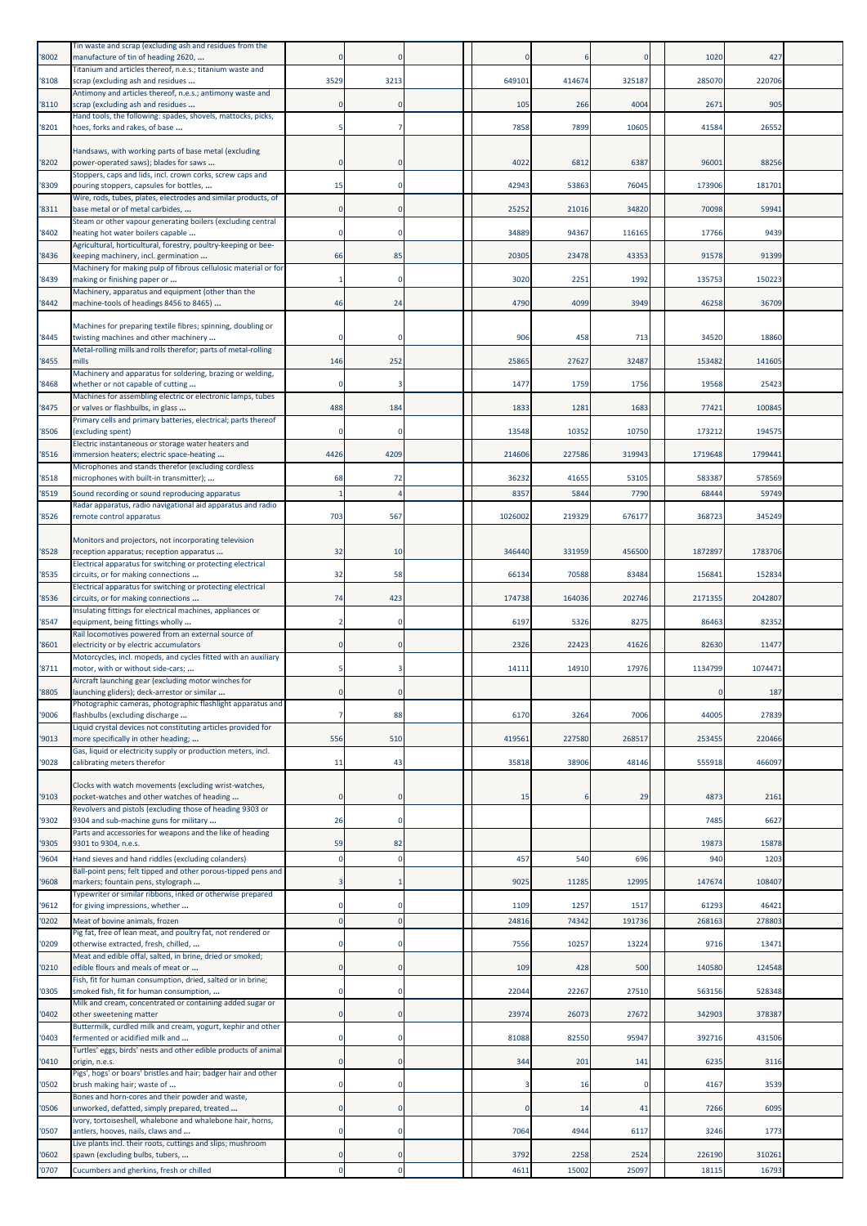|       | Tin waste and scrap (excluding ash and residues from the                                                                                                     |          |          |         |        |             |         |         |  |
|-------|--------------------------------------------------------------------------------------------------------------------------------------------------------------|----------|----------|---------|--------|-------------|---------|---------|--|
| '8002 | manufacture of tin of heading 2620,                                                                                                                          | 0        |          |         |        | $\Omega$    | 1020    | 427     |  |
| '8108 | Titanium and articles thereof, n.e.s.; titanium waste and<br>scrap (excluding ash and residues                                                               | 3529     | 3213     | 649101  | 414674 | 325187      | 285070  | 220706  |  |
| '8110 | Antimony and articles thereof, n.e.s.; antimony waste and<br>scrap (excluding ash and residues                                                               |          | $\Omega$ | 105     | 266    | 4004        | 2671    | 905     |  |
|       | Hand tools, the following: spades, shovels, mattocks, picks,                                                                                                 |          |          |         |        |             |         |         |  |
| '8201 | hoes, forks and rakes, of base                                                                                                                               |          |          | 7858    | 7899   | 10605       | 41584   | 26552   |  |
| '8202 | Handsaws, with working parts of base metal (excluding<br>power-operated saws); blades for saws<br>Stoppers, caps and lids, incl. crown corks, screw caps and |          |          | 4022    | 6812   | 6387        | 9600    | 88256   |  |
| '8309 | pouring stoppers, capsules for bottles,                                                                                                                      | 15       |          | 42943   | 53863  | 76045       | 173906  | 181701  |  |
| '8311 | Wire, rods, tubes, plates, electrodes and similar products, of<br>base metal or of metal carbides,                                                           | 0        | $\Omega$ | 25252   | 21016  | 34820       | 70098   | 59941   |  |
| '8402 | Steam or other vapour generating boilers (excluding central<br>heating hot water boilers capable                                                             | $\Omega$ |          | 34889   | 94367  | 116165      | 17766   | 9439    |  |
|       | Agricultural, horticultural, forestry, poultry-keeping or bee-                                                                                               |          |          |         |        |             |         |         |  |
| '8436 | keeping machinery, incl. germination<br>Machinery for making pulp of fibrous cellulosic material or for                                                      | 66       | 85       | 20305   | 23478  | 43353       | 91578   | 91399   |  |
| '8439 | making or finishing paper or<br>Machinery, apparatus and equipment (other than the                                                                           |          |          | 3020    | 2251   | 1992        | 135753  | 150223  |  |
| '8442 | machine-tools of headings 8456 to 8465)                                                                                                                      | 46       | 24       | 4790    | 4099   | 3949        | 46258   | 36709   |  |
| '8445 | Machines for preparing textile fibres; spinning, doubling or<br>twisting machines and other machinery                                                        |          |          | 906     | 458    | 713         | 34520   | 18860   |  |
| '8455 | Metal-rolling mills and rolls therefor; parts of metal-rolling<br>mills                                                                                      | 146      | 252      | 25865   | 27627  | 32487       | 153482  | 141605  |  |
|       | Machinery and apparatus for soldering, brazing or welding,                                                                                                   |          |          |         |        |             |         |         |  |
| '8468 | whether or not capable of cutting<br>Machines for assembling electric or electronic lamps, tubes                                                             | $\Omega$ | 3        | 1477    | 1759   | 1756        | 19568   | 25423   |  |
| '8475 | or valves or flashbulbs, in glass<br>Primary cells and primary batteries, electrical; parts thereof                                                          | 488      | 184      | 1833    | 1281   | 1683        | 77421   | 100845  |  |
| '8506 | (excluding spent)<br>Electric instantaneous or storage water heaters and                                                                                     |          |          | 13548   | 10352  | 10750       | 173212  | 194575  |  |
| '8516 | immersion heaters; electric space-heating                                                                                                                    | 4426     | 4209     | 214606  | 227586 | 319943      | 1719648 | 1799441 |  |
| '8518 | Microphones and stands therefor (excluding cordless<br>microphones with built-in transmitter);                                                               | 68       | 72       | 36232   | 41655  | 53105       | 583387  | 578569  |  |
| '8519 | Sound recording or sound reproducing apparatus                                                                                                               |          |          | 8357    | 584    | 7790        | 68444   | 59749   |  |
| '8526 | Radar apparatus, radio navigational aid apparatus and radio<br>remote control apparatus                                                                      | 703      | 567      | 1026002 | 219329 | 676177      | 368723  | 345249  |  |
| '8528 | Monitors and projectors, not incorporating television<br>reception apparatus; reception apparatus                                                            | 32       | 10       | 346440  | 331959 | 456500      | 1872897 | 1783706 |  |
| '8535 | Electrical apparatus for switching or protecting electrical<br>circuits, or for making connections                                                           | 32       | 58       | 66134   | 70588  | 83484       | 156841  | 152834  |  |
|       | Electrical apparatus for switching or protecting electrical                                                                                                  | 74       |          |         | 164036 | 202746      | 2171355 | 2042807 |  |
| '8536 | circuits, or for making connections<br>Insulating fittings for electrical machines, appliances or                                                            |          | 423      | 174738  |        |             |         |         |  |
| '8547 | equipment, being fittings wholly<br>Rail locomotives powered from an external source of                                                                      | 2        | $\Omega$ | 6197    | 5326   | 8275        | 86463   | 82352   |  |
| '8601 | electricity or by electric accumulators<br>Motorcycles, incl. mopeds, and cycles fitted with an auxiliary                                                    |          |          | 2326    | 22423  | 41626       | 82630   | 11477   |  |
| '8711 | motor, with or without side-cars;                                                                                                                            |          |          | 14111   | 14910  | 17976       | 1134799 | 1074471 |  |
| '8805 | Aircraft launching gear (excluding motor winches for<br>launching gliders); deck-arrestor or similar                                                         |          |          |         |        |             |         | 187     |  |
| '9006 | Photographic cameras, photographic flashlight apparatus and<br>flashbulbs (excluding discharge                                                               |          | 88       | 6170    | 3264   | 7006        | 44005   | 27839   |  |
| '9013 | Liquid crystal devices not constituting articles provided for<br>more specifically in other heading;                                                         | 556      | 510      | 419561  | 227580 | 268517      | 253455  | 220466  |  |
| '9028 | Gas, liquid or electricity supply or production meters, incl.<br>calibrating meters therefor                                                                 | 11       | 43       | 35818   | 38906  | 48146       | 555918  | 466097  |  |
|       |                                                                                                                                                              |          |          |         |        |             |         |         |  |
| '9103 | Clocks with watch movements (excluding wrist-watches,<br>pocket-watches and other watches of heading                                                         |          | $\Omega$ | 15      |        | 29          | 4873    | 2161    |  |
| '9302 | Revolvers and pistols (excluding those of heading 9303 or<br>9304 and sub-machine guns for military                                                          | 26       | $\Omega$ |         |        |             | 7485    | 6627    |  |
| '9305 | Parts and accessories for weapons and the like of heading<br>9301 to 9304, n.e.s.                                                                            | 59       | 82       |         |        |             | 19873   | 15878   |  |
| '9604 | Hand sieves and hand riddles (excluding colanders)                                                                                                           |          |          | 457     | 540    | 696         | 940     | 120     |  |
| '9608 | Ball-point pens; felt tipped and other porous-tipped pens and<br>markers; fountain pens, stylograph                                                          | 3        |          | 9025    | 11285  | 12995       | 147674  | 108407  |  |
| '9612 | Typewriter or similar ribbons, inked or otherwise prepared<br>for giving impressions, whether                                                                | 0        |          | 1109    | 1257   | 1517        | 61293   | 46421   |  |
| '0202 | Meat of bovine animals, frozen                                                                                                                               | $\Omega$ |          | 24816   | 74342  | 191736      | 268163  | 278803  |  |
| '0209 | Pig fat, free of lean meat, and poultry fat, not rendered or<br>otherwise extracted, fresh, chilled,                                                         | 0        | 0        | 7556    | 1025   | 13224       | 9716    | 13471   |  |
| '0210 | Meat and edible offal, salted, in brine, dried or smoked;<br>edible flours and meals of meat or                                                              | $\Omega$ | $\Omega$ | 109     | 428    | 500         | 140580  | 124548  |  |
| '0305 | Fish, fit for human consumption, dried, salted or in brine;<br>smoked fish, fit for human consumption,                                                       |          |          | 22044   | 22267  | 27510       | 563156  | 528348  |  |
|       | Milk and cream, concentrated or containing added sugar or                                                                                                    |          |          |         |        |             |         |         |  |
| '0402 | other sweetening matter<br>Buttermilk, curdled milk and cream, yogurt, kephir and other                                                                      | $\Omega$ | $\Omega$ | 23974   | 26073  | 27672       | 342903  | 378387  |  |
| '0403 | fermented or acidified milk and<br>Turtles' eggs, birds' nests and other edible products of animal                                                           |          |          | 81088   | 82550  | 95947       | 392716  | 431506  |  |
| '0410 | origin, n.e.s.<br>Pigs', hogs' or boars' bristles and hair; badger hair and other                                                                            | 0        | $\Omega$ | 344     | 201    | 141         | 6235    | 3116    |  |
| '0502 | brush making hair; waste of<br>Bones and horn-cores and their powder and waste,                                                                              | $\Omega$ |          |         | 16     | $\mathbf 0$ | 4167    | 3539    |  |
| '0506 | unworked, defatted, simply prepared, treated                                                                                                                 |          |          |         | 14     | 41          | 7266    | 6095    |  |
| '0507 | lvory, tortoiseshell, whalebone and whalebone hair, horns,<br>antlers, hooves, nails, claws and                                                              | 0        |          | 7064    | 4944   | 6117        | 3246    | 1773    |  |
| '0602 | Live plants incl. their roots, cuttings and slips; mushroom<br>spawn (excluding bulbs, tubers,                                                               |          |          | 3792    | 2258   | 2524        | 226190  | 310261  |  |
| '0707 | Cucumbers and gherkins, fresh or chilled                                                                                                                     | $\Omega$ |          | 4611    | 15002  | 25097       | 18115   | 16793   |  |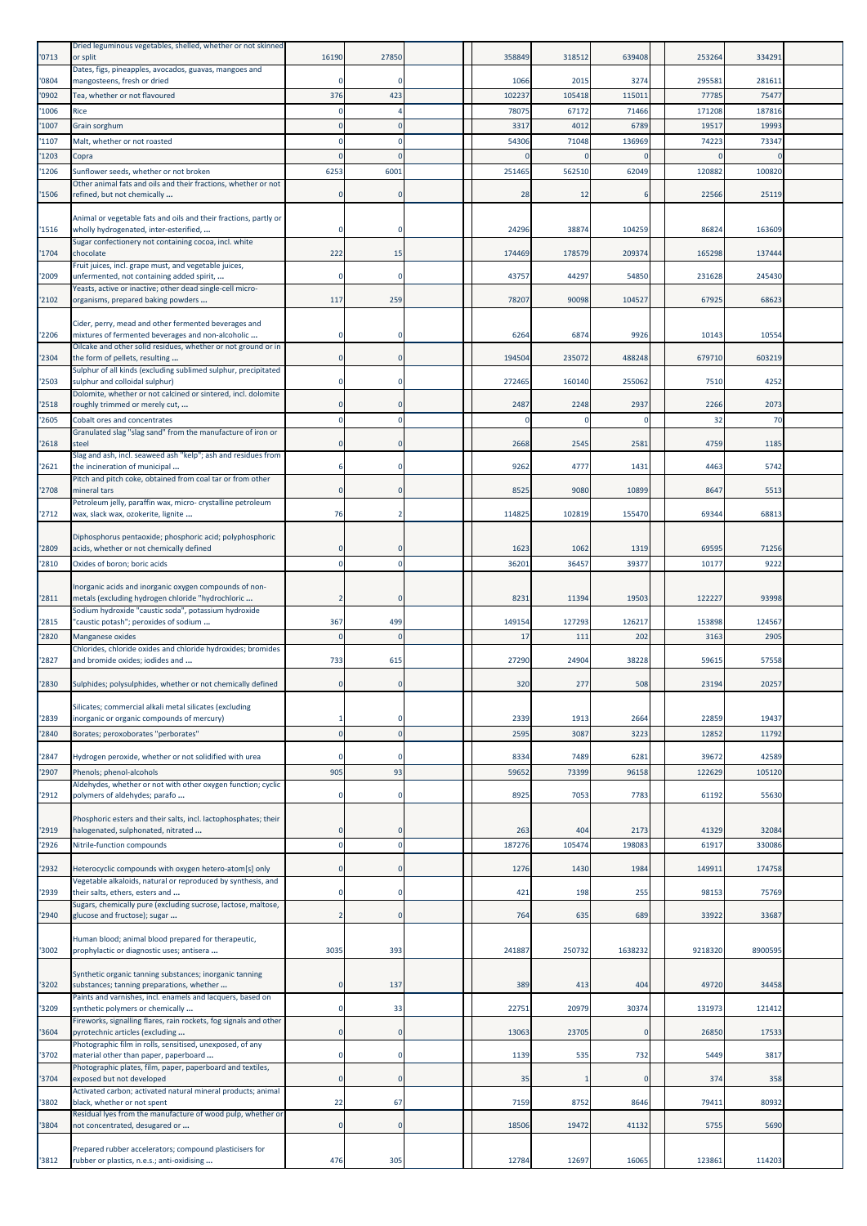| '0713          | Dried leguminous vegetables, shelled, whether or not skinned<br>or split                                               | 16190                      | 27850                   | 358849          | 318512        | 639408         | 253264         | 334291          |  |
|----------------|------------------------------------------------------------------------------------------------------------------------|----------------------------|-------------------------|-----------------|---------------|----------------|----------------|-----------------|--|
| '0804          | Dates, figs, pineapples, avocados, guavas, mangoes and<br>mangosteens, fresh or dried                                  |                            |                         | 1066            | 2015          | 3274           | 29558          | 28161           |  |
| '0902          | Tea, whether or not flavoured                                                                                          | 376                        | 423                     | 102237          | 105418        | 115011         | 77785          | 75477           |  |
| '1006          | Rice                                                                                                                   |                            |                         | 7807            | 67172         | 71466          | 171208         | 18781           |  |
| '1007          | Grain sorghum                                                                                                          | $\Omega$                   | $\Omega$                | 3317            | 4012          | 6789           | 19517          | 1999            |  |
| '1107          | Malt, whether or not roasted                                                                                           | $\Omega$                   | $\Omega$                | 54306           | 71048         | 136969         | 74223          | 7334            |  |
| '1203          | Copra                                                                                                                  | $\Omega$                   | $\Omega$                |                 |               | n              |                |                 |  |
| '1206          | Sunflower seeds, whether or not broken<br>Other animal fats and oils and their fractions, whether or not               | 6253                       | 6001                    | 251465          | 562510        | 62049          | 120882         | 100820          |  |
| '1506          | refined, but not chemically                                                                                            | $\mathbf 0$                | $\mathbf 0$             | 28              | 12            | 6              | 22566          | 25119           |  |
| '1516          | Animal or vegetable fats and oils and their fractions, partly or<br>wholly hydrogenated, inter-esterified,             | $\mathbf 0$                | $^{\circ}$              | 24296           | 38874         | 104259         | 86824          | 163609          |  |
| '1704          | Sugar confectionery not containing cocoa, incl. white<br>chocolate                                                     | 222                        | 15                      | 174469          | 178579        | 209374         | 165298         | 137444          |  |
| '2009          | Fruit juices, incl. grape must, and vegetable juices,<br>unfermented, not containing added spirit,                     | $\Omega$                   | $\Omega$                | 43757           | 44297         | 54850          | 231628         | 245430          |  |
| '2102          | Yeasts, active or inactive; other dead single-cell micro-<br>organisms, prepared baking powders                        | 117                        | 259                     | 78207           | 90098         | 104527         | 67925          | 68623           |  |
| '2206          | Cider, perry, mead and other fermented beverages and<br>mixtures of fermented beverages and non-alcoholic              | $\mathbf 0$                | $^{\circ}$              | 626             | 6874          | 9926           | 10143          | 10554           |  |
|                | Oilcake and other solid residues, whether or not ground or in                                                          |                            |                         |                 |               |                |                |                 |  |
| '2304          | the form of pellets, resulting<br>Sulphur of all kinds (excluding sublimed sulphur, precipitated                       | $\mathbf 0$                | $\mathbf 0$             | 194504          | 235072        | 488248         | 679710         | 603219          |  |
| '2503          | sulphur and colloidal sulphur)<br>Dolomite, whether or not calcined or sintered, incl. dolomite                        | $\Omega$                   | $\Omega$                | 272465          | 160140        | 255062         | 7510           | 4252            |  |
| '2518          | roughly trimmed or merely cut,                                                                                         | $\mathbf 0$                | $\Omega$                | 2487            | 2248          | 2937           | 2266           | 2073            |  |
| '2605          | Cobalt ores and concentrates                                                                                           | $\Omega$                   | $\Omega$                |                 |               | $\Omega$       | 32             | 70              |  |
| '2618          | Granulated slag "slag sand" from the manufacture of iron or<br>steel                                                   | $\mathbf 0$                |                         | 2668            | 2545          | 2581           | 4759           | 1185            |  |
| '2621          | Slag and ash, incl. seaweed ash "kelp"; ash and residues from<br>the incineration of municipal                         | 6                          | $^{\circ}$              | 9262            | 4777          | 1431           | 4463           | 5742            |  |
| '2708          | Pitch and pitch coke, obtained from coal tar or from other<br>mineral tars                                             | $\mathbf 0$                | $\Omega$                | 8525            | 9080          | 10899          | 8647           | 5513            |  |
|                | Petroleum jelly, paraffin wax, micro- crystalline petroleum                                                            |                            |                         |                 |               |                |                |                 |  |
| '2712          | wax, slack wax, ozokerite, lignite                                                                                     | 76                         |                         | 114825          | 102819        | 155470         | 69344          | 68813           |  |
| '2809          | Diphosphorus pentaoxide; phosphoric acid; polyphosphoric<br>acids, whether or not chemically defined                   | 0                          |                         | 1623            | 1062          | 1319           | 69595          | 71256           |  |
| '2810          | Oxides of boron; boric acids                                                                                           | $\Omega$                   | $\Omega$                | 36201           | 36457         | 39377          | 10177          | 9222            |  |
| '2811          | Inorganic acids and inorganic oxygen compounds of non-<br>metals (excluding hydrogen chloride "hydrochloric            | $\overline{2}$             | $\mathbf 0$             | 823             | 11394         | 19503          | 122227         | 93998           |  |
| '2815          | Sodium hydroxide "caustic soda", potassium hydroxide<br>"caustic potash"; peroxides of sodium                          | 367                        | 499                     | 149154          | 127293        | 126217         | 153898         | 124567          |  |
| '2820          | <b>Manganese oxides</b>                                                                                                | $\Omega$                   | $\Omega$                | 17              | 111           | 202            | 3163           | 2905            |  |
|                | Chlorides, chloride oxides and chloride hydroxides; bromides                                                           |                            |                         |                 |               |                |                |                 |  |
| '2827          | and bromide oxides; iodides and                                                                                        | 733                        | 615                     | 27290           | 24904         | 38228          | 59615          | 57558           |  |
| '2830          | Sulphides; polysulphides, whether or not chemically defined                                                            | $\mathbf 0$                | $\Omega$                | 320             | 277           | 508            | 23194          | 20257           |  |
|                | Silicates; commercial alkali metal silicates (excluding                                                                |                            |                         |                 |               |                | 22859          |                 |  |
| '2839<br>'2840 | inorganic or organic compounds of mercury)<br>Borates; peroxoborates "perborates"                                      | $\mathbf{0}$               | $^{\circ}$<br>$\Omega$  | 2339<br>2595    | 1913<br>3087  | 2664<br>3223   | 12852          | 1943<br>11792   |  |
|                |                                                                                                                        |                            |                         |                 |               |                |                |                 |  |
| '2847          | Hydrogen peroxide, whether or not solidified with urea<br>Phenols; phenol-alcohols                                     | $\Omega$<br>905            | 93                      | 8334            | 7489          | 6281           | 39672          | 42589<br>105120 |  |
| '2907          | Aldehydes, whether or not with other oxygen function; cyclic                                                           |                            |                         | 59652           | 73399         | 96158          | 122629         |                 |  |
| '2912          | polymers of aldehydes; parafo                                                                                          | $\mathbf 0$                | $\Omega$                | 8925            | 7053          | 7783           | 61192          | 55630           |  |
|                | Phosphoric esters and their salts, incl. lactophosphates; their                                                        |                            |                         |                 |               |                |                |                 |  |
| '2919<br>'2926 | halogenated, sulphonated, nitrated<br>Nitrile-function compounds                                                       | $\mathbf 0$<br>$\mathbf 0$ | $\Omega$<br>$\mathbf 0$ | 263<br>187276   | 404<br>105474 | 2173<br>198083 | 41329<br>61917 | 32084<br>330086 |  |
|                |                                                                                                                        |                            |                         |                 |               |                |                |                 |  |
| '2932          | Heterocyclic compounds with oxygen hetero-atom[s] only<br>Vegetable alkaloids, natural or reproduced by synthesis, and | $\mathbf 0$                | $\mathbf 0$             | 1276            | 1430          | 1984           | 149911         | 174758          |  |
| '2939          | their salts, ethers, esters and                                                                                        | $\mathbf 0$                | $\Omega$                | 42 <sup>2</sup> | 198           | 255            | 98153          | 75769           |  |
| '2940          | Sugars, chemically pure (excluding sucrose, lactose, maltose,<br>glucose and fructose); sugar                          | $\overline{2}$             | $\Omega$                | 764             | 635           | 689            | 33922          | 33687           |  |
| '3002          | Human blood; animal blood prepared for therapeutic,<br>prophylactic or diagnostic uses; antisera                       | 3035                       | 393                     | 241887          | 250732        | 1638232        | 9218320        | 8900595         |  |
|                | Synthetic organic tanning substances; inorganic tanning                                                                |                            |                         |                 |               |                |                |                 |  |
| '3202          | substances; tanning preparations, whether<br>Paints and varnishes, incl. enamels and lacquers, based on                | 0                          | 137                     | 389             | 413           | 404            | 49720          | 34458           |  |
| '3209          | synthetic polymers or chemically<br>Fireworks, signalling flares, rain rockets, fog signals and other                  | 0                          | 33                      | 22751           | 20979         | 30374          | 131973         | 121412          |  |
| '3604          | pyrotechnic articles (excluding<br>Photographic film in rolls, sensitised, unexposed, of any                           | $\mathbf 0$                | $\Omega$                | 13063           | 23705         | $\Omega$       | 26850          | 17533           |  |
| '3702          | material other than paper, paperboard<br>Photographic plates, film, paper, paperboard and textiles,                    | $\mathbf 0$                | $\Omega$                | 1139            | 535           | 732            | 5449           | 3817            |  |
| '3704          | exposed but not developed                                                                                              | $\mathbf 0$                | $\mathbf 0$             | 35              |               | $\mathbf{0}$   | 374            | 358             |  |
| '3802          | Activated carbon; activated natural mineral products; animal<br>black, whether or not spent                            | 22                         | 67                      | 7159            | 8752          | 8646           | 7941:          | 80932           |  |
| '3804          | Residual lyes from the manufacture of wood pulp, whether or<br>not concentrated, desugared or                          | $\mathbf 0$                | $\Omega$                | 18506           | 19472         | 41132          | 5755           | 5690            |  |
|                |                                                                                                                        |                            |                         |                 |               |                |                |                 |  |
| '3812          | Prepared rubber accelerators; compound plasticisers for<br>rubber or plastics, n.e.s.; anti-oxidising                  | 476                        | 305                     | 12784           | 12697         | 16065          | 123861         | 114203          |  |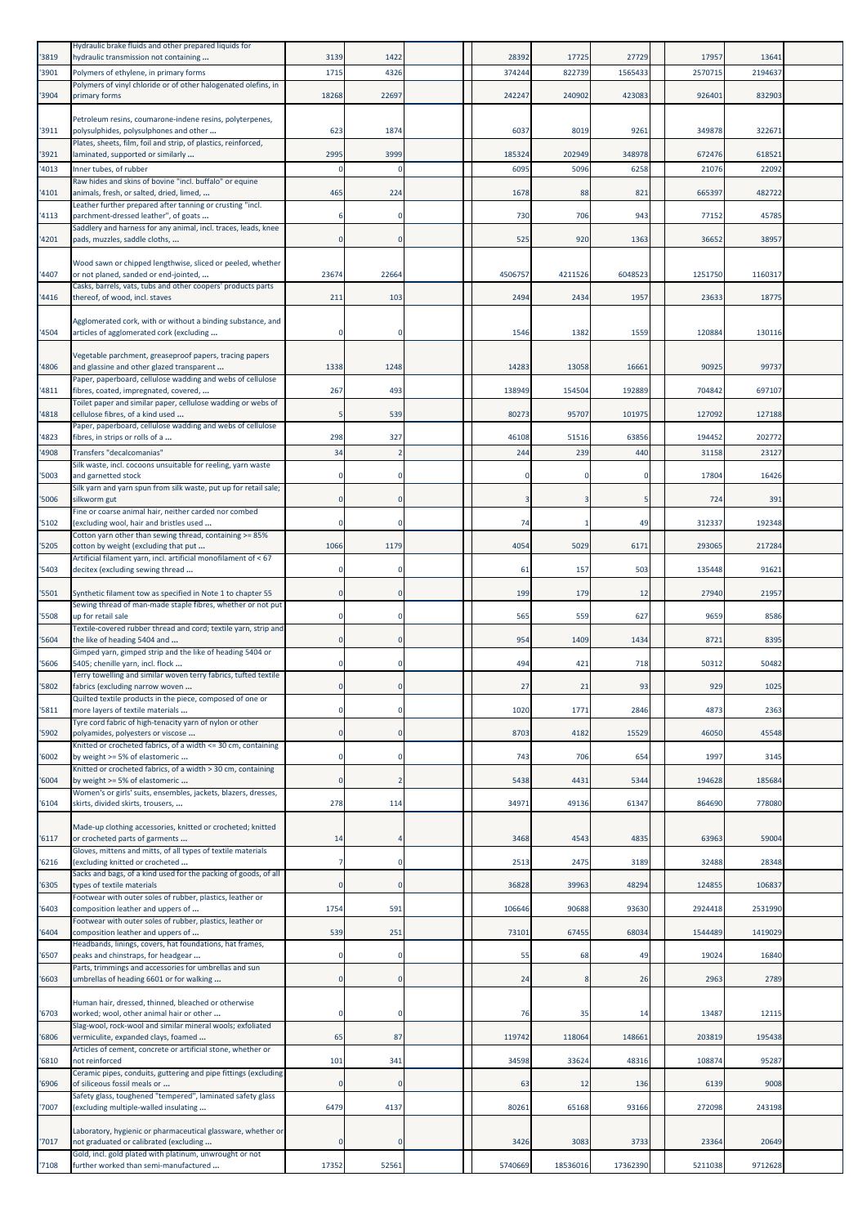| '3819         | Hydraulic brake fluids and other prepared liquids for<br>hydraulic transmission not containing                                                                     | 3139      | 1422                  | 28392          | 17725          | 27729          | 17957           | 1364           |  |
|---------------|--------------------------------------------------------------------------------------------------------------------------------------------------------------------|-----------|-----------------------|----------------|----------------|----------------|-----------------|----------------|--|
| 3901          | Polymers of ethylene, in primary forms                                                                                                                             | 1715      | 4326                  | 37424          | 822739         | 1565433        | 257071          | 219463         |  |
|               | Polymers of vinyl chloride or of other halogenated olefins, in                                                                                                     |           |                       |                |                |                |                 |                |  |
| '3904         | primary forms                                                                                                                                                      | 18268     | 22697                 | 242247         | 240902         | 423083         | 92640           | 832903         |  |
| '3911         | Petroleum resins, coumarone-indene resins, polyterpenes,<br>polysulphides, polysulphones and other                                                                 | 623       | 1874                  | 6037           | 8019           | 9261           | 349878          | 32267          |  |
|               | Plates, sheets, film, foil and strip, of plastics, reinforced,                                                                                                     |           |                       |                |                |                |                 |                |  |
| '3921<br>4013 | laminated, supported or similarly<br>Inner tubes, of rubber                                                                                                        | 2995      | 3999<br>$\Omega$      | 185324<br>6095 | 202949<br>5096 | 348978<br>6258 | 672476<br>21076 | 61852<br>2209  |  |
|               | Raw hides and skins of bovine "incl. buffalo" or equine                                                                                                            |           |                       |                |                |                |                 |                |  |
| 4101          | animals, fresh, or salted, dried, limed,<br>Leather further prepared after tanning or crusting "incl.                                                              | 465       | 224                   | 1678           | 88             | 821            | 665397          | 482722         |  |
| 4113          | parchment-dressed leather", of goats                                                                                                                               |           | $\mathbf 0$           | 730            | 706            | 943            | 77152           | 45785          |  |
| 4201          | Saddlery and harness for any animal, incl. traces, leads, knee<br>pads, muzzles, saddle cloths,                                                                    | $\Omega$  | $\Omega$              | 525            | 920            | 1363           | 36652           | 38957          |  |
|               |                                                                                                                                                                    |           |                       |                |                |                |                 |                |  |
| '4407         | Wood sawn or chipped lengthwise, sliced or peeled, whether<br>or not planed, sanded or end-jointed,                                                                | 23674     | 22664                 | 4506757        | 4211526        | 6048523        | 1251750         | 1160317        |  |
| 4416          | Casks, barrels, vats, tubs and other coopers' products parts<br>thereof, of wood, incl. staves                                                                     | 211       | 103                   | 2494           | 2434           | 1957           | 23633           | 18775          |  |
|               | Agglomerated cork, with or without a binding substance, and                                                                                                        |           |                       |                |                |                |                 |                |  |
| '4504         | articles of agglomerated cork (excluding                                                                                                                           |           | $\mathbf 0$           | 1546           | 1382           | 1559           | 120884          | 13011          |  |
|               | Vegetable parchment, greaseproof papers, tracing papers                                                                                                            |           |                       |                |                |                |                 |                |  |
| 4806          | and glassine and other glazed transparent                                                                                                                          | 1338      | 1248                  | 14283          | 13058          | 16661          | 90925           | 9973           |  |
| 4811          | Paper, paperboard, cellulose wadding and webs of cellulose<br>fibres, coated, impregnated, covered,                                                                | 267       | 493                   | 138949         | 154504         | 192889         | 704842          | 697107         |  |
| 4818          | Toilet paper and similar paper, cellulose wadding or webs of<br>cellulose fibres, of a kind used                                                                   |           | 539                   | 80273          | 95707          | 101975         | 127092          | 127188         |  |
|               | Paper, paperboard, cellulose wadding and webs of cellulose                                                                                                         |           |                       |                |                |                |                 |                |  |
| 4823<br>4908  | fibres, in strips or rolls of a<br>Transfers "decalcomanias"                                                                                                       | 298<br>34 | 327<br>$\overline{2}$ | 46108<br>244   | 51516<br>239   | 63856<br>440   | 194452<br>31158 | 202772<br>2312 |  |
|               | Silk waste, incl. cocoons unsuitable for reeling, yarn waste                                                                                                       |           |                       |                |                |                |                 |                |  |
| '5003         | and garnetted stock<br>Silk yarn and yarn spun from silk waste, put up for retail sale;                                                                            |           | $\Omega$              |                |                | $\Omega$       | 17804           | 16426          |  |
| 5006          | silkworm gut                                                                                                                                                       | $\Omega$  | $\mathbf 0$           |                |                | 5              | 724             | 391            |  |
| '5102         | Fine or coarse animal hair, neither carded nor combed<br>(excluding wool, hair and bristles used                                                                   |           | $\mathbf 0$           | 74             |                | 49             | 312337          | 192348         |  |
|               | Cotton yarn other than sewing thread, containing >= 85%                                                                                                            |           |                       |                |                |                |                 | 217284         |  |
| 5205          | cotton by weight (excluding that put<br>Artificial filament yarn, incl. artificial monofilament of < 67                                                            | 1066      | 1179                  | 4054           | 5029           | 6171           | 293065          |                |  |
| 5403          | decitex (excluding sewing thread                                                                                                                                   |           | $\mathbf 0$           | 61             | 157            | 503            | 135448          | 91621          |  |
| '5501         | Synthetic filament tow as specified in Note 1 to chapter 55                                                                                                        | $\Omega$  | $\Omega$              | 199            | 179            | 12             | 27940           | 21957          |  |
| 5508          | Sewing thread of man-made staple fibres, whether or not put<br>up for retail sale                                                                                  |           | $\mathbf 0$           | 565            | 559            | 627            | 9659            | 8586           |  |
|               | Textile-covered rubber thread and cord; textile yarn, strip and                                                                                                    |           |                       |                |                |                |                 |                |  |
| 5604          | the like of heading 5404 and<br>Gimped yarn, gimped strip and the like of heading 5404 or                                                                          | 0         | $\mathbf 0$           | 954            | 1409           | 1434           | 872             | 8395           |  |
| 5606          | 5405; chenille yarn, incl. flock                                                                                                                                   |           | $\Omega$              | 494            | 421            | 718            | 50312           | 50482          |  |
| 5802          | Terry towelling and similar woven terry fabrics, tufted textile<br>fabrics (excluding narrow woven                                                                 |           | $\mathbf 0$           | 27             | 21             | 93             | 929             | 1025           |  |
| 5811          | Quilted textile products in the piece, composed of one or<br>more layers of textile materials                                                                      |           | 0                     | 1020           | 1771           | 2846           | 4873            | 2363           |  |
|               | Tyre cord fabric of high-tenacity yarn of nylon or other                                                                                                           |           |                       |                |                |                |                 |                |  |
| '5902         | polyamides, polyesters or viscose<br>Knitted or crocheted fabrics, of a width <= 30 cm, containing                                                                 | $\Omega$  | $\Omega$              | 8703           | 4182           | 15529          | 46050           | 45548          |  |
| 6002          | by weight >= 5% of elastomeric                                                                                                                                     |           | $\mathbf 0$           | 743            | 706            | 654            | 1997            | 3145           |  |
| 6004          | Knitted or crocheted fabrics, of a width > 30 cm, containing<br>by weight >= 5% of elastomeric                                                                     | $\Omega$  | $\overline{2}$        | 5438           | 4431           | 5344           | 194628          | 185684         |  |
| 6104          | Women's or girls' suits, ensembles, jackets, blazers, dresses,<br>skirts, divided skirts, trousers,                                                                | 278       | 114                   | 34971          | 49136          | 61347          | 864690          | 778080         |  |
|               |                                                                                                                                                                    |           |                       |                |                |                |                 |                |  |
| '6117         | Made-up clothing accessories, knitted or crocheted; knitted<br>or crocheted parts of garments                                                                      | 14        |                       | 3468           | 4543           | 4835           | 63963           | 59004          |  |
| 6216          | Gloves, mittens and mitts, of all types of textile materials<br>(excluding knitted or crocheted<br>Sacks and bags, of a kind used for the packing of goods, of all |           | $\mathbf 0$           | 2513           | 2475           | 3189           | 32488           | 28348          |  |
| 6305          | types of textile materials<br>Footwear with outer soles of rubber, plastics, leather or                                                                            | $\Omega$  | $\mathbf{0}$          | 36828          | 39963          | 48294          | 124855          | 106837         |  |
| 6403          | composition leather and uppers of<br>Footwear with outer soles of rubber, plastics, leather or                                                                     | 1754      | 591                   | 106646         | 90688          | 93630          | 2924418         | 2531990        |  |
| 6404          | composition leather and uppers of<br>Headbands, linings, covers, hat foundations, hat frames,                                                                      | 539       | 251                   | 73101          | 67455          | 68034          | 1544489         | 1419029        |  |
| '6507         | peaks and chinstraps, for headgear                                                                                                                                 |           | $\Omega$              | 55             | 68             | 49             | 19024           | 16840          |  |
| 6603          | Parts, trimmings and accessories for umbrellas and sun<br>umbrellas of heading 6601 or for walking                                                                 | $\Omega$  | $\mathbf 0$           | 24             |                | 26             | 2963            | 2789           |  |
|               | Human hair, dressed, thinned, bleached or otherwise                                                                                                                |           |                       |                |                |                |                 |                |  |
| '6703         | worked; wool, other animal hair or other                                                                                                                           |           | $\mathbf 0$           | 76             | 35             | 14             | 13487           | 1211           |  |
| 6806          | Slag-wool, rock-wool and similar mineral wools; exfoliated<br>vermiculite, expanded clays, foamed                                                                  | 65        | 87                    | 119742         | 118064         | 148661         | 203819          | 195438         |  |
| 6810          | Articles of cement, concrete or artificial stone, whether or<br>not reinforced                                                                                     | 101       | 341                   | 34598          | 33624          | 48316          | 108874          | 95287          |  |
|               | Ceramic pipes, conduits, guttering and pipe fittings (excluding                                                                                                    |           |                       |                |                |                |                 |                |  |
| 6906          | of siliceous fossil meals or<br>Safety glass, toughened "tempered", laminated safety glass                                                                         | $\Omega$  | $\mathbf{0}$          | 63             | 12             | 136            | 6139            | 9008           |  |
| 7007          | (excluding multiple-walled insulating                                                                                                                              | 6479      | 4137                  | 80261          | 65168          | 93166          | 272098          | 243198         |  |
| 7017          | Laboratory, hygienic or pharmaceutical glassware, whether or<br>not graduated or calibrated (excluding                                                             |           | $\mathbf 0$           | 3426           | 3083           | 3733           | 23364           | 20649          |  |
| '7108         | Gold, incl. gold plated with platinum, unwrought or not<br>further worked than semi-manufactured                                                                   | 17352     | 52561                 | 5740669        | 18536016       | 17362390       | 5211038         | 9712628        |  |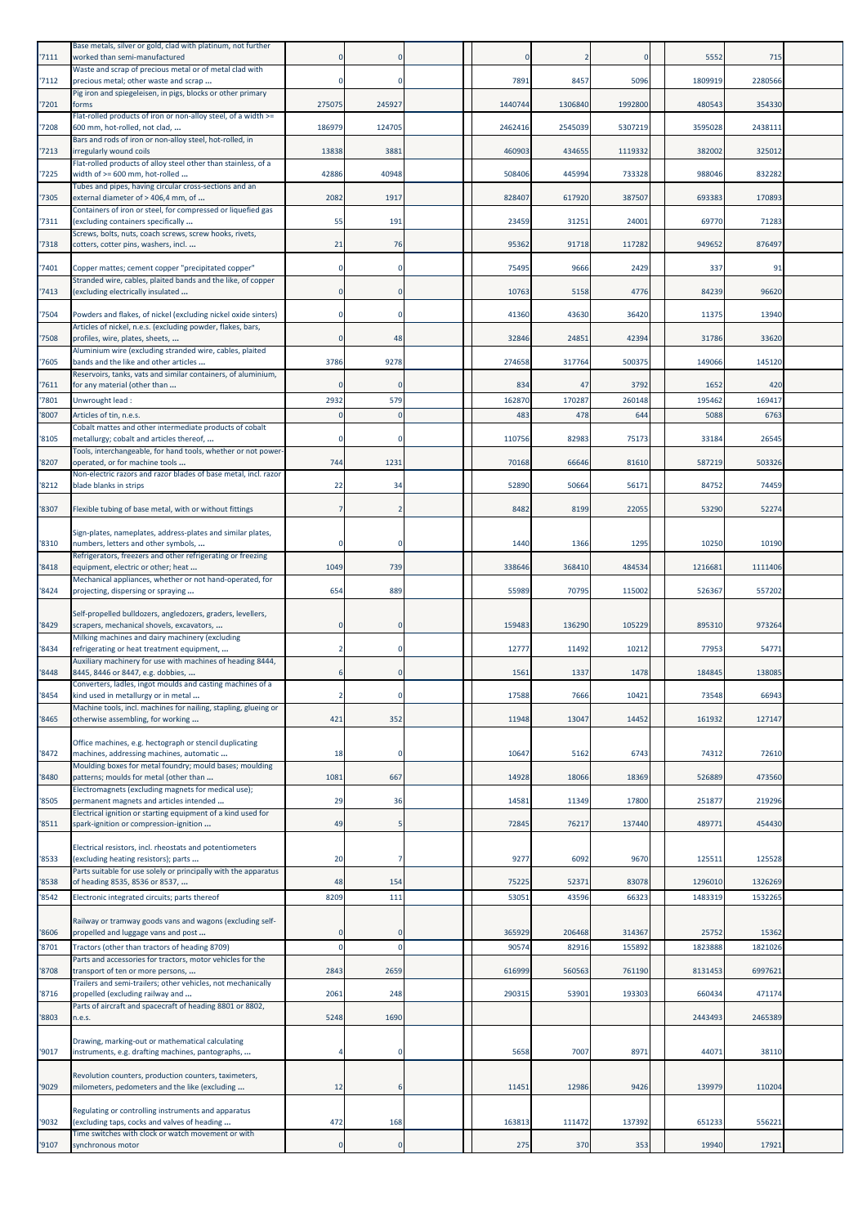| '7111         | Base metals, silver or gold, clad with platinum, not further<br>worked than semi-manufactured                                 |             |            |               |              |                | 5552           | 715           |  |
|---------------|-------------------------------------------------------------------------------------------------------------------------------|-------------|------------|---------------|--------------|----------------|----------------|---------------|--|
| '7112         | Waste and scrap of precious metal or of metal clad with<br>precious metal; other waste and scrap                              | n           | $\Omega$   | 7891          | 8457         | 5096           | 1809919        | 2280566       |  |
| '7201         | Pig iron and spiegeleisen, in pigs, blocks or other primary<br>forms                                                          | 275075      | 245927     | 1440744       | 1306840      | 1992800        | 480543         | 354330        |  |
| '7208         | Flat-rolled products of iron or non-alloy steel, of a width >=<br>600 mm, hot-rolled, not clad,                               | 186979      | 124705     | 2462416       | 2545039      | 5307219        | 3595028        | 2438111       |  |
| '7213         | Bars and rods of iron or non-alloy steel, hot-rolled, in<br>irregularly wound coils                                           | 13838       | 3881       | 460903        | 434655       | 1119332        | 382002         | 325012        |  |
| '7225         | Flat-rolled products of alloy steel other than stainless, of a<br>width of >= 600 mm, hot-rolled                              | 42886       | 40948      | 508406        | 445994       | 733328         | 988046         | 832282        |  |
| '7305         | Tubes and pipes, having circular cross-sections and an<br>external diameter of > 406,4 mm, of                                 | 2082        | 1917       | 828407        | 617920       | 387507         | 693383         | 170893        |  |
| '7311         | Containers of iron or steel, for compressed or liquefied gas<br>(excluding containers specifically                            | 55          | 191        | 23459         | 31251        | 24001          | 69770          | 71283         |  |
| 7318          | Screws, bolts, nuts, coach screws, screw hooks, rivets,<br>cotters, cotter pins, washers, incl.                               | 21          | 76         | 95362         | 91718        | 117282         | 949652         | 876497        |  |
| 7401          |                                                                                                                               |             |            | 75495         | 9666         | 2429           | 337            | 91            |  |
|               | Copper mattes; cement copper "precipitated copper"<br>Stranded wire, cables, plaited bands and the like, of copper            |             |            |               |              |                |                |               |  |
| '7413         | (excluding electrically insulated                                                                                             |             |            | 10763         | 5158         | 4776           | 84239          | 96620         |  |
| '7504         | Powders and flakes, of nickel (excluding nickel oxide sinters)<br>Articles of nickel, n.e.s. (excluding powder, flakes, bars, |             |            | 41360         | 43630        | 36420          | 11375          | 13940         |  |
| 7508          | profiles, wire, plates, sheets,<br>Aluminium wire (excluding stranded wire, cables, plaited                                   | 0           | 48         | 32846         | 24851        | 42394          | 31786          | 33620         |  |
| '7605         | bands and the like and other articles<br>Reservoirs, tanks, vats and similar containers, of aluminium,                        | 3786        | 9278       | 274658        | 317764       | 500375         | 149066         | 145120        |  |
| 7611<br>'7801 | for any material (other than<br>Unwrought lead:                                                                               | 2932        | 579        | 834<br>162870 | 47<br>170287 | 3792<br>260148 | 1652<br>195462 | 420<br>169417 |  |
| '8007         | Articles of tin, n.e.s.                                                                                                       |             | $\epsilon$ | 483           | 478          | 644            | 5088           | 6763          |  |
| '8105         | Cobalt mattes and other intermediate products of cobalt<br>metallurgy; cobalt and articles thereof,                           | 0           | $\Omega$   | 110756        | 82983        | 75173          | 33184          | 26545         |  |
| '8207         | Tools, interchangeable, for hand tools, whether or not power-<br>operated, or for machine tools                               | 744         | 1231       | 70168         | 66646        | 81610          | 587219         | 503326        |  |
| '8212         | Non-electric razors and razor blades of base metal, incl. razor<br>blade blanks in strips                                     | 22          | 34         | 52890         | 50664        | 56171          | 84752          | 74459         |  |
| '8307         | Flexible tubing of base metal, with or without fittings                                                                       |             | 2          | 8482          | 8199         | 22055          | 53290          | 52274         |  |
|               | Sign-plates, nameplates, address-plates and similar plates,                                                                   |             |            |               |              |                |                |               |  |
| '8310         | numbers, letters and other symbols,                                                                                           |             | $\Omega$   | 1440          | 1366         | 129            | 10250          | 10190         |  |
| '8418         | Refrigerators, freezers and other refrigerating or freezing<br>equipment, electric or other; heat                             | 1049        | 739        | 338646        | 368410       | 484534         | 1216681        | 1111406       |  |
| '8424         | Mechanical appliances, whether or not hand-operated, for<br>projecting, dispersing or spraying                                | 654         | 889        | 55989         | 70795        | 115002         | 526367         | 557202        |  |
|               | Self-propelled bulldozers, angledozers, graders, levellers,                                                                   |             |            |               |              |                |                |               |  |
| '8429         | scrapers, mechanical shovels, excavators,<br>Milking machines and dairy machinery (excluding                                  |             |            | 159483        | 136290       | 105229         | 895310         | 973264        |  |
| '8434         | refrigerating or heat treatment equipment,<br>Auxiliary machinery for use with machines of heading 8444,                      |             | 0          | 12777         | 11492        | 10212          | 77953          | 54771         |  |
| '8448         | 8445, 8446 or 8447, e.g. dobbies,<br>Converters, ladles, ingot moulds and casting machines of a                               |             | $\Omega$   | 156           | 1337         | 1478           | 184845         | 138085        |  |
| 8454          | kind used in metallurgy or in metal<br>Machine tools, incl. machines for nailing, stapling, glueing or                        |             | u          | 1/58          | 7666         | 1042           | 73548          | 6694:         |  |
| '8465         | otherwise assembling, for working                                                                                             | 421         | 352        | 11948         | 13047        | 14452          | 161932         | 127147        |  |
| '8472         | Office machines, e.g. hectograph or stencil duplicating<br>machines, addressing machines, automatic                           | 18          | $^{\circ}$ | 10647         | 5162         | 674            | 74312          | 72610         |  |
| '8480         | Moulding boxes for metal foundry; mould bases; moulding<br>patterns; moulds for metal (other than                             | 1081        | 667        | 14928         | 18066        | 18369          | 526889         | 473560        |  |
| '8505         | Electromagnets (excluding magnets for medical use);<br>permanent magnets and articles intended                                | 29          | 36         | 14581         | 11349        | 17800          | 251877         | 219296        |  |
| '8511         | Electrical ignition or starting equipment of a kind used for<br>spark-ignition or compression-ignition                        | 49          | 5          | 72845         | 76217        | 137440         | 489771         | 454430        |  |
|               | Electrical resistors, incl. rheostats and potentiometers                                                                      |             |            |               |              |                |                |               |  |
| '8533         | (excluding heating resistors); parts<br>Parts suitable for use solely or principally with the apparatus                       | 20          | 7          | 9277          | 6092         | 9670           | 125511         | 125528        |  |
| '8538         | of heading 8535, 8536 or 8537,                                                                                                | 48          | 154        | 75225         | 52371        | 83078          | 1296010        | 1326269       |  |
| '8542         | Electronic integrated circuits; parts thereof                                                                                 | 8209        | 111        | 5305:         | 43596        | 66323          | 1483319        | 1532265       |  |
| '8606         | Railway or tramway goods vans and wagons (excluding self-<br>propelled and luggage vans and post                              |             | 0          | 365929        | 206468       | 314367         | 25752          | 15362         |  |
| '8701         | Tractors (other than tractors of heading 8709)                                                                                | $\mathbf 0$ | $\Omega$   | 90574         | 82916        | 155892         | 1823888        | 1821026       |  |
| 8708          | Parts and accessories for tractors, motor vehicles for the<br>transport of ten or more persons,                               | 2843        | 2659       | 616999        | 560563       | 761190         | 8131453        | 6997621       |  |
|               | Trailers and semi-trailers; other vehicles, not mechanically                                                                  |             |            |               |              |                |                |               |  |
| '8716         | propelled (excluding railway and<br>Parts of aircraft and spacecraft of heading 8801 or 8802,                                 | 2061        | 248        | 290315        | 53901        | 193303         | 660434         | 471174        |  |
| '8803         | n.e.s.                                                                                                                        | 5248        | 1690       |               |              |                | 2443493        | 2465389       |  |
| '9017         | Drawing, marking-out or mathematical calculating<br>instruments, e.g. drafting machines, pantographs,                         |             | $\Omega$   | 5658          | 7007         | 8971           | 44071          | 38110         |  |
| '9029         | Revolution counters, production counters, taximeters,<br>milometers, pedometers and the like (excluding                       | 12          | 6          | 11451         | 12986        | 9426           | 139979         | 110204        |  |
| '9032         | Regulating or controlling instruments and apparatus<br>(excluding taps, cocks and valves of heading                           | 472         | 168        | 163813        | 111472       | 137392         | 651233         | 556221        |  |
| '9107         | Time switches with clock or watch movement or with<br>synchronous motor                                                       |             | 0          | 275           | 370          | 353            | 19940          | 17921         |  |
|               |                                                                                                                               |             |            |               |              |                |                |               |  |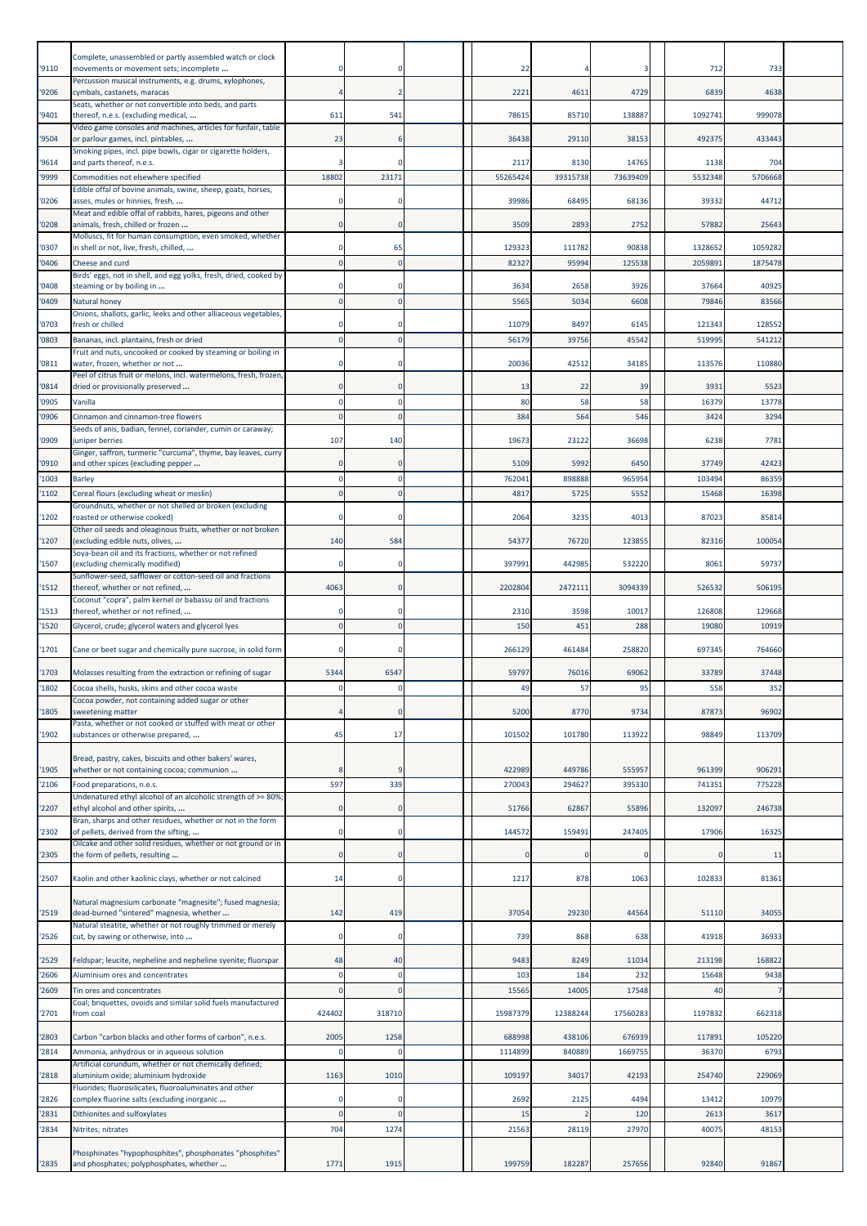|                | Complete, unassembled or partly assembled watch or clock                                                                                    |                             |                         |                   |                  |                   |                  |                 |  |
|----------------|---------------------------------------------------------------------------------------------------------------------------------------------|-----------------------------|-------------------------|-------------------|------------------|-------------------|------------------|-----------------|--|
| '9110          | movements or movement sets; incomplete<br>Percussion musical instruments, e.g. drums, xylophones,                                           |                             | $\Omega$                | 22                |                  | 3                 | 712              | 733             |  |
| '9206          | cymbals, castanets, maracas                                                                                                                 |                             |                         | 222:              | 4611             | 4729              | 6839             | 4638            |  |
| '9401          | Seats, whether or not convertible into beds, and parts<br>thereof, n.e.s. (excluding medical,                                               | 611                         | 541                     | 78615             | 85710            | 138887            | 1092741          | 999078          |  |
| '9504          | Video game consoles and machines, articles for funfair, table<br>or parlour games, incl. pintables,                                         | 23                          | 6                       | 36438             | 29110            | 38153             | 492375           | 433443          |  |
| '9614          | Smoking pipes, incl. pipe bowls, cigar or cigarette holders,<br>and parts thereof, n.e.s.                                                   |                             |                         | 2117              | 8130             | 14765             | 1138             | 704             |  |
| '9999          | Commodities not elsewhere specified                                                                                                         | 18802                       | 23171                   | 55265424          | 39315738         | 73639409          | 5532348          | 5706668         |  |
| '0206          | Edible offal of bovine animals, swine, sheep, goats, horses,<br>asses, mules or hinnies, fresh,                                             | $\Omega$                    | $\Omega$                | 39986             | 68495            | 68136             | 39332            | 44712           |  |
| '0208          | Meat and edible offal of rabbits, hares, pigeons and other<br>animals, fresh, chilled or frozen                                             | $\mathbf 0$                 | $\Omega$                | 3509              | 2893             | 2752              | 57882            | 25643           |  |
| '0307          | Molluscs, fit for human consumption, even smoked, whether<br>in shell or not, live, fresh, chilled,                                         | 0                           | 65                      | 129323            | 111782           | 90838             | 1328652          | 1059282         |  |
| '0406          | Cheese and curd                                                                                                                             | $\mathbf 0$                 | $\Omega$                | 8232              | 9599             | 125538            | 205989           | 1875478         |  |
| '0408          | Birds' eggs, not in shell, and egg yolks, fresh, dried, cooked by<br>steaming or by boiling in                                              | $\mathbf 0$                 | $\Omega$                | 3634              | 2658             | 3926              | 37664            | 40925           |  |
| '0409          | Natural honey                                                                                                                               | $\Omega$                    | $\Omega$                | 5565              | 5034             | 6608              | 79846            | 83566           |  |
| '0703          | Onions, shallots, garlic, leeks and other alliaceous vegetables<br>fresh or chilled                                                         | $\mathbf 0$                 | 0                       | 11079             | 8497             | 6145              | 121343           | 128552          |  |
| '0803          | Bananas, incl. plantains, fresh or dried                                                                                                    | $\Omega$                    |                         | 56179             | 39756            | 45542             | 519995           | 54121           |  |
| '0811          | Fruit and nuts, uncooked or cooked by steaming or boiling in<br>water, frozen, whether or not                                               |                             |                         | 20036             | 42512            | 34185             | 113576           | 110880          |  |
| '0814          | Peel of citrus fruit or melons, incl. watermelons, fresh, frozen<br>dried or provisionally preserved                                        | $\mathbf 0$                 | $\Omega$                | 13                | 22               | 39                | 3931             | 5523            |  |
| '0905          | Vanilla                                                                                                                                     | $\Omega$                    |                         | 80                | 58               | 58                | 16379            | 13778           |  |
| '0906          | Cinnamon and cinnamon-tree flowers<br>Seeds of anis, badian, fennel, coriander, cumin or caraway;                                           | $\Omega$                    | $\Omega$                | 384               | 564              | 546               | 3424             | 3294            |  |
| '0909          | juniper berries<br>Ginger, saffron, turmeric "curcuma", thyme, bay leaves, curry                                                            | 107                         | 140                     | 19673             | 23122            | 36698             | 6238             | 7781            |  |
| '0910          | and other spices (excluding pepper                                                                                                          | 0                           | $\Omega$                | 5109              | 5992             | 6450              | 37749            | 42423           |  |
| '1003          | <b>Barley</b>                                                                                                                               | $\mathbf 0$<br>$\Omega$     | $\mathbf 0$<br>$\Omega$ | 76204:<br>4817    | 898888<br>5725   | 965954<br>5552    | 103494<br>15468  | 8635<br>16398   |  |
| '1102          | Cereal flours (excluding wheat or meslin)<br>Groundnuts, whether or not shelled or broken (excluding                                        |                             |                         |                   |                  |                   |                  |                 |  |
| '1202          | roasted or otherwise cooked)<br>Other oil seeds and oleaginous fruits, whether or not broken                                                | $\Omega$                    | $\Omega$                | 2064              | 3235             | 4013              | 87023            | 85814           |  |
| '1207          | (excluding edible nuts, olives,<br>Soya-bean oil and its fractions, whether or not refined                                                  | 140                         | 584                     | 54377             | 76720            | 123855            | 82316            | 100054          |  |
| '1507          | (excluding chemically modified)                                                                                                             |                             |                         | 39799:            | 442985           | 532220            | 806              | 5973            |  |
| '1512          | Sunflower-seed, safflower or cotton-seed oil and fractions<br>thereof, whether or not refined,                                              | 4063                        | $\Omega$                | 2202804           | 2472111          | 3094339           | 526532           | 506195          |  |
| '1513          | Coconut "copra", palm kernel or babassu oil and fractions<br>thereof, whether or not refined,                                               | $\Omega$                    | $\Omega$                | 2310              | 3598             | 10017             | 126808           | 129668          |  |
| '1520          | Glycerol, crude; glycerol waters and glycerol lyes                                                                                          | $\Omega$                    | $\Omega$                | 150               | 451              | 288               | 19080            | 10919           |  |
| '1701          | Cane or beet sugar and chemically pure sucrose, in solid form                                                                               | $\mathbf 0$                 | $\Omega$                | 266129            | 461484           | 258820            | 697345           | 764660          |  |
| '1703          | Molasses resulting from the extraction or refining of sugar                                                                                 | 5344                        | 6547                    | 59797             | 76016            | 69062             | 33789            | 37448           |  |
| '1802          | Cocoa shells, husks, skins and other cocoa waste                                                                                            | $\Omega$                    | $\mathbf 0$             | 49                | 57               | 95                | 558              | 352             |  |
| '1805          | Cocoa powder, not containing added sugar or other<br>sweetening matter                                                                      |                             | $\Omega$                | 5200              | 8770             | 9734              | 87873            | 96902           |  |
| '1902          | Pasta, whether or not cooked or stuffed with meat or other<br>substances or otherwise prepared,                                             | 45                          | 17                      | 101502            | 101780           | 113922            | 98849            | 113709          |  |
|                | Bread, pastry, cakes, biscuits and other bakers' wares,                                                                                     |                             |                         |                   |                  |                   |                  |                 |  |
| '1905<br>'2106 | whether or not containing cocoa; communion<br>Food preparations, n.e.s.                                                                     | 8<br>597                    | 9<br>339                | 422989<br>270043  | 449786<br>294627 | 555957<br>395330  | 961399<br>741351 | 90629<br>775228 |  |
| '2207          | Undenatured ethyl alcohol of an alcoholic strength of >= 80%;<br>ethyl alcohol and other spirits,                                           | $\Omega$                    | $\Omega$                | 51766             | 62867            | 55896             | 132097           | 246738          |  |
|                | Bran, sharps and other residues, whether or not in the form                                                                                 |                             |                         |                   |                  | 247405            |                  |                 |  |
| '2302          | of pellets, derived from the sifting,<br>Oilcake and other solid residues, whether or not ground or in                                      | $\mathbf 0$                 | $^{\circ}$              | 144572            | 159491           |                   | 17906            | 16325           |  |
| '2305          | the form of pellets, resulting                                                                                                              | $\mathbf 0$                 | $\Omega$                |                   |                  | $\Omega$          |                  | 11              |  |
| '2507          | Kaolin and other kaolinic clays, whether or not calcined                                                                                    | 14                          | $^{\circ}$              | 1217              | 878              | 1063              | 102833           | 81361           |  |
|                | Natural magnesium carbonate "magnesite"; fused magnesia;                                                                                    |                             |                         |                   |                  |                   |                  | 34055           |  |
| '2519<br>'2526 | dead-burned "sintered" magnesia, whether<br>Natural steatite, whether or not roughly trimmed or merely<br>cut, by sawing or otherwise, into | 142<br>$\mathbf 0$          | 419<br>$\mathbf 0$      | 37054<br>739      | 29230<br>868     | 44564<br>638      | 51110<br>41918   | 36933           |  |
|                |                                                                                                                                             |                             |                         |                   |                  |                   |                  |                 |  |
| '2529<br>'2606 | Feldspar; leucite, nepheline and nepheline syenite; fluorspar<br>Aluminium ores and concentrates                                            | 48<br>$\mathbf 0$           | 40<br>$\mathbf 0$       | 9483<br>103       | 8249<br>184      | 11034<br>232      | 213198<br>15648  | 168822<br>9438  |  |
| '2609          | Tin ores and concentrates                                                                                                                   | $\overline{0}$              | $\Omega$                | 15565             | 14005            | 17548             | 40               |                 |  |
| '2701          | Coal; briquettes, ovoids and similar solid fuels manufactured<br>from coal                                                                  | 424402                      | 318710                  | 15987379          | 12388244         | 17560283          | 1197832          | 662318          |  |
|                |                                                                                                                                             |                             |                         |                   |                  |                   |                  |                 |  |
| '2803<br>'2814 | Carbon "carbon blacks and other forms of carbon", n.e.s.<br>Ammonia, anhydrous or in aqueous solution                                       | 2005<br>$\Omega$            | 1258<br>$\Omega$        | 688998<br>1114899 | 438106<br>840889 | 676939<br>1669755 | 117891<br>36370  | 105220<br>6793  |  |
| '2818          | Artificial corundum, whether or not chemically defined;<br>aluminium oxide; aluminium hydroxide                                             | 1163                        | 1010                    | 109197            | 34017            | 42193             | 254740           | 229069          |  |
|                | Fluorides; fluorosilicates, fluoroaluminates and other                                                                                      |                             |                         |                   |                  |                   |                  |                 |  |
| '2826<br>'2831 | complex fluorine salts (excluding inorganic<br>Dithionites and sulfoxylates                                                                 | $\mathbf 0$<br>$\mathbf{0}$ | $^{\circ}$<br>$\Omega$  | 2692<br>15        | 2125             | 4494<br>120       | 13412<br>2613    | 10979<br>3617   |  |
| '2834          | Nitrites; nitrates                                                                                                                          | 704                         | 1274                    | 21563             | 28119            | 27970             | 40075            | 4815            |  |
|                | Phosphinates "hypophosphites", phosphonates "phosphites"                                                                                    |                             |                         |                   |                  |                   |                  |                 |  |
| '2835          | and phosphates; polyphosphates, whether                                                                                                     | 1771                        | 1915                    | 199759            | 182287           | 257656            | 92840            | 91867           |  |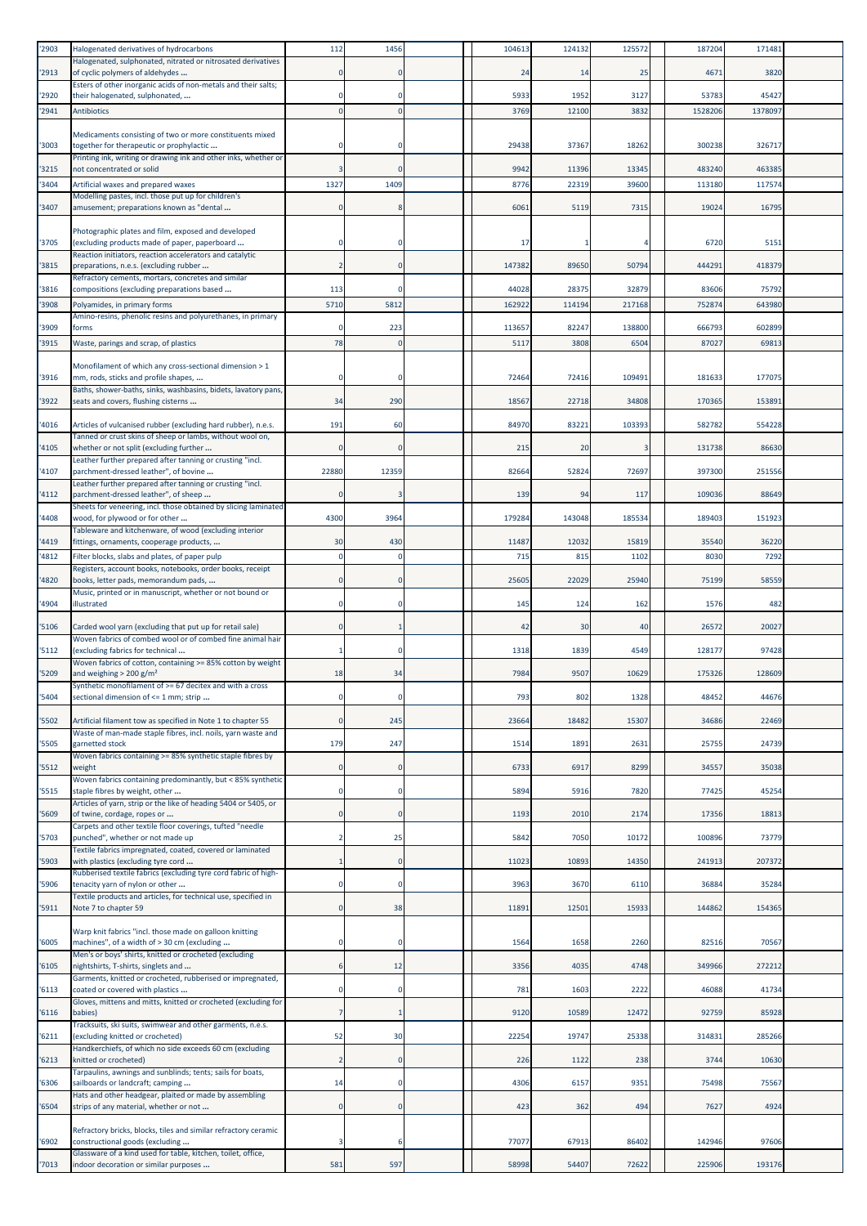| '2903          | Halogenated derivatives of hydrocarbons                                                                                | 112            | 1456             | 104613          | 124132          | 125572          | 187204          | 171481         |  |
|----------------|------------------------------------------------------------------------------------------------------------------------|----------------|------------------|-----------------|-----------------|-----------------|-----------------|----------------|--|
| '2913          | Halogenated, sulphonated, nitrated or nitrosated derivatives<br>of cyclic polymers of aldehydes                        | $\mathbf 0$    | $\Omega$         | 24              | 14              | 25              | 4671            | 3820           |  |
|                | Esters of other inorganic acids of non-metals and their salts;                                                         |                |                  |                 |                 |                 |                 |                |  |
| '2920          | their halogenated, sulphonated,<br><b>Antibiotics</b>                                                                  | $\mathbf{0}$   | $\Omega$         | 5933<br>3769    | 1952<br>12100   | 3127<br>3832    | 53783           | 4542<br>137809 |  |
| '2941          |                                                                                                                        |                |                  |                 |                 |                 | 1528206         |                |  |
| '3003          | Medicaments consisting of two or more constituents mixed<br>together for therapeutic or prophylactic                   |                | $\Omega$         | 29438           | 37367           | 18262           | 300238          | 326717         |  |
|                | Printing ink, writing or drawing ink and other inks, whether or                                                        |                |                  |                 |                 |                 |                 |                |  |
| '3215          | not concentrated or solid                                                                                              | 3              | $\Omega$         | 9942            | 11396           | 13345           | 483240          | 463385         |  |
| '3404          | Artificial waxes and prepared waxes<br>Modelling pastes, incl. those put up for children's                             | 1327           | 1409             | 8776            | 22319           | 39600           | 113180          | 117574         |  |
| '3407          | amusement; preparations known as "dental                                                                               | $\Omega$       | 8                | 6061            | 5119            | 7315            | 19024           | 16795          |  |
|                | Photographic plates and film, exposed and developed                                                                    |                |                  |                 |                 |                 |                 |                |  |
| '3705          | (excluding products made of paper, paperboard                                                                          | 0              |                  | 17              |                 |                 | 6720            | 5151           |  |
| '3815          | Reaction initiators, reaction accelerators and catalytic<br>preparations, n.e.s. (excluding rubber                     | $\overline{2}$ | $\Omega$         | 147382          | 89650           | 50794           | 444291          | 418379         |  |
|                | Refractory cements, mortars, concretes and similar                                                                     |                |                  |                 |                 |                 |                 |                |  |
| '3816<br>'3908 | compositions (excluding preparations based<br>Polyamides, in primary forms                                             | 113<br>5710    | $\Omega$<br>5812 | 44028<br>162922 | 28375<br>114194 | 32879<br>217168 | 83606<br>752874 | 75792<br>64398 |  |
|                | Amino-resins, phenolic resins and polyurethanes, in primary                                                            |                |                  |                 |                 |                 |                 |                |  |
| '3909          | forms                                                                                                                  | $\Omega$       | 223              | 113657          | 82247           | 138800          | 666793          | 602899         |  |
| '3915          | Waste, parings and scrap, of plastics                                                                                  | 78             | $\Omega$         | 511             | 3808            | 650             | 87027           | 6981           |  |
| '3916          | Monofilament of which any cross-sectional dimension > 1<br>mm, rods, sticks and profile shapes,                        | $\mathbf 0$    | $\Omega$         | 72464           | 72416           | 109491          | 181633          | 17707          |  |
| '3922          | Baths, shower-baths, sinks, washbasins, bidets, lavatory pans,<br>seats and covers, flushing cisterns                  | 34             | 290              | 18567           | 22718           | 34808           | 170365          | 153891         |  |
| '4016          | Articles of vulcanised rubber (excluding hard rubber), n.e.s.                                                          | 191            | 60               | 84970           | 83221           | 103393          | 582782          | 554228         |  |
|                | Tanned or crust skins of sheep or lambs, without wool on,                                                              |                |                  |                 |                 |                 |                 |                |  |
| '4105          | whether or not split (excluding further<br>Leather further prepared after tanning or crusting "incl.                   | $\mathbf 0$    | $\Omega$         | 215             | 20              | 3               | 131738          | 86630          |  |
| '4107          | parchment-dressed leather", of bovine                                                                                  | 22880          | 12359            | 82664           | 52824           | 72697           | 397300          | 251556         |  |
| '4112          | Leather further prepared after tanning or crusting "incl.<br>parchment-dressed leather", of sheep                      |                |                  | 139             | 94              | 117             | 109036          | 88649          |  |
|                | Sheets for veneering, incl. those obtained by slicing laminated                                                        |                |                  |                 |                 |                 |                 |                |  |
| '4408          | wood, for plywood or for other<br>Tableware and kitchenware, of wood (excluding interior                               | 4300           | 3964             | 179284          | 143048          | 185534          | 189403          | 151923         |  |
| '4419          | fittings, ornaments, cooperage products,                                                                               | 30             | 430              | 11487           | 12032           | 15819           | 35540           | 36220          |  |
| '4812          | Filter blocks, slabs and plates, of paper pulp<br>Registers, account books, notebooks, order books, receipt            |                | $\Omega$         | 715             | 815             | 1102            | 8030            | 729            |  |
| '4820          | books, letter pads, memorandum pads,                                                                                   | $\mathbf 0$    | $\mathbf 0$      | 25605           | 22029           | 25940           | 75199           | 58559          |  |
| '4904          | Music, printed or in manuscript, whether or not bound or<br>illustrated                                                | $\mathbf 0$    | $\Omega$         | 145             | 124             | 162             | 1576            | 482            |  |
|                |                                                                                                                        |                |                  |                 |                 |                 |                 |                |  |
| '5106          | Carded wool yarn (excluding that put up for retail sale)<br>Woven fabrics of combed wool or of combed fine animal hair | $\mathbf 0$    |                  | 42              | 30              | 40              | 26572           | 20027          |  |
| '5112          | (excluding fabrics for technical                                                                                       | 1              | $\Omega$         | 1318            | 1839            | 4549            | 128177          | 97428          |  |
| '5209          | Woven fabrics of cotton, containing >= 85% cotton by weight<br>and weighing $> 200$ g/m <sup>2</sup>                   | 18             | 34               | 7984            | 9507            | 10629           | 175326          | 128609         |  |
| '5404          | Synthetic monofilament of >= 67 decitex and with a cross<br>sectional dimension of <= 1 mm; strip                      |                |                  | 79:             | 802             | 1328            | 4845.           | 446/           |  |
| '5502          | Artificial filament tow as specified in Note 1 to chapter 55                                                           | $\mathbf 0$    | 245              | 23664           | 18482           | 15307           | 34686           | 22469          |  |
| '5505          | Waste of man-made staple fibres, incl. noils, yarn waste and<br>garnetted stock                                        | 179            | 247              | 1514            | 1891            | 2631            | 25755           | 24739          |  |
|                | Woven fabrics containing >= 85% synthetic staple fibres by                                                             |                |                  |                 |                 |                 |                 |                |  |
| '5512          | weight<br>Woven fabrics containing predominantly, but < 85% synthetic                                                  | $\mathbf 0$    | $\Omega$         | 6733            | 6917            | 8299            | 34557           | 35038          |  |
| '5515          | staple fibres by weight, other                                                                                         | $\mathbf 0$    | $\Omega$         | 5894            | 5916            | 7820            | 77425           | 45254          |  |
| '5609          | Articles of yarn, strip or the like of heading 5404 or 5405, or<br>of twine, cordage, ropes or                         | $\mathbf 0$    | $\overline{0}$   | 1193            | 2010            | 2174            | 17356           | 1881           |  |
|                | Carpets and other textile floor coverings, tufted "needle                                                              |                |                  |                 | 7050            | 10172           | 100896          | 73779          |  |
| '5703          | punched", whether or not made up<br>Textile fabrics impregnated, coated, covered or laminated                          | $\overline{2}$ | 25               | 5842            |                 |                 |                 |                |  |
| '5903          | with plastics (excluding tyre cord<br>Rubberised textile fabrics (excluding tyre cord fabric of high-                  | $\mathbf{1}$   | $\Omega$         | 11023           | 10893           | 14350           | 241913          | 207372         |  |
| '5906          | tenacity yarn of nylon or other                                                                                        | $\mathbf 0$    | $\mathbf 0$      | 3963            | 3670            | 6110            | 36884           | 35284          |  |
| '5911          | Textile products and articles, for technical use, specified in<br>Note 7 to chapter 59                                 | $\mathbf 0$    | 38               | 1189            | 12501           | 15933           | 144862          | 154365         |  |
|                |                                                                                                                        |                |                  |                 |                 |                 |                 |                |  |
| '6005          | Warp knit fabrics "incl. those made on galloon knitting<br>machines", of a width of > 30 cm (excluding                 | $\bf{0}$       | $\Omega$         | 1564            | 1658            | 2260            | 82516           | 70567          |  |
|                | Men's or boys' shirts, knitted or crocheted (excluding                                                                 |                |                  |                 |                 |                 |                 |                |  |
| '6105          | nightshirts, T-shirts, singlets and<br>Garments, knitted or crocheted, rubberised or impregnated,                      | 6              | 12               | 3356            | 4035            | 4748            | 349966          | 272212         |  |
| '6113          | coated or covered with plastics                                                                                        | $\bf{0}$       | $\mathbf 0$      | 781             | 1603            | 2222            | 46088           | 41734          |  |
| '6116          | Gloves, mittens and mitts, knitted or crocheted (excluding for<br>babies)                                              | $\overline{7}$ | 1                | 9120            | 10589           | 12472           | 92759           | 85928          |  |
| '6211          | Tracksuits, ski suits, swimwear and other garments, n.e.s.<br>(excluding knitted or crocheted)                         | 52             | 30               | 22254           | 19747           | 25338           | 314831          | 285266         |  |
|                | Handkerchiefs, of which no side exceeds 60 cm (excluding                                                               |                |                  |                 |                 |                 |                 |                |  |
| '6213          | knitted or crocheted)<br>Tarpaulins, awnings and sunblinds; tents; sails for boats,                                    | $\overline{2}$ | $\mathbf 0$      | 226             | 1122            | 238             | 3744            | 10630          |  |
| '6306          | sailboards or landcraft; camping                                                                                       | 14             | $^{\circ}$       | 4306            | 6157            | 9351            | 75498           | 75567          |  |
| '6504          | Hats and other headgear, plaited or made by assembling<br>strips of any material, whether or not                       | $\mathbf 0$    | $\mathbf 0$      | 423             | 362             | 494             | 7627            | 4924           |  |
|                |                                                                                                                        |                |                  |                 |                 |                 |                 |                |  |
| '6902          | Refractory bricks, blocks, tiles and similar refractory ceramic<br>constructional goods (excluding                     | 3              | 6                | 77077           | 67913           | 86402           | 142946          | 97606          |  |
| '7013          | Glassware of a kind used for table, kitchen, toilet, office,<br>indoor decoration or similar purposes                  | 581            | 597              | 58998           | 54407           | 72622           | 225906          | 193176         |  |
|                |                                                                                                                        |                |                  |                 |                 |                 |                 |                |  |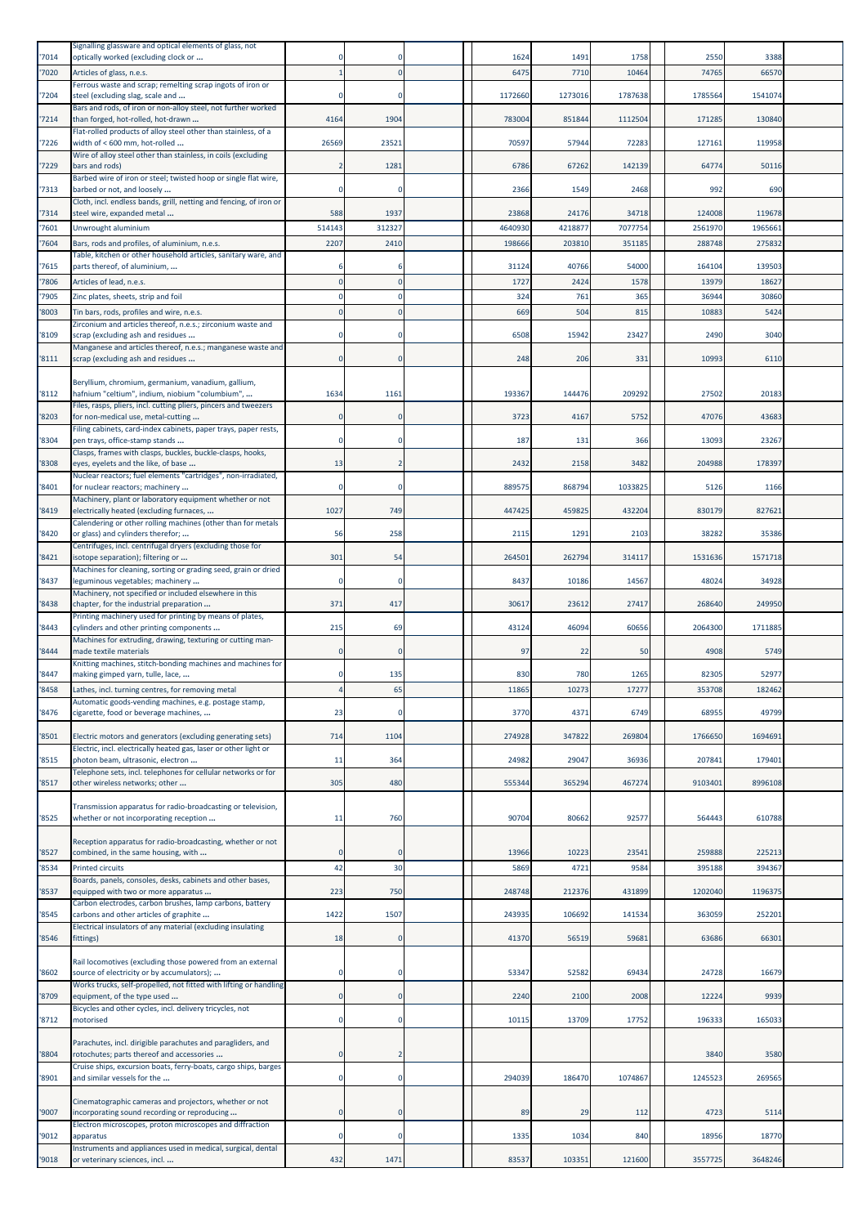| '7014 | Signalling glassware and optical elements of glass, not<br>optically worked (excluding clock or                 |              |                | 1624            | 1491       | 1758    | 2550    | 3388    |  |
|-------|-----------------------------------------------------------------------------------------------------------------|--------------|----------------|-----------------|------------|---------|---------|---------|--|
| '7020 | Articles of glass, n.e.s.                                                                                       |              | $\Omega$       | 6475            | 7710       | 10464   | 74765   | 66570   |  |
|       | Ferrous waste and scrap; remelting scrap ingots of iron or                                                      |              |                |                 |            |         |         |         |  |
| 7204  | steel (excluding slag, scale and<br>Bars and rods, of iron or non-alloy steel, not further worked               |              | $\mathbf 0$    | 1172660         | 1273016    | 1787638 | 1785564 | 1541074 |  |
| 7214  | than forged, hot-rolled, hot-drawn                                                                              | 4164         | 1904           | 783004          | 851844     | 1112504 | 171285  | 130840  |  |
| '7226 | Flat-rolled products of alloy steel other than stainless, of a<br>width of < 600 mm, hot-rolled                 | 26569        | 23521          | 70597           | 57944      | 72283   | 127161  | 119958  |  |
|       | Wire of alloy steel other than stainless, in coils (excluding                                                   |              |                |                 |            |         |         |         |  |
| 7229  | bars and rods)<br>Barbed wire of iron or steel; twisted hoop or single flat wire,                               |              | 1281           | 6786            | 67262      | 142139  | 64774   | 50116   |  |
| '7313 | barbed or not, and loosely                                                                                      |              | $\mathbf 0$    | 2366            | 1549       | 2468    | 992     | 69C     |  |
| '7314 | Cloth, incl. endless bands, grill, netting and fencing, of iron or<br>steel wire, expanded metal                | 588          | 1937           | 23868           | 24176      | 34718   | 124008  | 119678  |  |
| 7601  | Unwrought aluminium                                                                                             | 514143       | 312327         | 4640930         | 421887     | 7077754 | 2561970 | 196566  |  |
| 7604  | Bars, rods and profiles, of aluminium, n.e.s.                                                                   | 2207         | 2410           | 198666          | 203810     | 351185  | 288748  | 275832  |  |
| 7615  | Table, kitchen or other household articles, sanitary ware, and<br>parts thereof, of aluminium,                  |              |                | 31124           | 40766      | 54000   | 164104  | 139503  |  |
| '7806 | Articles of lead, n.e.s.                                                                                        |              | $\mathbf{0}$   | 1727            | 2424       | 1578    | 13979   | 1862    |  |
| 7905  | Zinc plates, sheets, strip and foil                                                                             |              | $\mathbf 0$    | 324             | 761        | 365     | 36944   | 30860   |  |
| 8003  | Tin bars, rods, profiles and wire, n.e.s.<br>Zirconium and articles thereof, n.e.s.; zirconium waste and        |              | $\Omega$       | 66 <sup>S</sup> | 504        | 815     | 10883   | 5424    |  |
| '8109 | scrap (excluding ash and residues                                                                               |              |                | 6508            | 15942      | 23427   | 2490    | 3040    |  |
| '8111 | Manganese and articles thereof, n.e.s.; manganese waste and<br>scrap (excluding ash and residues                | $\Omega$     | $\mathbf 0$    | 248             | 206        | 331     | 10993   | 6110    |  |
|       |                                                                                                                 |              |                |                 |            |         |         |         |  |
| '8112 | Beryllium, chromium, germanium, vanadium, gallium,<br>hafnium "celtium", indium, niobium "columbium",           | 1634         | 1161           | 193367          | 144476     | 209292  | 27502   | 20183   |  |
|       | Files, rasps, pliers, incl. cutting pliers, pincers and tweezers                                                |              |                |                 |            |         |         |         |  |
| 8203  | for non-medical use, metal-cutting<br>Filing cabinets, card-index cabinets, paper trays, paper rests,           |              | $\mathbf 0$    | 3723            | 4167       | 5752    | 47076   | 43683   |  |
| '8304 | pen trays, office-stamp stands                                                                                  |              |                | 187             | 131        | 366     | 13093   | 2326    |  |
| 8308  | Clasps, frames with clasps, buckles, buckle-clasps, hooks,<br>eyes, eyelets and the like, of base               | 13           | $\overline{2}$ | 2432            | 2158       | 3482    | 204988  | 178397  |  |
| '8401 | Nuclear reactors; fuel elements "cartridges", non-irradiated,                                                   |              | $\Omega$       | 889575          | 868794     | 1033825 | 5126    | 1166    |  |
|       | for nuclear reactors; machinery<br>Machinery, plant or laboratory equipment whether or not                      |              |                |                 |            |         |         |         |  |
| 8419  | electrically heated (excluding furnaces,<br>Calendering or other rolling machines (other than for metals        | 1027         | 749            | 447425          | 459825     | 432204  | 830179  | 827621  |  |
| '8420 | or glass) and cylinders therefor;                                                                               | 56           | 258            | 2115            | 1291       | 2103    | 38282   | 35386   |  |
| '8421 | Centrifuges, incl. centrifugal dryers (excluding those for<br>isotope separation); filtering or                 | 301          | 54             | 264501          | 262794     | 314117  | 1531636 | 1571718 |  |
|       | Machines for cleaning, sorting or grading seed, grain or dried                                                  |              |                |                 |            |         |         |         |  |
| 8437  | leguminous vegetables; machinery<br>Machinery, not specified or included elsewhere in this                      |              | $\mathbf 0$    | 8437            | 10186      | 14567   | 48024   | 34928   |  |
| '8438 | chapter, for the industrial preparation                                                                         | 371          | 417            | 30617           | 23612      | 27417   | 268640  | 249950  |  |
| '8443 | Printing machinery used for printing by means of plates,<br>cylinders and other printing components             | 215          | 69             | 43124           | 46094      | 60656   | 2064300 | 1711885 |  |
|       | Machines for extruding, drawing, texturing or cutting man-                                                      |              |                |                 |            |         |         |         |  |
| '8444 | made textile materials<br>Knitting machines, stitch-bonding machines and machines for                           |              | $\Omega$       | 97              | 22         | 50      | 4908    | 5749    |  |
| '8447 | making gimped yarn, tulle, lace,                                                                                |              | 135            | 830             | <b>780</b> | 1265    | 82305   | 52977   |  |
| '8458 | Lathes, incl. turning centres, for removing metal<br>Automatic goods-vending machines, e.g. postage stamp,      |              | 65             | 11865           | 10273      | 17277   | 353708  | 182462  |  |
| '8476 | cigarette, food or beverage machines,                                                                           | 23           | $\mathbf 0$    | 3770            | 4371       | 6749    | 68955   | 49799   |  |
| '8501 | Electric motors and generators (excluding generating sets)                                                      | 714          | 1104           | 274928          | 347822     | 269804  | 1766650 | 1694691 |  |
|       | Electric, incl. electrically heated gas, laser or other light or                                                |              |                |                 |            |         |         |         |  |
| 8515  | photon beam, ultrasonic, electron<br>Telephone sets, incl. telephones for cellular networks or for              | 11           | 364            | 24982           | 29047      | 36936   | 207841  | 179401  |  |
| 8517  | other wireless networks; other                                                                                  | 305          | 480            | 555344          | 365294     | 467274  | 9103401 | 8996108 |  |
|       | Transmission apparatus for radio-broadcasting or television,                                                    |              |                |                 |            |         |         |         |  |
| '8525 | whether or not incorporating reception                                                                          | 11           | 760            | 90704           | 80662      | 92577   | 564443  | 610788  |  |
|       | Reception apparatus for radio-broadcasting, whether or not                                                      |              |                |                 |            |         |         |         |  |
| 8527  | combined, in the same housing, with                                                                             |              | 0              | 13966           | 10223      | 23541   | 259888  | 225213  |  |
| 8534  | <b>Printed circuits</b><br>Boards, panels, consoles, desks, cabinets and other bases,                           | 42           | 30             | 5869            | 4721       | 9584    | 395188  | 394367  |  |
| 8537  | equipped with two or more apparatus                                                                             | 223          | 750            | 248748          | 212376     | 431899  | 1202040 | 1196375 |  |
| 8545  | Carbon electrodes, carbon brushes, lamp carbons, battery<br>carbons and other articles of graphite              | 1422         | 1507           | 243935          | 106692     | 141534  | 363059  | 252201  |  |
|       | Electrical insulators of any material (excluding insulating                                                     |              |                |                 |            |         |         |         |  |
| '8546 | fittings)                                                                                                       | 18           | $\mathbf 0$    | 41370           | 56519      | 59681   | 63686   | 6630    |  |
|       | Rail locomotives (excluding those powered from an external                                                      |              |                |                 |            |         |         |         |  |
| '8602 | source of electricity or by accumulators);<br>Works trucks, self-propelled, not fitted with lifting or handling |              | $\mathbf 0$    | 53347           | 52582      | 69434   | 24728   | 16679   |  |
| 8709  | equipment, of the type used                                                                                     | $\mathbf{0}$ | $\mathbf{0}$   | 2240            | 2100       | 2008    | 12224   | 9939    |  |
| '8712 | Bicycles and other cycles, incl. delivery tricycles, not<br>motorised                                           | $\Omega$     | $\mathbf 0$    | 10115           | 13709      | 17752   | 196333  | 165033  |  |
|       |                                                                                                                 |              |                |                 |            |         |         |         |  |
| 8804  | Parachutes, incl. dirigible parachutes and paragliders, and<br>rotochutes; parts thereof and accessories        |              | $\overline{2}$ |                 |            |         | 3840    | 3580    |  |
| '8901 | Cruise ships, excursion boats, ferry-boats, cargo ships, barges<br>and similar vessels for the                  |              | $\mathbf 0$    | 294039          | 186470     | 1074867 | 1245523 | 269565  |  |
|       |                                                                                                                 |              |                |                 |            |         |         |         |  |
| '9007 | Cinematographic cameras and projectors, whether or not<br>incorporating sound recording or reproducing          |              | $\mathbf 0$    | 89              | 29         | 112     | 4723    | 5114    |  |
|       | Electron microscopes, proton microscopes and diffraction                                                        |              |                |                 |            |         |         |         |  |
| 9012  | apparatus<br>Instruments and appliances used in medical, surgical, dental                                       | 0            | $\mathbf 0$    | 1335            | 1034       | 840     | 18956   | 18770   |  |
| '9018 | or veterinary sciences, incl.                                                                                   | 432          | 1471           | 83537           | 103351     | 121600  | 3557725 | 3648246 |  |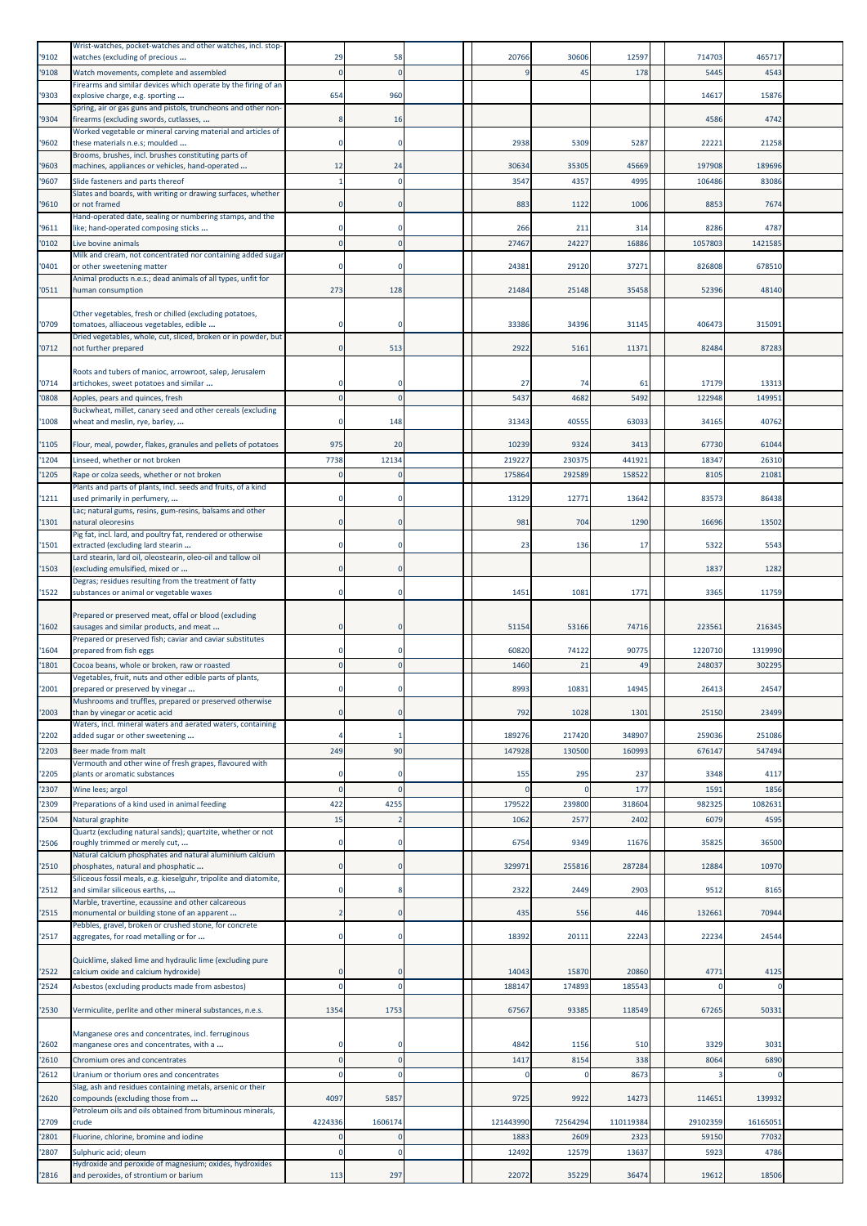|               | Wrist-watches, pocket-watches and other watches, incl. stop-                                                |              |                |               |             |             |                   |                  |  |
|---------------|-------------------------------------------------------------------------------------------------------------|--------------|----------------|---------------|-------------|-------------|-------------------|------------------|--|
| '9102         | watches (excluding of precious                                                                              | 29           | 58             | 20766         | 30606       | 12597       | 714703            | 465717           |  |
| '9108         | Watch movements, complete and assembled<br>Firearms and similar devices which operate by the firing of an   |              | $\Omega$       |               | 45          | 178         | 5445              | 4543             |  |
| '9303         | explosive charge, e.g. sporting                                                                             | 654          | 960            |               |             |             | 14617             | 15876            |  |
|               | Spring, air or gas guns and pistols, truncheons and other non-                                              |              |                |               |             |             | 4586              | 4742             |  |
| '9304         | firearms (excluding swords, cutlasses,<br>Worked vegetable or mineral carving material and articles of      |              | 16             |               |             |             |                   |                  |  |
| '9602         | these materials n.e.s; moulded                                                                              |              | $\Omega$       | 2938          | 5309        | 5287        | 22221             | 21258            |  |
| 9603          | Brooms, brushes, incl. brushes constituting parts of<br>machines, appliances or vehicles, hand-operated     | 12           | 24             | 30634         | 35305       | 45669       | 197908            | 189696           |  |
| 9607          | Slide fasteners and parts thereof                                                                           |              | $\mathbf 0$    | 3547          | 4357        | 4995        | 106486            | 83086            |  |
|               | Slates and boards, with writing or drawing surfaces, whether                                                |              |                |               |             |             |                   |                  |  |
| '9610         | or not framed                                                                                               |              | $\Omega$       | 883           | 1122        | 1006        | 8853              | 7674             |  |
| 9611          | Hand-operated date, sealing or numbering stamps, and the<br>like; hand-operated composing sticks            |              | $\Omega$       | 266           | 211         | 314         | 8286              | 4787             |  |
| '0102         | Live bovine animals                                                                                         |              | $\Omega$       | 27467         | 24227       | 16886       | 1057803           | 1421585          |  |
|               | Milk and cream, not concentrated nor containing added sugar                                                 |              |                |               |             |             |                   |                  |  |
| 0401          | or other sweetening matter<br>Animal products n.e.s.; dead animals of all types, unfit for                  |              | 0              | 24381         | 29120       | 37271       | 826808            | 678510           |  |
| '0511         | human consumption                                                                                           | 273          | 128            | 21484         | 25148       | 35458       | 52396             | 48140            |  |
|               |                                                                                                             |              |                |               |             |             |                   |                  |  |
| '0709         | Other vegetables, fresh or chilled (excluding potatoes,<br>tomatoes, alliaceous vegetables, edible          |              | $\Omega$       | 33386         | 34396       | 31145       | 406473            | 315091           |  |
|               | Dried vegetables, whole, cut, sliced, broken or in powder, but                                              |              |                |               |             |             |                   |                  |  |
| '0712         | not further prepared                                                                                        | $\Omega$     | 513            | 2922          | 5161        | 11371       | 82484             | 87283            |  |
|               | Roots and tubers of manioc, arrowroot, salep, Jerusalem                                                     |              |                |               |             |             |                   |                  |  |
| '0714         | artichokes, sweet potatoes and similar                                                                      |              | $\Omega$       | 27            | 74          | 61          | 17179             | 13313            |  |
| 0808          | Apples, pears and quinces, fresh                                                                            |              | $\Omega$       | 5437          | 4682        | 5492        | 122948            | 14995            |  |
| 1008          | Buckwheat, millet, canary seed and other cereals (excluding<br>wheat and meslin, rye, barley,               |              | 148            | 31343         | 40555       | 63033       | 34165             | 40762            |  |
|               |                                                                                                             |              |                |               |             |             |                   |                  |  |
| '1105         | Flour, meal, powder, flakes, granules and pellets of potatoes                                               | 975          | 20             | 10239         | 9324        | 3413        | 67730             | 61044            |  |
| '1204         | Linseed, whether or not broken                                                                              | 7738         | 12134          | 219227        | 230375      | 441921      | 18347             | 26310            |  |
| 1205          | Rape or colza seeds, whether or not broken<br>Plants and parts of plants, incl. seeds and fruits, of a kind |              | $\Omega$       | 175864        | 292589      | 158522      | 8105              | 2108             |  |
| 1211          | used primarily in perfumery,                                                                                |              | $\Omega$       | 13129         | 12771       | 13642       | 83573             | 86438            |  |
|               | Lac; natural gums, resins, gum-resins, balsams and other                                                    |              |                |               |             |             |                   |                  |  |
| 1301          | natural oleoresins<br>Pig fat, incl. lard, and poultry fat, rendered or otherwise                           |              | $\mathbf 0$    | 981           | 704         | 1290        | 16696             | 13502            |  |
| '1501         | extracted (excluding lard stearin                                                                           |              | $\Omega$       | 23            | 136         | 17          | 5322              | 5543             |  |
| 1503          | Lard stearin, lard oil, oleostearin, oleo-oil and tallow oil<br>(excluding emulsified, mixed or             |              | $\mathbf 0$    |               |             |             | 1837              | 1282             |  |
|               | Degras; residues resulting from the treatment of fatty                                                      |              |                |               |             |             |                   |                  |  |
| '1522         | substances or animal or vegetable waxes                                                                     |              | $\mathbf 0$    | 1451          | 1081        | 1771        | 3365              | 11759            |  |
|               | Prepared or preserved meat, offal or blood (excluding                                                       |              |                |               |             |             |                   |                  |  |
| '1602         | sausages and similar products, and meat                                                                     |              | $\mathbf 0$    | 51154         | 53166       | 74716       | 223561            | 216345           |  |
|               | Prepared or preserved fish; caviar and caviar substitutes                                                   |              |                |               |             |             |                   |                  |  |
| '1604<br>1801 | prepared from fish eggs                                                                                     |              | $\mathbf{0}$   | 60820<br>1460 | 74122<br>21 | 90775<br>49 | 1220710<br>248037 | 1319990<br>30229 |  |
|               | Cocoa beans, whole or broken, raw or roasted<br>Vegetables, fruit, nuts and other edible parts of plants,   |              |                |               |             |             |                   |                  |  |
| '2001         | prepared or preserved by vinegar                                                                            | $\mathbf 0$  | $\mathbf 0$    | 8993          | 10831       | 14945       | 26413             | 24547            |  |
| '2003         | Mushrooms and truffles, prepared or preserved otherwise<br>than by vinegar or acetic acid                   |              | $\mathbf 0$    | 792           | 1028        | 1301        | 25150             | 23499            |  |
|               | Waters, incl. mineral waters and aerated waters, containing                                                 |              |                |               |             |             |                   |                  |  |
| 2202          | added sugar or other sweetening                                                                             |              | 1              | 189276        | 217420      | 348907      | 259036            | 251086           |  |
| '2203         | Beer made from malt                                                                                         | 249          | 90             | 147928        | 13050       | 160993      | 676147            | 54749            |  |
| '2205         | Vermouth and other wine of fresh grapes, flavoured with<br>plants or aromatic substances                    |              | $\mathbf 0$    | 155           | 295         | 237         | 3348              | 4117             |  |
| '2307         | Wine lees; argol                                                                                            | $\Omega$     | $\Omega$       | $\Omega$      |             | 177         | 1591              | 1856             |  |
| 2309          | Preparations of a kind used in animal feeding                                                               | 422          | 4255           | 179522        | 239800      | 318604      | 982325            | 108263:          |  |
| '2504         | Natural graphite                                                                                            | 15           | $\overline{2}$ | 1062          | 2577        | 2402        | 6079              | 4595             |  |
|               | Quartz (excluding natural sands); quartzite, whether or not                                                 |              | $\mathbf 0$    | 6754          | 9349        |             | 35825             | 36500            |  |
| 2506          | roughly trimmed or merely cut,<br>Natural calcium phosphates and natural aluminium calcium                  |              |                |               |             | 11676       |                   |                  |  |
| '2510         | phosphates, natural and phosphatic                                                                          | $\mathbf{0}$ | $\mathbf 0$    | 32997         | 255816      | 287284      | 12884             | 10970            |  |
| '2512         | Siliceous fossil meals, e.g. kieselguhr, tripolite and diatomite,<br>and similar siliceous earths,          | $\Omega$     | 8              | 2322          | 2449        | 2903        | 9512              | 8165             |  |
|               | Marble, travertine, ecaussine and other calcareous                                                          |              |                |               |             |             |                   |                  |  |
| '2515         | monumental or building stone of an apparent                                                                 |              | $\mathbf 0$    | 435           | 556         | 446         | 132661            | 70944            |  |
| '2517         | Pebbles, gravel, broken or crushed stone, for concrete<br>aggregates, for road metalling or for             | 0            | 0              | 18392         | 20111       | 22243       | 22234             | 24544            |  |
|               |                                                                                                             |              |                |               |             |             |                   |                  |  |
| '2522         | Quicklime, slaked lime and hydraulic lime (excluding pure<br>calcium oxide and calcium hydroxide)           | $\Omega$     | $\mathbf 0$    | 14043         | 15870       | 20860       | 4771              | 4125             |  |
| '2524         | Asbestos (excluding products made from asbestos)                                                            |              | $\mathbf 0$    | 188147        | 17489       | 185543      |                   |                  |  |
|               |                                                                                                             |              |                |               |             |             |                   |                  |  |
| '2530         | Vermiculite, perlite and other mineral substances, n.e.s.                                                   | 1354         | 1753           | 67567         | 93385       | 118549      | 67265             | 50331            |  |
|               | Manganese ores and concentrates, incl. ferruginous                                                          |              |                |               |             |             |                   |                  |  |
| '2602         | manganese ores and concentrates, with a                                                                     |              | $\Omega$       | 4842          | 1156        | 510         | 3329              | 3031             |  |
| '2610         | Chromium ores and concentrates                                                                              | $\Omega$     | $\Omega$       | 1417          | 8154        | 338         | 8064              | 6890             |  |
| 2612          | Uranium or thorium ores and concentrates                                                                    |              | $\Omega$       |               |             | 8673        |                   |                  |  |
| 2620          | Slag, ash and residues containing metals, arsenic or their<br>compounds (excluding those from               | 4097         | 5857           | 9725          | 9922        | 14273       | 11465             | 139932           |  |
|               | Petroleum oils and oils obtained from bituminous minerals,                                                  |              |                |               |             |             |                   |                  |  |
| '2709         | crude                                                                                                       | 4224336      | 1606174        | 121443990     | 72564294    | 110119384   | 29102359          | 16165051         |  |
| 2801          | Fluorine, chlorine, bromine and iodine                                                                      |              | $\mathbf 0$    | 1883          | 2609        | 2323        | 59150             | 77032            |  |
| '2807         | Sulphuric acid; oleum<br>Hydroxide and peroxide of magnesium; oxides, hydroxides                            |              | $\Omega$       | 12492         | 12579       | 13637       | 5923              | 4786             |  |
| '2816         | and peroxides, of strontium or barium                                                                       | 113          | 297            | 22072         | 35229       | 36474       | 19612             | 18506            |  |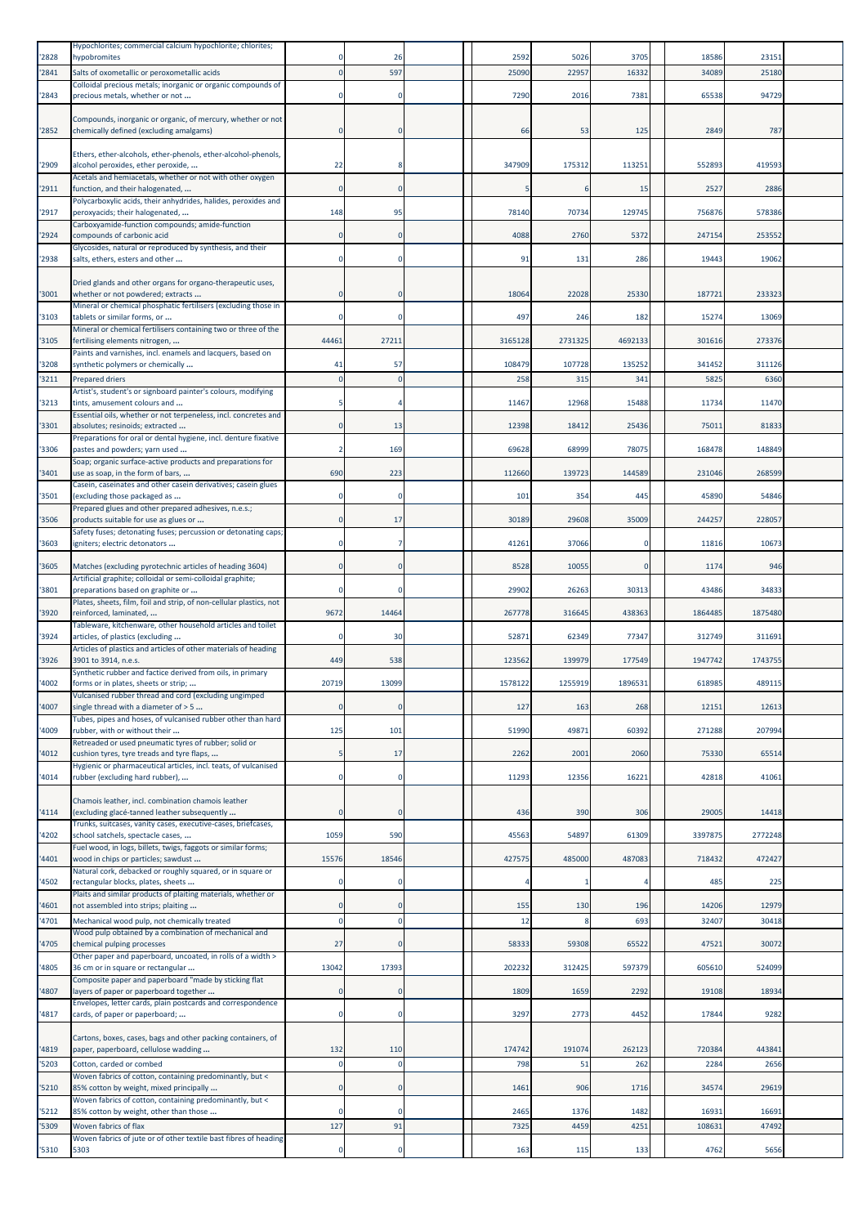| '2828          | Hypochlorites; commercial calcium hypochlorite; chlorites;<br>hypobromites                                                                                        |                            | 26             | 2592      | 5026    | 3705         | 18586          | 23151          |  |
|----------------|-------------------------------------------------------------------------------------------------------------------------------------------------------------------|----------------------------|----------------|-----------|---------|--------------|----------------|----------------|--|
| '2841          | Salts of oxometallic or peroxometallic acids                                                                                                                      | $\Omega$                   | 597            | 25090     | 22957   | 1633         | 34089          | 25180          |  |
| '2843          | Colloidal precious metals; inorganic or organic compounds of<br>precious metals, whether or not                                                                   | $\mathbf 0$                | $\Omega$       | 7290      | 2016    | 7381         | 65538          | 94729          |  |
| '2852          | Compounds, inorganic or organic, of mercury, whether or not<br>chemically defined (excluding amalgams)                                                            | $\Omega$                   | $\Omega$       | 66        | 53      | 125          | 2849           | 787            |  |
| '2909          | Ethers, ether-alcohols, ether-phenols, ether-alcohol-phenols,<br>alcohol peroxides, ether peroxide,                                                               | 22                         |                | 347909    | 175312  | 113251       | 552893         | 419593         |  |
| '2911          | Acetals and hemiacetals, whether or not with other oxygen<br>function, and their halogenated,                                                                     | 0                          |                |           |         | 15           | 2527           | 2886           |  |
| '2917          | Polycarboxylic acids, their anhydrides, halides, peroxides and<br>peroxyacids; their halogenated,                                                                 | 148                        | 95             | 78140     | 70734   | 129745       | 756876         | 578386         |  |
|                | Carboxyamide-function compounds; amide-function                                                                                                                   |                            |                |           |         |              |                |                |  |
| '2924          | compounds of carbonic acid<br>Glycosides, natural or reproduced by synthesis, and their                                                                           | $\Omega$                   | $\Omega$       | 4088      | 2760    | 5372         | 247154         | 253552         |  |
| '2938          | salts, ethers, esters and other                                                                                                                                   | 0                          |                | 91        | 131     | 286          | 19443          | 19062          |  |
| '3001          | Dried glands and other organs for organo-therapeutic uses,<br>whether or not powdered; extracts<br>Mineral or chemical phosphatic fertilisers (excluding those in | 0                          | $\Omega$       | 18064     | 22028   | 25330        | 187721         | 233323         |  |
| '3103          | tablets or similar forms, or                                                                                                                                      | $\mathbf 0$                |                | 497       | 246     | 182          | 15274          | 13069          |  |
| '3105          | Mineral or chemical fertilisers containing two or three of the<br>fertilising elements nitrogen,                                                                  | 44461                      | 27211          | 3165128   | 2731325 | 4692133      | 301616         | 273376         |  |
| '3208          | Paints and varnishes, incl. enamels and lacquers, based on<br>synthetic polymers or chemically                                                                    | 41                         | 57             | 108479    | 107728  | 135252       | 341452         | 311126         |  |
| '3211          | Prepared driers                                                                                                                                                   |                            |                | 258       | 315     | 341          | 5825           | 6360           |  |
| '3213          | Artist's, student's or signboard painter's colours, modifying<br>tints, amusement colours and                                                                     |                            |                | 11467     | 12968   | 15488        | 11734          | 11470          |  |
| '3301          | Essential oils, whether or not terpeneless, incl. concretes and<br>absolutes; resinoids; extracted                                                                | $\mathbf 0$                | 13             | 12398     | 18412   | 25436        | 7501:          | 81833          |  |
| '3306          | Preparations for oral or dental hygiene, incl. denture fixative<br>pastes and powders; yarn used                                                                  | $\overline{2}$             | 169            | 69628     | 68999   | 78075        | 168478         | 148849         |  |
| '3401          | Soap; organic surface-active products and preparations for<br>use as soap, in the form of bars,                                                                   | 690                        | 223            | 112660    | 139723  | 144589       | 231046         | 268599         |  |
| '3501          | Casein, caseinates and other casein derivatives; casein glues<br>(excluding those packaged as                                                                     |                            | $\Omega$       | 101       | 354     | 445          | 45890          | 54846          |  |
|                | Prepared glues and other prepared adhesives, n.e.s.;                                                                                                              | $\mathbf 0$                | 17             |           |         |              |                | 228057         |  |
| '3506          | products suitable for use as glues or<br>Safety fuses; detonating fuses; percussion or detonating caps;                                                           |                            |                | 30189     | 29608   | 35009        | 244257         |                |  |
| '3603          | igniters; electric detonators                                                                                                                                     | $\mathbf 0$                |                | 41261     | 37066   | $\mathbf 0$  | 11816          | 10673          |  |
| '3605          | Matches (excluding pyrotechnic articles of heading 3604)<br>Artificial graphite; colloidal or semi-colloidal graphite;                                            | $\mathbf 0$                |                | 8528      | 10055   | $\mathbf{0}$ | 1174           | 946            |  |
| '3801          | preparations based on graphite or<br>Plates, sheets, film, foil and strip, of non-cellular plastics, not                                                          | $\Omega$                   |                | 29902     | 26263   | 30313        | 43486          | 34833          |  |
| '3920          | reinforced, laminated,<br>Tableware, kitchenware, other household articles and toilet                                                                             | 9672                       | 14464          | 267778    | 316645  | 438363       | 1864485        | 1875480        |  |
| '3924          | articles, of plastics (excluding                                                                                                                                  |                            | 30             | 5287      | 62349   | 77347        | 312749         | 311691         |  |
| '3926          | Articles of plastics and articles of other materials of heading<br>3901 to 3914, n.e.s.                                                                           | 449                        | 538            | 12356     | 139979  | 177549       | 1947742        | 174375         |  |
| '4002          | Synthetic rubber and factice derived from oils, in primary<br>forms or in plates, sheets or strip;                                                                | 20719                      | 13099          | 1578122   | 1255919 | 1896531      | 618985         | 489115         |  |
| '4007          | vuicanised rubber thread and cord (excluding ungimped<br>single thread with a diameter of > 5                                                                     | $\Omega$                   | $\Omega$       | 127       | 163     | 268          | 12151          | 12613          |  |
| '4009          | Tubes, pipes and hoses, of vulcanised rubber other than hard<br>rubber, with or without their                                                                     | 125                        | 101            | 51990     | 49871   | 60392        | 271288         | 207994         |  |
| '4012          | Retreaded or used pneumatic tyres of rubber; solid or<br>cushion tyres, tyre treads and tyre flaps,                                                               | 5                          | 17             | 2262      | 2001    | 2060         | 75330          | 65514          |  |
|                | Hygienic or pharmaceutical articles, incl. teats, of vulcanised                                                                                                   |                            |                |           |         |              |                |                |  |
| '4014          | rubber (excluding hard rubber),                                                                                                                                   | $\mathbf 0$                | $\Omega$       | 11293     | 12356   | 16221        | 42818          | 41061          |  |
| '4114          | Chamois leather, incl. combination chamois leather<br>(excluding glacé-tanned leather subsequently                                                                | $\Omega$                   | $\Omega$       | 436       | 390     | 306          | 29005          | 14418          |  |
| '4202          | Trunks, suitcases, vanity cases, executive-cases, briefcases,<br>school satchels, spectacle cases,                                                                | 1059                       | 590            | 45563     | 54897   | 61309        | 3397875        | 2772248        |  |
| '4401          | Fuel wood, in logs, billets, twigs, faggots or similar forms;<br>wood in chips or particles; sawdust                                                              | 15576                      | 18546          | 427575    | 485000  | 487083       | 718432         | 472427         |  |
| '4502          | Natural cork, debacked or roughly squared, or in square or<br>rectangular blocks, plates, sheets                                                                  | $\mathbf 0$                | $\Omega$       |           |         | Δ            | 485            | 225            |  |
|                | Plaits and similar products of plaiting materials, whether or                                                                                                     |                            |                |           |         |              |                |                |  |
| '4601<br>'4701 | not assembled into strips; plaiting<br>Mechanical wood pulp, not chemically treated                                                                               | $\mathbf 0$<br>$\mathbf 0$ | 0<br>$\Omega$  | 155<br>12 | 130     | 196<br>693   | 14206<br>32407 | 12979<br>30418 |  |
| '4705          | Wood pulp obtained by a combination of mechanical and<br>chemical pulping processes                                                                               | 27                         | $\mathbf 0$    | 58333     | 59308   | 65522        | 4752           | 3007           |  |
| '4805          | Other paper and paperboard, uncoated, in rolls of a width ><br>36 cm or in square or rectangular                                                                  | 13042                      | 17393          | 202232    | 312425  | 597379       | 605610         | 524099         |  |
| '4807          | Composite paper and paperboard "made by sticking flat<br>layers of paper or paperboard together                                                                   | $\Omega$                   | $\Omega$       | 1809      | 1659    | 2292         | 19108          | 18934          |  |
| '4817          | Envelopes, letter cards, plain postcards and correspondence<br>cards, of paper or paperboard;                                                                     | $\mathbf 0$                | $^{\circ}$     | 3297      | 2773    | 4452         | 17844          | 9282           |  |
| '4819          | Cartons, boxes, cases, bags and other packing containers, of<br>paper, paperboard, cellulose wadding                                                              | 132                        | 110            | 174742    | 191074  | 262123       | 720384         | 443841         |  |
| '5203          | Cotton, carded or combed<br>Woven fabrics of cotton, containing predominantly, but <                                                                              | $\mathbf 0$                | $\overline{0}$ | 798       | 51      | 262          | 2284           | 2656           |  |
| '5210          | 85% cotton by weight, mixed principally                                                                                                                           | $\mathbf{0}$               | $\Omega$       | 1461      | 906     | 1716         | 34574          | 29619          |  |
| '5212          | Woven fabrics of cotton, containing predominantly, but <<br>85% cotton by weight, other than those                                                                | $\mathbf 0$                | $\Omega$       | 2465      | 1376    | 1482         | 1693:          | 16691          |  |
| '5309          | Woven fabrics of flax<br>Woven fabrics of jute or of other textile bast fibres of heading                                                                         | 127                        | 91             | 7325      | 4459    | 4251         | 108631         | 47492          |  |
| '5310          | 5303                                                                                                                                                              |                            |                | 163       | 115     | 133          | 4762           | 5656           |  |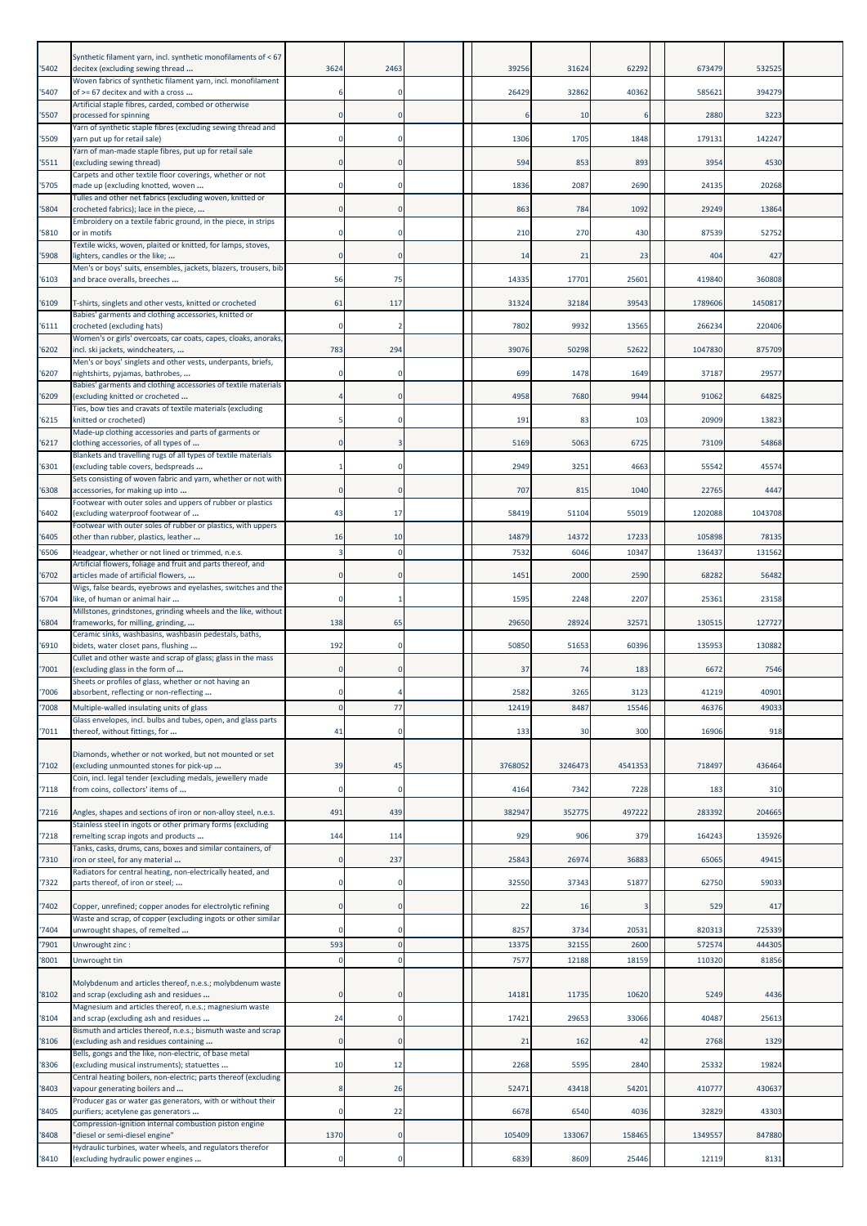| '5402 | Synthetic filament yarn, incl. synthetic monofilaments of < 67<br>decitex (excluding sewing thread                | 3624         | 2463           | 39256   | 31624   | 62292   | 673479  | 532525  |  |
|-------|-------------------------------------------------------------------------------------------------------------------|--------------|----------------|---------|---------|---------|---------|---------|--|
| '5407 | Woven fabrics of synthetic filament yarn, incl. monofilament<br>of >= 67 decitex and with a cross                 |              |                | 26429   | 32862   | 40362   | 585621  | 394279  |  |
|       | Artificial staple fibres, carded, combed or otherwise                                                             |              |                |         |         |         |         |         |  |
| '5507 | processed for spinning<br>Yarn of synthetic staple fibres (excluding sewing thread and                            | $\mathbf 0$  | $\Omega$       |         | 10      | 6       | 2880    | 3223    |  |
| '5509 | yarn put up for retail sale)<br>Yarn of man-made staple fibres, put up for retail sale                            | $\mathbf 0$  | $\Omega$       | 1306    | 1705    | 1848    | 179131  | 142247  |  |
| '5511 | (excluding sewing thread)<br>Carpets and other textile floor coverings, whether or not                            | $\Omega$     |                | 594     | 853     | 893     | 3954    | 4530    |  |
| '5705 | made up (excluding knotted, woven<br>Tulles and other net fabrics (excluding woven, knitted or                    | $\mathbf 0$  | $\Omega$       | 1836    | 2087    | 2690    | 24135   | 20268   |  |
| '5804 | crocheted fabrics); lace in the piece,                                                                            | $\mathbf{0}$ | $\Omega$       | 863     | 784     | 1092    | 29249   | 13864   |  |
| '5810 | Embroidery on a textile fabric ground, in the piece, in strips<br>or in motifs                                    | $\Omega$     | $\Omega$       | 210     | 270     | 430     | 87539   | 52752   |  |
| '5908 | Textile wicks, woven, plaited or knitted, for lamps, stoves,<br>lighters, candles or the like;                    | $\mathbf 0$  | $\Omega$       | 14      | 21      | 23      | 404     | 427     |  |
| '6103 | Men's or boys' suits, ensembles, jackets, blazers, trousers, bib<br>and brace overalls, breeches                  | 56           | 75             | 14335   | 17701   | 25601   | 419840  | 360808  |  |
| '6109 | T-shirts, singlets and other vests, knitted or crocheted                                                          | 61           | 117            | 31324   | 32184   | 39543   | 1789606 | 1450817 |  |
| '6111 | Babies' garments and clothing accessories, knitted or<br>crocheted (excluding hats)                               | $\mathbf 0$  | -2             | 7802    | 9932    | 13565   | 266234  | 220406  |  |
| '6202 | Women's or girls' overcoats, car coats, capes, cloaks, anoraks,                                                   | 783          | 294            | 39076   | 50298   | 52622   | 1047830 | 875709  |  |
|       | incl. ski jackets, windcheaters,<br>Men's or boys' singlets and other vests, underpants, briefs,                  |              |                |         |         |         |         |         |  |
| '6207 | nightshirts, pyjamas, bathrobes,<br>Babies' garments and clothing accessories of textile materials                |              |                | 699     | 1478    | 1649    | 37187   | 2957    |  |
| '6209 | (excluding knitted or crocheted<br>Ties, bow ties and cravats of textile materials (excluding                     |              | $\Omega$       | 4958    | 7680    | 9944    | 91062   | 6482    |  |
| '6215 | knitted or crocheted)<br>Made-up clothing accessories and parts of garments or                                    | 5            | $\Omega$       | 191     | 83      | 103     | 20909   | 13823   |  |
| '6217 | clothing accessories, of all types of<br>Blankets and travelling rugs of all types of textile materials           | 0            | з              | 5169    | 5063    | 6725    | 73109   | 54868   |  |
| '6301 | (excluding table covers, bedspreads                                                                               |              | 0              | 2949    | 3251    | 4663    | 55542   | 45574   |  |
| '6308 | Sets consisting of woven fabric and yarn, whether or not with<br>accessories, for making up into                  | $\mathbf 0$  | $\Omega$       | 707     | 815     | 1040    | 22765   | 4447    |  |
| '6402 | Footwear with outer soles and uppers of rubber or plastics<br>(excluding waterproof footwear of                   | 43           | 17             | 58419   | 51104   | 55019   | 1202088 | 1043708 |  |
| '6405 | Footwear with outer soles of rubber or plastics, with uppers<br>other than rubber, plastics, leather              | 16           | 10             | 14879   | 14372   | 17233   | 105898  | 78135   |  |
| '6506 | Headgear, whether or not lined or trimmed, n.e.s.<br>Artificial flowers, foliage and fruit and parts thereof, and | 3            | $^{\circ}$     | 7532    | 6046    | 10347   | 13643   | 131562  |  |
| '6702 | articles made of artificial flowers,                                                                              | $\mathbf 0$  | $\mathbf 0$    | 145     | 2000    | 2590    | 68282   | 56482   |  |
| '6704 | Wigs, false beards, eyebrows and eyelashes, switches and the<br>like, of human or animal hair                     | $\Omega$     |                | 1595    | 2248    | 2207    | 25361   | 23158   |  |
| '6804 | Millstones, grindstones, grinding wheels and the like, without<br>frameworks, for milling, grinding,              | 138          | 65             | 29650   | 28924   | 32571   | 130515  | 127727  |  |
| '6910 | Ceramic sinks, washbasins, washbasin pedestals, baths,<br>bidets, water closet pans, flushing                     | 192          | $^{\circ}$     | 50850   | 51653   | 60396   | 135953  | 130882  |  |
| '7001 | Cullet and other waste and scrap of glass; glass in the mass<br>(excluding glass in the form of                   |              |                | 37      | 74      | 183     | 6672    | 7546    |  |
| '7006 | Sheets or profiles of glass, whether or not having an<br>absorbent, reflecting or non-reflecting                  | $\mathbf 0$  | $\overline{4}$ | 2582    | 3265    | 3123    | 41219   | 40901   |  |
| '7008 | Multiple-walled insulating units of glass<br>Glass envelopes, incl. bulbs and tubes, open, and glass parts        | $\Omega$     | 77             | 12419   | 8487    | 15546   | 46376   | 49033   |  |
| '7011 | thereof, without fittings, for                                                                                    | 41           | $\Omega$       | 133     | 30      | 300     | 16906   | 918     |  |
| '7102 | Diamonds, whether or not worked, but not mounted or set<br>(excluding unmounted stones for pick-up                | 39           | 45             | 3768052 | 3246473 | 4541353 | 718497  | 436464  |  |
| '7118 | Coin, incl. legal tender (excluding medals, jewellery made<br>from coins, collectors' items of                    | $\mathbf 0$  | $\mathbf 0$    | 4164    | 7342    | 7228    | 183     | 310     |  |
| '7216 | Angles, shapes and sections of iron or non-alloy steel, n.e.s.                                                    | 491          | 439            | 382947  | 352775  | 497222  | 283392  | 204665  |  |
| '7218 | Stainless steel in ingots or other primary forms (excluding<br>remelting scrap ingots and products                | 144          | 114            | 929     | 906     | 379     | 164243  | 135926  |  |
| '7310 | Tanks, casks, drums, cans, boxes and similar containers, of<br>iron or steel, for any material                    | $\bf{0}$     | 237            | 25843   | 26974   | 36883   | 65065   | 4941    |  |
| '7322 | Radiators for central heating, non-electrically heated, and<br>parts thereof, of iron or steel;                   | $\mathbf 0$  | $\mathbf 0$    | 32550   | 37343   | 51877   | 62750   | 59033   |  |
| '7402 | Copper, unrefined; copper anodes for electrolytic refining                                                        | $\mathbf 0$  | $\Omega$       | 22      | 16      | 3       | 529     | 417     |  |
| '7404 | Waste and scrap, of copper (excluding ingots or other similar<br>unwrought shapes, of remelted                    | $\mathbf 0$  |                | 8257    | 3734    | 20531   | 820313  | 725339  |  |
| '7901 | Unwrought zinc :                                                                                                  | 593          | $\Omega$       | 1337    | 32155   | 2600    | 572574  | 44430   |  |
| '8001 | Unwrought tin                                                                                                     | $\mathbf 0$  | $\mathbf 0$    | 7577    | 12188   | 18159   | 110320  | 81856   |  |
| '8102 | Molybdenum and articles thereof, n.e.s.; molybdenum waste<br>and scrap (excluding ash and residues                | $\mathbf 0$  | $\mathbf 0$    | 1418    | 11735   | 10620   | 5249    | 4436    |  |
| '8104 | Magnesium and articles thereof, n.e.s.; magnesium waste<br>and scrap (excluding ash and residues                  | 24           | $\Omega$       | 17421   | 29653   | 33066   | 40487   | 25613   |  |
| '8106 | Bismuth and articles thereof, n.e.s.; bismuth waste and scrap<br>(excluding ash and residues containing           | $\bf{0}$     | $\overline{0}$ | 21      | 162     | 42      | 2768    | 1329    |  |
| '8306 | Bells, gongs and the like, non-electric, of base metal<br>(excluding musical instruments); statuettes             | 10           | 12             | 2268    | 5595    | 2840    | 25332   | 19824   |  |
| '8403 | Central heating boilers, non-electric; parts thereof (excluding<br>vapour generating boilers and                  | 8            | 26             | 52471   | 43418   | 54201   | 410777  | 430637  |  |
| '8405 | Producer gas or water gas generators, with or without their<br>purifiers; acetylene gas generators                | $\mathbf 0$  | 22             | 6678    | 6540    | 4036    | 32829   | 43303   |  |
| '8408 | Compression-ignition internal combustion piston engine<br>"diesel or semi-diesel engine"                          | 1370         | $\overline{0}$ | 105409  | 133067  | 158465  | 1349557 | 847880  |  |
| '8410 | Hydraulic turbines, water wheels, and regulators therefor<br>(excluding hydraulic power engines                   |              |                | 6839    | 8609    | 25446   | 12119   | 8131    |  |
|       |                                                                                                                   |              |                |         |         |         |         |         |  |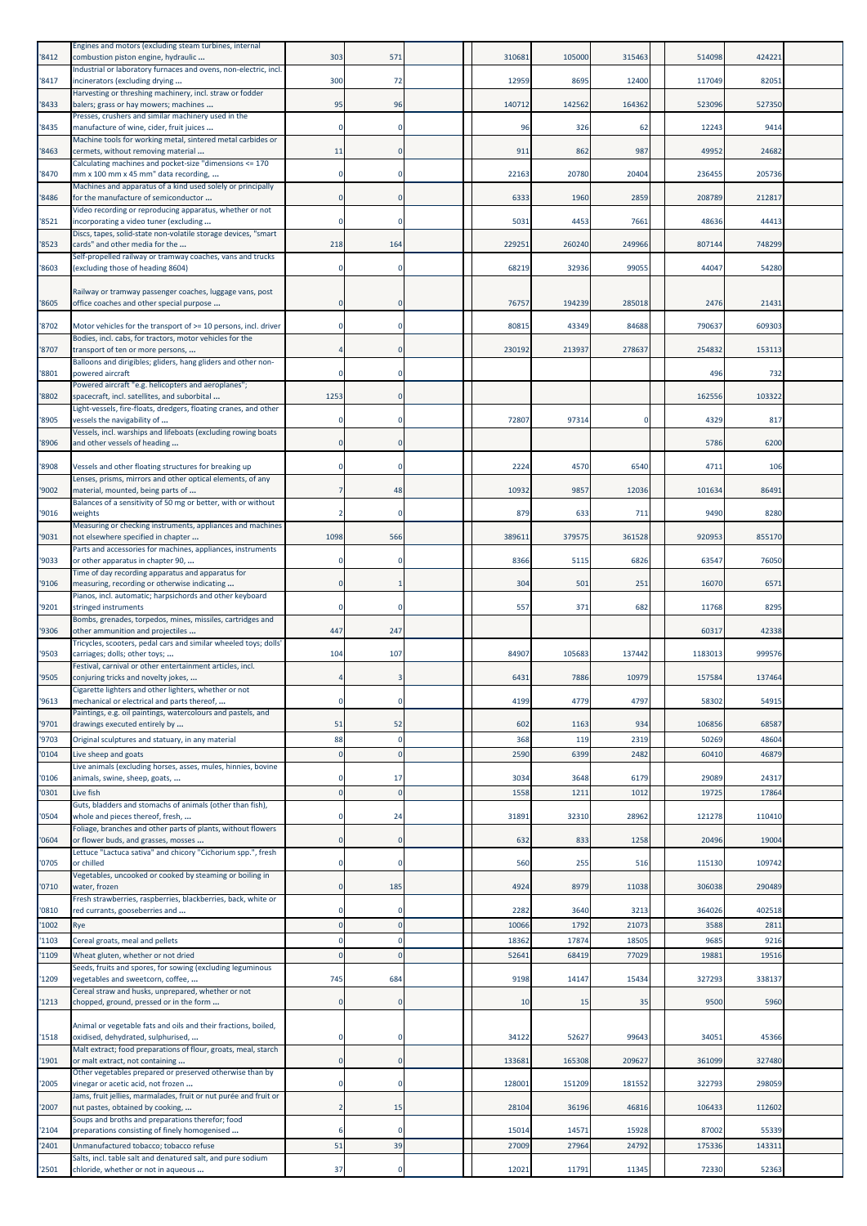| '8412          | Engines and motors (excluding steam turbines, internal<br>combustion piston engine, hydraulic                       | 303      | 571            | 310681          | 105000       | 315463        | 514098         | 424221         |  |
|----------------|---------------------------------------------------------------------------------------------------------------------|----------|----------------|-----------------|--------------|---------------|----------------|----------------|--|
| '8417          | Industrial or laboratory furnaces and ovens, non-electric, incl.<br>incinerators (excluding drying                  | 300      | 72             | 12959           | 8695         | 12400         | 117049         | 82051          |  |
| '8433          | Harvesting or threshing machinery, incl. straw or fodder<br>balers; grass or hay mowers; machines                   | 95       | 96             | 140712          | 142562       | 164362        | 523096         | 527350         |  |
| '8435          | Presses, crushers and similar machinery used in the<br>manufacture of wine, cider, fruit juices                     |          |                | 96              | 326          | 62            | 12243          | 9414           |  |
| '8463          | Machine tools for working metal, sintered metal carbides or<br>cermets, without removing material                   | 11       |                | 911             | 862          | 987           | 49952          | 24682          |  |
|                | Calculating machines and pocket-size "dimensions <= 170                                                             |          |                |                 |              |               |                |                |  |
| '8470          | mm x 100 mm x 45 mm" data recording,<br>Machines and apparatus of a kind used solely or principally                 |          |                | 22163           | 20780        | 20404         | 236455         | 205736         |  |
| '8486          | for the manufacture of semiconductor<br>Video recording or reproducing apparatus, whether or not                    |          | $\Omega$       | 6333            | 1960         | 2859          | 208789         | 212817         |  |
| '8521          | incorporating a video tuner (excluding<br>Discs, tapes, solid-state non-volatile storage devices, "smart            |          | $\Omega$       | 5031            | 4453         | 7661          | 48636          | 44413          |  |
| '8523          | cards" and other media for the<br>Self-propelled railway or tramway coaches, vans and trucks                        | 218      | 164            | 229251          | 260240       | 249966        | 807144         | 748299         |  |
| '8603          | (excluding those of heading 8604)                                                                                   |          | $\Omega$       | 68219           | 32936        | 99055         | 44047          | 54280          |  |
| '8605          | Railway or tramway passenger coaches, luggage vans, post<br>office coaches and other special purpose                |          | $\Omega$       | 76757           | 194239       | 285018        | 2476           | 21431          |  |
| '8702          | Motor vehicles for the transport of >= 10 persons, incl. driver                                                     |          | $\Omega$       | 80815           | 43349        | 84688         | 790637         | 609303         |  |
| '8707          | Bodies, incl. cabs, for tractors, motor vehicles for the<br>transport of ten or more persons,                       |          |                | 230192          | 213937       | 278637        | 254832         | 153113         |  |
| '8801          | Balloons and dirigibles; gliders, hang gliders and other non-<br>powered aircraft                                   |          |                |                 |              |               | 496            | 732            |  |
| '8802          | Powered aircraft "e.g. helicopters and aeroplanes";<br>spacecraft, incl. satellites, and suborbital                 | 1253     |                |                 |              |               | 162556         | 103322         |  |
| '8905          | Light-vessels, fire-floats, dredgers, floating cranes, and other<br>vessels the navigability of                     |          | O              | 72807           | 97314        | $\Omega$      | 4329           | 817            |  |
| '8906          | Vessels, incl. warships and lifeboats (excluding rowing boats                                                       |          |                |                 |              |               | 5786           | 6200           |  |
|                | and other vessels of heading                                                                                        |          |                |                 |              |               |                |                |  |
| '8908          | Vessels and other floating structures for breaking up<br>Lenses, prisms, mirrors and other optical elements, of any |          |                | 2224            | 4570         | 6540          | 4711           | 106            |  |
| '9002          | material, mounted, being parts of<br>Balances of a sensitivity of 50 mg or better, with or without                  |          | 48             | 10932           | 9857         | 12036         | 101634         | 86491          |  |
| '9016          | weights<br>Measuring or checking instruments, appliances and machines                                               |          |                | 879             | 633          | 711           | 9490           | 8280           |  |
| '9031          | not elsewhere specified in chapter<br>Parts and accessories for machines, appliances, instruments                   | 1098     | 566            | 38961           | 379575       | 361528        | 920953         | 855170         |  |
| '9033          | or other apparatus in chapter 90,<br>Time of day recording apparatus and apparatus for                              |          | 0              | 8366            | 5115         | 6826          | 63547          | 76050          |  |
| '9106          | measuring, recording or otherwise indicating<br>Pianos, incl. automatic; harpsichords and other keyboard            |          |                | 30 <sup>2</sup> | 501          | 251           | 16070          | 657            |  |
| '9201          | stringed instruments                                                                                                |          |                | 557             | 371          | 682           | 11768          | 8295           |  |
| '9306          | Bombs, grenades, torpedos, mines, missiles, cartridges and<br>other ammunition and projectiles                      | 447      | 247            |                 |              |               | 60317          | 42338          |  |
| '9503          | Tricycles, scooters, pedal cars and similar wheeled toys; dolls'<br>carriages; dolls; other toys;                   | 104      | 107            | 84907           | 105683       | 137442        | 1183013        | 999576         |  |
| '9505          | Festival, carnival or other entertainment articles, incl.<br>conjuring tricks and novelty jokes,                    |          |                | 6431            | 7886         | 10979         | 157584         | 137464         |  |
| '9613          | Cigarette lighters and other lighters, whether or not<br>mechanical or electrical and parts thereof,                | $\Omega$ | $\mathbf 0$    | 4199            | 4779         | 4797          | 58302          | 54915          |  |
| '9701          | Paintings, e.g. oil paintings, watercolours and pastels, and<br>drawings executed entirely by                       | 51       | 52             | 602             | 1163         | 934           | 106856         | 68587          |  |
| '9703          | Original sculptures and statuary, in any material                                                                   | 88       | $\Omega$       | 368             | 119          | 2319          | 50269          | 48604          |  |
| '0104          | Live sheep and goats<br>Live animals (excluding horses, asses, mules, hinnies, bovine                               |          | $\Omega$       | 2590            | 6399         | 2482          | 60410          | 46879          |  |
| '0106<br>'0301 | animals, swine, sheep, goats,<br>Live fish                                                                          |          | 17<br>$\Omega$ | 3034<br>1558    | 3648<br>1211 | 6179<br>1012  | 29089<br>19725 | 24317<br>17864 |  |
| '0504          | Guts, bladders and stomachs of animals (other than fish),<br>whole and pieces thereof, fresh,                       |          | 24             | 31891           | 32310        | 28962         | 121278         | 110410         |  |
| '0604          | Foliage, branches and other parts of plants, without flowers<br>or flower buds, and grasses, mosses                 |          | $\Omega$       | 632             | 833          | 1258          | 20496          | 19004          |  |
| '0705          | Lettuce "Lactuca sativa" and chicory "Cichorium spp.", fresh<br>or chilled                                          |          | $\Omega$       | 560             | 255          | 516           | 115130         | 109742         |  |
|                | Vegetables, uncooked or cooked by steaming or boiling in                                                            |          | 185            | 4924            | 8979         |               | 306038         | 290489         |  |
| '0710'         | water, frozen<br>Fresh strawberries, raspberries, blackberries, back, white or                                      |          |                |                 |              | 11038         |                |                |  |
| '0810<br>'1002 | red currants, gooseberries and<br>Rye                                                                               |          | 0<br>$\Omega$  | 2282<br>10066   | 3640<br>1792 | 3213<br>21073 | 364026<br>3588 | 402518<br>281  |  |
| '1103          | Cereal groats, meal and pellets                                                                                     |          | $\Omega$       | 18362           | 17874        | 18505         | 9685           | 9216           |  |
| '1109          | Wheat gluten, whether or not dried<br>Seeds, fruits and spores, for sowing (excluding leguminous                    |          | $\Omega$       | 52641           | 68419        | 77029         | 19881          | 19516          |  |
| '1209          | vegetables and sweetcorn, coffee,<br>Cereal straw and husks, unprepared, whether or not                             | 745      | 684            | 9198            | 14147        | 15434         | 327293         | 338137         |  |
| '1213          | chopped, ground, pressed or in the form                                                                             |          | $\mathbf{0}$   | 10              | 15           | 35            | 9500           | 5960           |  |
| '1518          | Animal or vegetable fats and oils and their fractions, boiled,<br>oxidised, dehydrated, sulphurised,                |          | $\mathbf 0$    | 34122           | 52627        | 99643         | 34051          | 45366          |  |
| '1901          | Malt extract; food preparations of flour, groats, meal, starch<br>or malt extract, not containing                   |          | $\Omega$       | 133681          | 165308       | 209627        | 361099         | 327480         |  |
| '2005          | Other vegetables prepared or preserved otherwise than by<br>vinegar or acetic acid, not frozen                      |          | $\Omega$       | 128001          | 151209       | 181552        | 322793         | 298059         |  |
| '2007          | Jams, fruit jellies, marmalades, fruit or nut purée and fruit or<br>nut pastes, obtained by cooking,                |          | 15             | 28104           | 36196        | 46816         | 106433         | 112602         |  |
| '2104          | Soups and broths and preparations therefor; food<br>preparations consisting of finely homogenised                   |          |                | 15014           | 14571        | 15928         | 87002          | 55339          |  |
| '2401          | Unmanufactured tobacco; tobacco refuse<br>Salts, incl. table salt and denatured salt, and pure sodium               | 51       | 39             | 27009           | 27964        | 24792         | 175336         | 14331:         |  |
| '2501          | chloride, whether or not in aqueous                                                                                 | 37       | $\Omega$       | 12021           | 11791        | 11345         | 72330          | 52363          |  |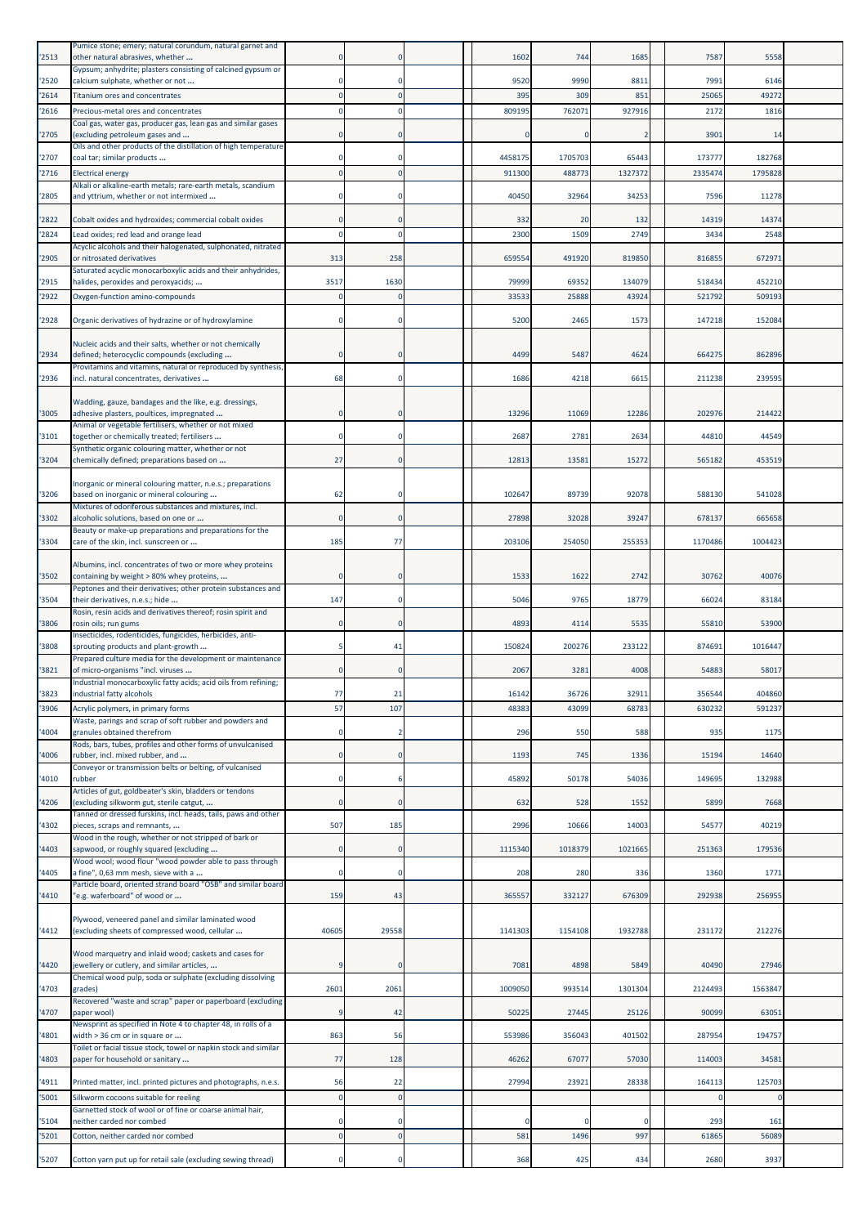| '2513 | Pumice stone; emery; natural corundum, natural garnet and<br>other natural abrasives, whether          |              |                | 1602    | 744     | 1685    | 7587        | 5558    |  |
|-------|--------------------------------------------------------------------------------------------------------|--------------|----------------|---------|---------|---------|-------------|---------|--|
| '2520 | Gypsum; anhydrite; plasters consisting of calcined gypsum or<br>calcium sulphate, whether or not       |              | $\Omega$       | 9520    | 9990    | 8811    | 7991        | 6146    |  |
| '2614 | <b>Titanium ores and concentrates</b>                                                                  |              |                | 395     | 309     | 851     | 25065       | 49272   |  |
| '2616 | Precious-metal ores and concentrates<br>Coal gas, water gas, producer gas, lean gas and similar gases  |              |                | 809195  | 76207   | 927916  | 2172        | 1816    |  |
| 2705  | (excluding petroleum gases and                                                                         |              | 0              |         |         | 2       | 3901        | 14      |  |
| '2707 | Oils and other products of the distillation of high temperature<br>coal tar; similar products          |              |                | 4458175 | 1705703 | 65443   | 173777      | 182768  |  |
| '2716 | <b>Electrical energy</b><br>Alkali or alkaline-earth metals; rare-earth metals, scandium               |              | $\Omega$       | 911300  | 488773  | 1327372 | 2335474     | 1795828 |  |
| '2805 | and yttrium, whether or not intermixed                                                                 |              | $\mathbf 0$    | 40450   | 32964   | 34253   | 7596        | 11278   |  |
| '2822 | Cobalt oxides and hydroxides; commercial cobalt oxides                                                 |              | $\mathbf 0$    | 332     | 20      | 132     | 14319       | 14374   |  |
| '2824 | Lead oxides; red lead and orange lead<br>Acyclic alcohols and their halogenated, sulphonated, nitrated |              | $\Omega$       | 2300    | 1509    | 2749    | 3434        | 2548    |  |
| '2905 | or nitrosated derivatives<br>Saturated acyclic monocarboxylic acids and their anhydrides,              | 313          | 258            | 659554  | 491920  | 819850  | 816855      | 672971  |  |
| '2915 | halides, peroxides and peroxyacids;                                                                    | 3517         | 1630           | 79999   | 69352   | 134079  | 518434      | 452210  |  |
| 2922  | Oxygen-function amino-compounds                                                                        |              | $\Omega$       | 33533   | 25888   | 43924   | 521792      | 509193  |  |
| '2928 | Organic derivatives of hydrazine or of hydroxylamine                                                   |              | $\Omega$       | 5200    | 2465    | 1573    | 147218      | 152084  |  |
| '2934 | Nucleic acids and their salts, whether or not chemically<br>defined; heterocyclic compounds (excluding |              | $\Omega$       | 4499    | 5487    | 4624    | 664275      | 862896  |  |
|       | Provitamins and vitamins, natural or reproduced by synthesis,                                          |              |                |         |         |         |             |         |  |
| '2936 | incl. natural concentrates, derivatives                                                                | 68           | $\mathbf 0$    | 1686    | 4218    | 6615    | 211238      | 239595  |  |
| '3005 | Wadding, gauze, bandages and the like, e.g. dressings,<br>adhesive plasters, poultices, impregnated    |              | 0              | 13296   | 11069   | 12286   | 202976      | 214422  |  |
| '3101 | Animal or vegetable fertilisers, whether or not mixed<br>together or chemically treated; fertilisers   |              | 0              | 2687    | 2781    | 2634    | 44810       | 44549   |  |
| '3204 | Synthetic organic colouring matter, whether or not<br>chemically defined; preparations based on        | 27           | $\Omega$       | 12813   | 13581   | 15272   | 565182      | 453519  |  |
|       | Inorganic or mineral colouring matter, n.e.s.; preparations                                            |              |                |         |         |         |             |         |  |
| '3206 | based on inorganic or mineral colouring<br>Mixtures of odoriferous substances and mixtures, incl.      | 62           | $\mathbf 0$    | 102647  | 89739   | 92078   | 588130      | 541028  |  |
| '3302 | alcoholic solutions, based on one or<br>Beauty or make-up preparations and preparations for the        |              | $\mathbf 0$    | 27898   | 32028   | 39247   | 678137      | 665658  |  |
| '3304 | care of the skin, incl. sunscreen or                                                                   | 185          | 77             | 203106  | 254050  | 255353  | 1170486     | 1004423 |  |
| '3502 | Albumins, incl. concentrates of two or more whey proteins<br>containing by weight > 80% whey proteins, |              | $\mathbf 0$    | 1533    | 1622    | 2742    | 30762       | 40076   |  |
| '3504 | Peptones and their derivatives; other protein substances and<br>their derivatives, n.e.s.; hide        | 147          | $\Omega$       | 5046    | 9765    | 18779   | 66024       | 83184   |  |
| '3806 | Rosin, resin acids and derivatives thereof; rosin spirit and<br>rosin oils; run gums                   |              | $\mathbf 0$    | 4893    | 4114    | 5535    | 55810       | 53900   |  |
| 3808  | Insecticides, rodenticides, fungicides, herbicides, anti-<br>sprouting products and plant-growth       |              | 41             | 150824  | 200276  | 233122  | 874691      | 1016447 |  |
| '3821 | Prepared culture media for the development or maintenance<br>of micro-organisms "incl. viruses         |              |                | 2067    | 3281    | 4008    | 54883       | 58017   |  |
| 3823  | Industrial monocarboxylic fatty acids; acid oils from refining;<br>industrial fatty alcohols           | 77           | 21             | 16142   | 36726   | 32911   | 356544      | 404860  |  |
| '3906 | Acrylic polymers, in primary forms<br>Waste, parings and scrap of soft rubber and powders and          | 57           | 107            | 48383   | 43099   | 68783   | 630232      | 59123   |  |
| 4004  | granules obtained therefrom<br>Rods, bars, tubes, profiles and other forms of unvulcanised             |              |                | 296     | 550     | 588     | 935         | 1175    |  |
| 4006  | rubber, incl. mixed rubber, and                                                                        | $\mathbf{0}$ | $\bf{0}$       | 1193    | 745     | 1336    | 15194       | 14640   |  |
| 4010  | Conveyor or transmission belts or belting, of vulcanised<br>rubber                                     | $\Omega$     | 6              | 45892   | 50178   | 54036   | 149695      | 132988  |  |
| 4206  | Articles of gut, goldbeater's skin, bladders or tendons<br>(excluding silkworm gut, sterile catgut,    | $\Omega$     | $\mathbf 0$    | 632     | 528     | 1552    | 5899        | 7668    |  |
| 4302  | Tanned or dressed furskins, incl. heads, tails, paws and other<br>pieces, scraps and remnants,         | 507          | 185            | 2996    | 10666   | 14003   | 54577       | 40219   |  |
| 4403  | Wood in the rough, whether or not stripped of bark or<br>sapwood, or roughly squared (excluding        | $\Omega$     | $\overline{0}$ | 1115340 | 1018379 | 1021665 | 251363      | 179536  |  |
| 4405  | Wood wool; wood flour "wood powder able to pass through<br>a fine", 0,63 mm mesh, sieve with a         |              | $\mathbf 0$    | 208     | 280     | 336     | 1360        | 1771    |  |
|       | Particle board, oriented strand board "OSB" and similar board                                          |              |                |         |         |         |             |         |  |
| 4410  | "e.g. waferboard" of wood or                                                                           | 159          | 43             | 365557  | 332127  | 676309  | 292938      | 256955  |  |
| '4412 | Plywood, veneered panel and similar laminated wood<br>(excluding sheets of compressed wood, cellular   | 40605        | 29558          | 1141303 | 1154108 | 1932788 | 231172      | 212276  |  |
| 4420  | Wood marquetry and inlaid wood; caskets and cases for<br>jewellery or cutlery, and similar articles,   |              | $\mathbf 0$    | 7081    | 4898    | 5849    | 40490       | 27946   |  |
| 4703  | Chemical wood pulp, soda or sulphate (excluding dissolving<br>grades)                                  | 2601         | 2061           | 1009050 | 993514  | 1301304 | 2124493     | 1563847 |  |
| 4707  | Recovered "waste and scrap" paper or paperboard (excluding<br>paper wool)                              |              | 42             | 50225   | 27445   | 25126   | 90099       | 63051   |  |
| 4801  | Newsprint as specified in Note 4 to chapter 48, in rolls of a<br>width > 36 cm or in square or         | 863          | 56             | 553986  | 356043  | 401502  | 287954      | 194757  |  |
| 4803  | Toilet or facial tissue stock, towel or napkin stock and similar<br>paper for household or sanitary    | 77           | 128            | 46262   | 67077   | 57030   | 114003      | 3458    |  |
| 4911  | Printed matter, incl. printed pictures and photographs, n.e.s.                                         | 56           | 22             | 27994   | 23921   | 28338   | 164113      | 125703  |  |
| 5001  | Silkworm cocoons suitable for reeling                                                                  | $\Omega$     | $\Omega$       |         |         |         | $\mathbf 0$ |         |  |
| 5104  | Garnetted stock of wool or of fine or coarse animal hair,<br>neither carded nor combed                 |              | $\mathbf 0$    |         |         | 0       | 293         | 161     |  |
| 5201  | Cotton, neither carded nor combed                                                                      |              | $\mathbf{0}$   | 581     | 1496    | 997     | 61865       | 56089   |  |
| '5207 | Cotton yarn put up for retail sale (excluding sewing thread)                                           |              | $\mathbf 0$    | 368     | 425     | 434     | 2680        | 3937    |  |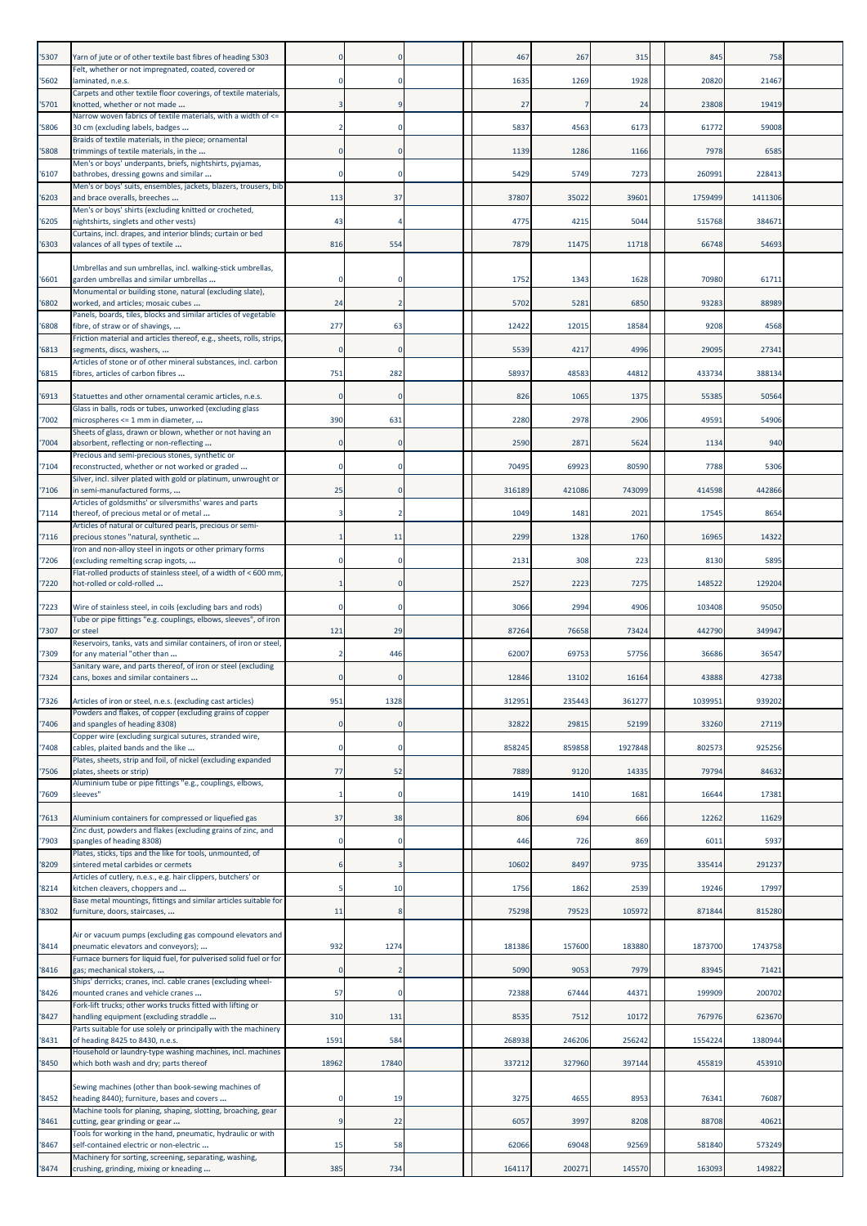| '5307 | Yarn of jute or of other textile bast fibres of heading 5303                                              |       |             | 467    | 267    | 315     | 845     | 758     |  |
|-------|-----------------------------------------------------------------------------------------------------------|-------|-------------|--------|--------|---------|---------|---------|--|
| '5602 | Felt, whether or not impregnated, coated, covered or<br>laminated, n.e.s.                                 |       |             | 1635   | 1269   | 1928    | 20820   | 21467   |  |
| '5701 | Carpets and other textile floor coverings, of textile materials,<br>knotted, whether or not made          |       | q           | 27     |        | 24      | 23808   | 19419   |  |
| '5806 | Narrow woven fabrics of textile materials, with a width of <=<br>30 cm (excluding labels, badges          |       |             | 5837   | 4563   | 6173    | 61772   | 59008   |  |
| '5808 | Braids of textile materials, in the piece; ornamental<br>trimmings of textile materials, in the           |       |             | 1139   | 1286   | 1166    | 7978    | 658     |  |
| '6107 | Men's or boys' underpants, briefs, nightshirts, pyjamas,<br>bathrobes, dressing gowns and similar         |       | n           | 5429   | 5749   | 7273    | 260991  | 228413  |  |
| '6203 | Men's or boys' suits, ensembles, jackets, blazers, trousers, bib<br>and brace overalls, breeches          | 113   | 37          | 37807  | 35022  | 39601   | 1759499 | 1411306 |  |
| '6205 | Men's or boys' shirts (excluding knitted or crocheted,<br>nightshirts, singlets and other vests)          | 43    |             | 4775   | 4215   | 5044    | 515768  | 384671  |  |
| '6303 | Curtains, incl. drapes, and interior blinds; curtain or bed<br>valances of all types of textile           | 816   |             | 7879   | 11475  | 11718   | 66748   | 54693   |  |
|       |                                                                                                           |       | 554         |        |        |         |         |         |  |
| '6601 | Umbrellas and sun umbrellas, incl. walking-stick umbrellas,<br>garden umbrellas and similar umbrellas     |       |             | 1752   | 1343   | 1628    | 70980   | 6171    |  |
| '6802 | Monumental or building stone, natural (excluding slate),<br>worked, and articles; mosaic cubes            | 24    |             | 5702   | 5281   | 6850    | 93283   | 88989   |  |
| '6808 | Panels, boards, tiles, blocks and similar articles of vegetable<br>fibre, of straw or of shavings,        | 277   | 63          | 12422  | 12015  | 18584   | 9208    | 4568    |  |
| '6813 | Friction material and articles thereof, e.g., sheets, rolls, strips,<br>segments, discs, washers,         |       |             | 5539   | 4217   | 4996    | 29095   | 27341   |  |
| '6815 | Articles of stone or of other mineral substances, incl. carbon<br>fibres, articles of carbon fibres       | 751   | 282         | 58937  | 48583  | 44812   | 433734  | 388134  |  |
| '6913 | Statuettes and other ornamental ceramic articles, n.e.s.                                                  |       | $\Omega$    | 826    | 1065   | 1375    | 55385   | 50564   |  |
| '7002 | Glass in balls, rods or tubes, unworked (excluding glass<br>microspheres <= 1 mm in diameter,             | 390   | 631         | 2280   | 2978   | 2906    | 49591   | 54906   |  |
| '7004 | Sheets of glass, drawn or blown, whether or not having an<br>absorbent, reflecting or non-reflecting      |       | $\mathbf 0$ | 2590   | 2871   | 5624    | 1134    | 940     |  |
| '7104 | Precious and semi-precious stones, synthetic or<br>reconstructed, whether or not worked or graded         |       | n           | 70495  | 69923  | 80590   | 7788    | 5306    |  |
| '7106 | Silver, incl. silver plated with gold or platinum, unwrought or<br>in semi-manufactured forms,            | 25    |             | 316189 | 421086 | 743099  | 414598  | 442866  |  |
| 7114  | Articles of goldsmiths' or silversmiths' wares and parts<br>thereof, of precious metal or of metal        |       |             | 1049   | 1481   | 2021    | 17545   | 8654    |  |
| '7116 | Articles of natural or cultured pearls, precious or semi-<br>precious stones "natural, synthetic          |       | 11          | 2299   | 1328   | 1760    | 16965   | 14322   |  |
| '7206 | Iron and non-alloy steel in ingots or other primary forms<br>(excluding remelting scrap ingots,           |       | 0           | 2131   | 308    | 223     | 8130    | 5895    |  |
| '7220 | Flat-rolled products of stainless steel, of a width of < 600 mm,<br>hot-rolled or cold-rolled             |       |             | 2527   | 2223   | 7275    | 148522  | 129204  |  |
| '7223 | Wire of stainless steel, in coils (excluding bars and rods)                                               |       |             | 3066   | 2994   | 4906    | 103408  | 95050   |  |
| '7307 | Tube or pipe fittings "e.g. couplings, elbows, sleeves", of iron<br>or steel                              | 121   | 29          | 87264  | 76658  | 73424   | 442790  | 349947  |  |
| '7309 | Reservoirs, tanks, vats and similar containers, of iron or steel,<br>for any material "other than         |       | 446         | 62007  | 69753  | 57756   | 36686   | 36547   |  |
| '7324 | Sanitary ware, and parts thereof, of iron or steel (excluding<br>cans, boxes and similar containers       |       |             | 12846  | 13102  | 16164   | 43888   | 42738   |  |
| '7326 | Articles of iron or steel, n.e.s. (excluding cast articles)                                               | 951   | 1328        | 312951 | 235443 | 361277  | 1039951 | 939202  |  |
| '7406 | Powders and flakes, of copper (excluding grains of copper<br>and spangles of heading 8308)                |       | $\Omega$    | 32822  | 29815  | 52199   | 33260   | 27119   |  |
| '7408 | Copper wire (excluding surgical sutures, stranded wire,<br>cables, plaited bands and the like             |       | $\Omega$    | 858245 | 859858 | 1927848 | 802573  | 925256  |  |
| '7506 | Plates, sheets, strip and foil, of nickel (excluding expanded<br>plates, sheets or strip)                 | 77    | 52          | 7889   | 9120   | 14335   | 79794   | 84632   |  |
| '7609 | Aluminium tube or pipe fittings "e.g., couplings, elbows,<br>sleeves"                                     |       | $\Omega$    | 1419   | 1410   | 1681    | 16644   | 17381   |  |
| '7613 | Aluminium containers for compressed or liquefied gas                                                      | 37    | 38          | 806    | 694    | 666     | 12262   | 11629   |  |
| '7903 | Zinc dust, powders and flakes (excluding grains of zinc, and<br>spangles of heading 8308)                 |       | $\Omega$    | 446    | 726    | 869     | 6011    | 5937    |  |
| '8209 | Plates, sticks, tips and the like for tools, unmounted, of<br>sintered metal carbides or cermets          |       |             | 10602  | 8497   | 9735    | 335414  | 291237  |  |
| '8214 | Articles of cutlery, n.e.s., e.g. hair clippers, butchers' or<br>kitchen cleavers, choppers and           |       | 10          | 1756   | 1862   | 2539    | 19246   | 17997   |  |
| '8302 | Base metal mountings, fittings and similar articles suitable for<br>furniture, doors, staircases,         | 11    | 8           | 75298  | 79523  | 105972  | 871844  | 815280  |  |
|       | Air or vacuum pumps (excluding gas compound elevators and                                                 |       |             |        |        |         |         |         |  |
| '8414 | pneumatic elevators and conveyors);<br>Furnace burners for liquid fuel, for pulverised solid fuel or for  | 932   | 1274        | 181386 | 157600 | 183880  | 1873700 | 1743758 |  |
| '8416 | gas; mechanical stokers,<br>Ships' derricks; cranes, incl. cable cranes (excluding wheel-                 |       |             | 5090   | 9053   | 7979    | 83945   | 71421   |  |
| '8426 | mounted cranes and vehicle cranes<br>Fork-lift trucks; other works trucks fitted with lifting or          | 57    | $\Omega$    | 72388  | 67444  | 44371   | 199909  | 200702  |  |
| '8427 | handling equipment (excluding straddle<br>Parts suitable for use solely or principally with the machinery | 310   | 131         | 8535   | 7512   | 10172   | 767976  | 623670  |  |
| '8431 | of heading 8425 to 8430, n.e.s.<br>Household or laundry-type washing machines, incl. machines             | 1591  | 584         | 268938 | 246206 | 256242  | 1554224 | 1380944 |  |
| '8450 | which both wash and dry; parts thereof                                                                    | 18962 | 17840       | 337212 | 327960 | 397144  | 455819  | 453910  |  |
| '8452 | Sewing machines (other than book-sewing machines of<br>heading 8440); furniture, bases and covers         |       | 19          | 3275   | 4655   | 8953    | 76341   | 76087   |  |
| '8461 | Machine tools for planing, shaping, slotting, broaching, gear<br>cutting, gear grinding or gear           | q     | 22          | 6057   | 3997   | 8208    | 88708   | 40621   |  |
| '8467 | Tools for working in the hand, pneumatic, hydraulic or with<br>self-contained electric or non-electric    | 15    | 58          | 62066  | 69048  | 92569   | 581840  | 573249  |  |
| '8474 | Machinery for sorting, screening, separating, washing,<br>crushing, grinding, mixing or kneading          | 385   | 734         | 164117 | 200271 | 145570  | 163093  | 149822  |  |
|       |                                                                                                           |       |             |        |        |         |         |         |  |